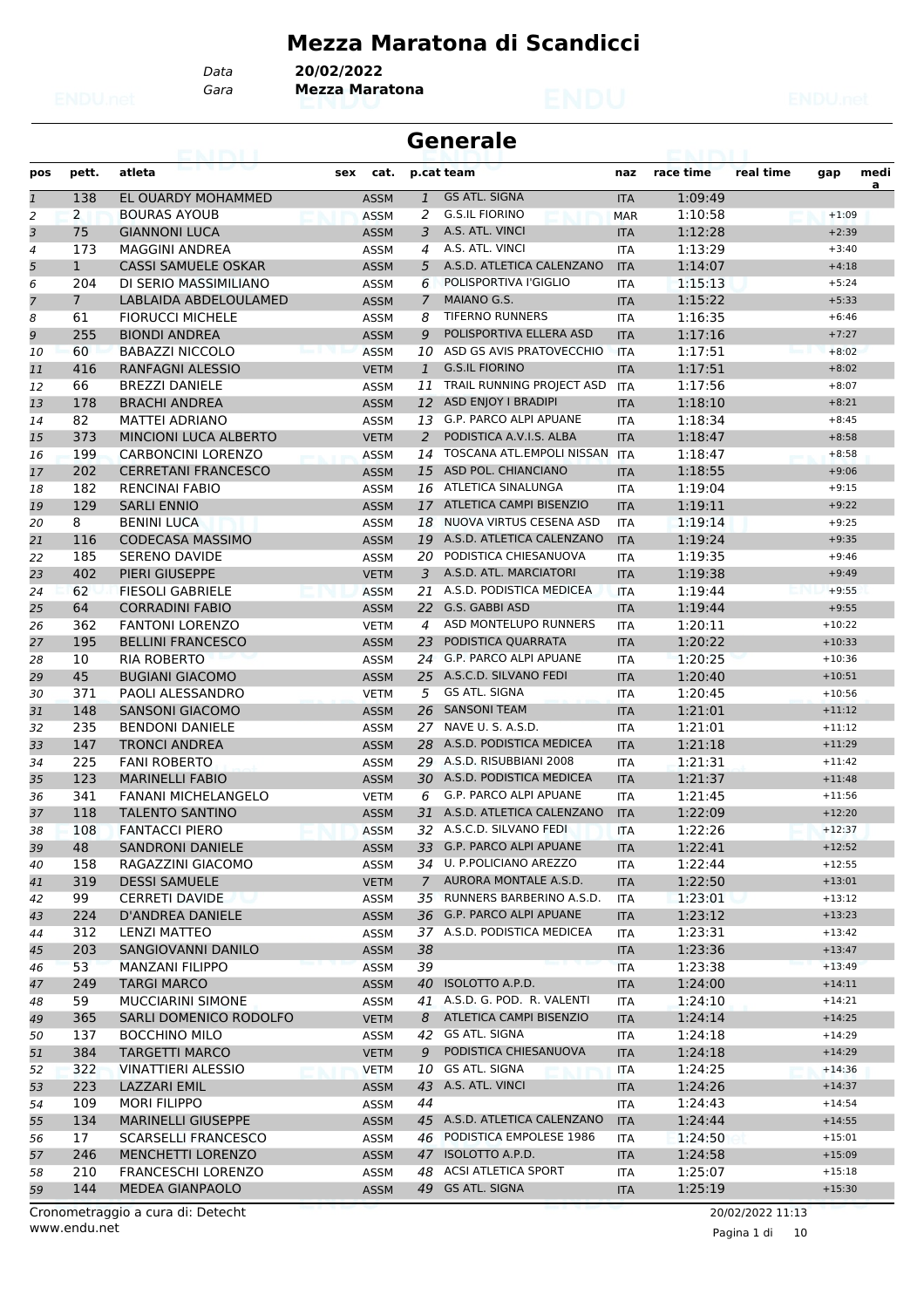# **Mezza Maratona di Scandicci**

*Gara* **Mezza Maratona** *Data* **20/02/2022**

|              |                |                                                  |                            |                | Generale                                               |                   |                    |           |                      |      |
|--------------|----------------|--------------------------------------------------|----------------------------|----------------|--------------------------------------------------------|-------------------|--------------------|-----------|----------------------|------|
| pos          | pett.          | atleta                                           | sex<br>cat.                |                | p.cat team                                             | naz               | race time          | real time | gap                  | medi |
| $\mathbf{1}$ | 138            | EL OUARDY MOHAMMED                               | <b>ASSM</b>                | $\mathbf{1}$   | <b>GS ATL. SIGNA</b>                                   | <b>ITA</b>        | 1:09:49            |           |                      | a    |
| 2            | $\overline{2}$ | <b>BOURAS AYOUB</b>                              | <b>ASSM</b>                | 2              | <b>G.S.IL FIORINO</b>                                  | <b>MAR</b>        | 1:10:58            |           | $+1:09$              |      |
| 3            | 75             | <b>GIANNONI LUCA</b>                             | <b>ASSM</b>                | 3              | A.S. ATL. VINCI                                        | <b>ITA</b>        | 1:12:28            |           | $+2:39$              |      |
| 4            | 173            | MAGGINI ANDREA                                   | <b>ASSM</b>                | 4              | A.S. ATL. VINCI                                        | <b>ITA</b>        | 1:13:29            |           | $+3:40$              |      |
| 5            | $\mathbf{1}$   | <b>CASSI SAMUELE OSKAR</b>                       | <b>ASSM</b>                | 5              | A.S.D. ATLETICA CALENZANO                              | <b>ITA</b>        | 1:14:07            |           | $+4:18$              |      |
| 6            | 204            | DI SERIO MASSIMILIANO                            | ASSM                       | 6              | POLISPORTIVA l'GIGLIO                                  | <b>ITA</b>        | 1:15:13            |           | $+5:24$              |      |
| 7            | $\overline{7}$ | LABLAIDA ABDELOULAMED                            | <b>ASSM</b>                | $\overline{7}$ | MAIANO G.S.                                            | <b>ITA</b>        | 1:15:22            |           | $+5:33$              |      |
| 8            | 61             | <b>FIORUCCI MICHELE</b>                          | ASSM                       | 8              | <b>TIFERNO RUNNERS</b>                                 | <b>ITA</b>        | 1:16:35            |           | $+6:46$              |      |
| 9            | 255            | <b>BIONDI ANDREA</b>                             | <b>ASSM</b>                | 9              | POLISPORTIVA ELLERA ASD                                | <b>ITA</b>        | 1:17:16            |           | $+7:27$              |      |
| 10           | 60             | <b>BABAZZI NICCOLO</b>                           | <b>ASSM</b>                | 10             | ASD GS AVIS PRATOVECCHIO                               | <b>ITA</b>        | 1:17:51            |           | $+8:02$              |      |
| 11           | 416            | RANFAGNI ALESSIO                                 | <b>VETM</b>                | 1              | <b>G.S.IL FIORINO</b>                                  | <b>ITA</b>        | 1:17:51            |           | $+8:02$              |      |
| 12           | 66             | <b>BREZZI DANIELE</b>                            | ASSM                       | 11             | TRAIL RUNNING PROJECT ASD                              | ITA               | 1:17:56            |           | $+8:07$              |      |
| 13           | 178            | <b>BRACHI ANDREA</b>                             | <b>ASSM</b>                |                | 12 ASD ENJOY I BRADIPI                                 | <b>ITA</b>        | 1:18:10            |           | $+8:21$              |      |
| 14           | 82             | <b>MATTEI ADRIANO</b>                            | <b>ASSM</b>                | 13             | G.P. PARCO ALPI APUANE                                 | <b>ITA</b>        | 1:18:34            |           | $+8:45$              |      |
| 15           | 373            | MINCIONI LUCA ALBERTO                            | <b>VETM</b>                | 2              | PODISTICA A.V.I.S. ALBA                                | <b>ITA</b>        | 1:18:47            |           | $+8:58$              |      |
| 16           | 199            | <b>CARBONCINI LORENZO</b>                        | <b>ASSM</b>                | 14             | TOSCANA ATL.EMPOLI NISSAN                              | <b>ITA</b>        | 1:18:47            |           | $+8:58$              |      |
| 17           | 202            | <b>CERRETANI FRANCESCO</b>                       | <b>ASSM</b>                | 15             | ASD POL. CHIANCIANO                                    | <b>ITA</b>        | 1:18:55            |           | $+9:06$              |      |
| 18           | 182            | <b>RENCINAL FABIO</b>                            | ASSM                       | 16             | ATLETICA SINALUNGA                                     | ITA               | 1:19:04            |           | $+9:15$              |      |
| 19           | 129            | <b>SARLI ENNIO</b>                               | <b>ASSM</b>                |                | 17 ATLETICA CAMPI BISENZIO                             | <b>ITA</b>        | 1:19:11            |           | $+9:22$              |      |
| 20           | 8              | <b>BENINI LUCA</b>                               | <b>ASSM</b>                | 18             | NUOVA VIRTUS CESENA ASD                                | <b>ITA</b>        | 1:19:14            |           | $+9:25$              |      |
| 21           | 116            | <b>CODECASA MASSIMO</b>                          | <b>ASSM</b>                | 19             | A.S.D. ATLETICA CALENZANO                              | <b>ITA</b>        | 1:19:24            |           | $+9:35$              |      |
| 22           | 185            | SERENO DAVIDE                                    | <b>ASSM</b>                | 20             | PODISTICA CHIESANUOVA                                  | <b>ITA</b>        | 1:19:35            |           | $+9:46$              |      |
| 23           | 402            | PIERI GIUSEPPE                                   | <b>VETM</b>                | 3              | A.S.D. ATL. MARCIATORI                                 | <b>ITA</b>        | 1:19:38            |           | $+9:49$              |      |
| 24           | 62             | <b>FIESOLI GABRIELE</b>                          | <b>ASSM</b>                | 21             | A.S.D. PODISTICA MEDICEA                               | <b>ITA</b>        | 1:19:44            |           | $+9:55$              |      |
| 25           | 64             | <b>CORRADINI FABIO</b>                           | <b>ASSM</b>                |                | 22 G.S. GABBI ASD                                      | <b>ITA</b>        | 1:19:44            |           | $+9:55$              |      |
| 26           | 362            | <b>FANTONI LORENZO</b>                           | <b>VETM</b>                | 4              | ASD MONTELUPO RUNNERS                                  | <b>ITA</b>        | 1:20:11            |           | $+10:22$             |      |
| 27           | 195            | <b>BELLINI FRANCESCO</b>                         | <b>ASSM</b>                | 23             | PODISTICA QUARRATA                                     | <b>ITA</b>        | 1:20:22            |           | $+10:33$             |      |
| 28           | 10             | <b>RIA ROBERTO</b>                               | <b>ASSM</b>                | 24             | <b>G.P. PARCO ALPI APUANE</b>                          | <b>ITA</b>        | 1:20:25            |           | $+10:36$             |      |
| 29           | 45             | <b>BUGIANI GIACOMO</b>                           | <b>ASSM</b>                |                | 25 A.S.C.D. SILVANO FEDI                               | <b>ITA</b>        | 1:20:40            |           | $+10:51$             |      |
| 30           | 371            | PAOLI ALESSANDRO                                 | <b>VETM</b>                | 5              | <b>GS ATL. SIGNA</b>                                   | <b>ITA</b>        | 1:20:45            |           | $+10:56$             |      |
| 31           | 148            | <b>SANSONI GIACOMO</b>                           | <b>ASSM</b>                |                | 26 SANSONI TEAM                                        | <b>ITA</b>        | 1:21:01            |           | $+11:12$             |      |
| 32           | 235            | <b>BENDONI DANIELE</b>                           | <b>ASSM</b>                | 27             | NAVE U. S. A.S.D.                                      | <b>ITA</b>        | 1:21:01            |           | $+11:12$             |      |
| 33           | 147            | <b>TRONCI ANDREA</b>                             | <b>ASSM</b>                | 28             | A.S.D. PODISTICA MEDICEA                               | <b>ITA</b>        | 1:21:18            |           | $+11:29$             |      |
| 34           | 225            | <b>FANI ROBERTO</b>                              | ASSM                       | 29             | A.S.D. RISUBBIANI 2008                                 | <b>ITA</b>        | 1:21:31            |           | $+11:42$             |      |
| 35           | 123            | <b>MARINELLI FABIO</b>                           | <b>ASSM</b>                | 30             | A.S.D. PODISTICA MEDICEA                               | <b>ITA</b>        | 1:21:37            |           | $+11:48$             |      |
| 36           | 341            | <b>FANANI MICHELANGELO</b>                       | <b>VETM</b>                | 6              | G.P. PARCO ALPI APUANE                                 | <b>ITA</b>        | 1:21:45            |           | $+11:56$             |      |
| 37           | 118            | <b>TALENTO SANTINO</b>                           | <b>ASSM</b>                |                | 31 A.S.D. ATLETICA CALENZANO                           | <b>ITA</b>        | 1:22:09            |           | $+12:20$             |      |
| 38           | 108            | <b>FANTACCI PIERO</b>                            | <b>ASSM</b>                |                | 32 A.S.C.D. SILVANO FEDI                               | <b>ITA</b>        | 1:22:26            |           | $+12:37$             |      |
| 39           | 48             | <b>SANDRONI DANIELE</b>                          | <b>ASSM</b>                |                | 33 G.P. PARCO ALPI APUANE<br>34 U. P. POLICIANO AREZZO | <b>ITA</b>        | 1:22:41            |           | $+12:52$             |      |
| 40           | 158            | RAGAZZINI GIACOMO                                | ASSM                       |                | 7 AURORA MONTALE A.S.D.                                | ITA               | 1:22:44            |           | $+12:55$             |      |
| 41           | 319            | <b>DESSI SAMUELE</b>                             | <b>VETM</b>                |                | 35 RUNNERS BARBERINO A.S.D.                            | <b>ITA</b>        | 1:22:50            |           | $+13:01$             |      |
| 42           | 99<br>224      | <b>CERRETI DAVIDE</b><br>D'ANDREA DANIELE        | ASSM<br><b>ASSM</b>        |                | 36 G.P. PARCO ALPI APUANE                              | <b>ITA</b>        | 1:23:01            |           | $+13:12$             |      |
| 43           |                |                                                  |                            |                | 37 A.S.D. PODISTICA MEDICEA                            | <b>ITA</b>        | 1:23:12            |           | $+13:23$<br>$+13:42$ |      |
| 44           | 312<br>203     | LENZI MATTEO<br><b>SANGIOVANNI DANILO</b>        | ASSM                       |                |                                                        | ITA               | 1:23:31            |           | $+13:47$             |      |
| 45           | 53             | <b>MANZANI FILIPPO</b>                           | <b>ASSM</b><br><b>ASSM</b> | 38<br>39       |                                                        | <b>ITA</b>        | 1:23:36<br>1:23:38 |           | $+13:49$             |      |
| 46           | 249            | <b>TARGI MARCO</b>                               | <b>ASSM</b>                |                | 40 ISOLOTTO A.P.D.                                     | <b>ITA</b>        | 1:24:00            |           | $+14:11$             |      |
| 47           | 59             | <b>MUCCIARINI SIMONE</b>                         | ASSM                       |                | 41 A.S.D. G. POD. R. VALENTI                           | <b>ITA</b>        | 1:24:10            |           | $+14:21$             |      |
| 48           | 365            | SARLI DOMENICO RODOLFO                           | <b>VETM</b>                |                | 8 ATLETICA CAMPI BISENZIO                              | ITA               | 1:24:14            |           | $+14:25$             |      |
| 49           | 137            | <b>BOCCHINO MILO</b>                             | ASSM                       |                | 42 GS ATL. SIGNA                                       | <b>ITA</b>        | 1:24:18            |           | $+14:29$             |      |
| 50           | 384            |                                                  |                            |                | PODISTICA CHIESANUOVA                                  | ITA               |                    |           | $+14:29$             |      |
| 51           | 322            | <b>TARGETTI MARCO</b><br>VINATTIERI ALESSIO      | <b>VETM</b>                | 9<br>10        | GS ATL. SIGNA                                          | <b>ITA</b>        | 1:24:18<br>1:24:25 |           | $+14:36$             |      |
| 52           |                |                                                  | <b>VETM</b>                |                | 43 A.S. ATL. VINCI                                     | <b>ITA</b>        |                    |           | $+14:37$             |      |
| 53           | 223            | LAZZARI EMIL                                     | <b>ASSM</b>                |                |                                                        | <b>ITA</b>        | 1:24:26            |           |                      |      |
| 54           | 109<br>134     | <b>MORI FILIPPO</b><br><b>MARINELLI GIUSEPPE</b> | ASSM                       | 44             | 45 A.S.D. ATLETICA CALENZANO                           | ITA               | 1:24:43            |           | $+14:54$<br>$+14:55$ |      |
| 55           | 17             | <b>SCARSELLI FRANCESCO</b>                       | <b>ASSM</b><br>ASSM        |                | 46 PODISTICA EMPOLESE 1986                             | <b>ITA</b>        | 1:24:44<br>1:24:50 |           | $+15:01$             |      |
| 56           |                | MENCHETTI LORENZO                                |                            |                | 47 ISOLOTTO A.P.D.                                     | ITA               |                    |           | $+15:09$             |      |
| 57           | 246<br>210     | FRANCESCHI LORENZO                               | <b>ASSM</b>                | 48             | ACSI ATLETICA SPORT                                    | <b>ITA</b>        | 1:24:58<br>1:25:07 |           | $+15:18$             |      |
| 58<br>59     | 144            | <b>MEDEA GIANPAOLO</b>                           | <b>ASSM</b><br><b>ASSM</b> |                | 49 GS ATL. SIGNA                                       | ITA<br><b>ITA</b> | 1:25:19            |           | $+15:30$             |      |
|              |                |                                                  |                            |                |                                                        |                   |                    |           |                      |      |

www.endu.net Cronometraggio a cura di: Detecht 20/02/2022 11:13

Pagina 1 di 10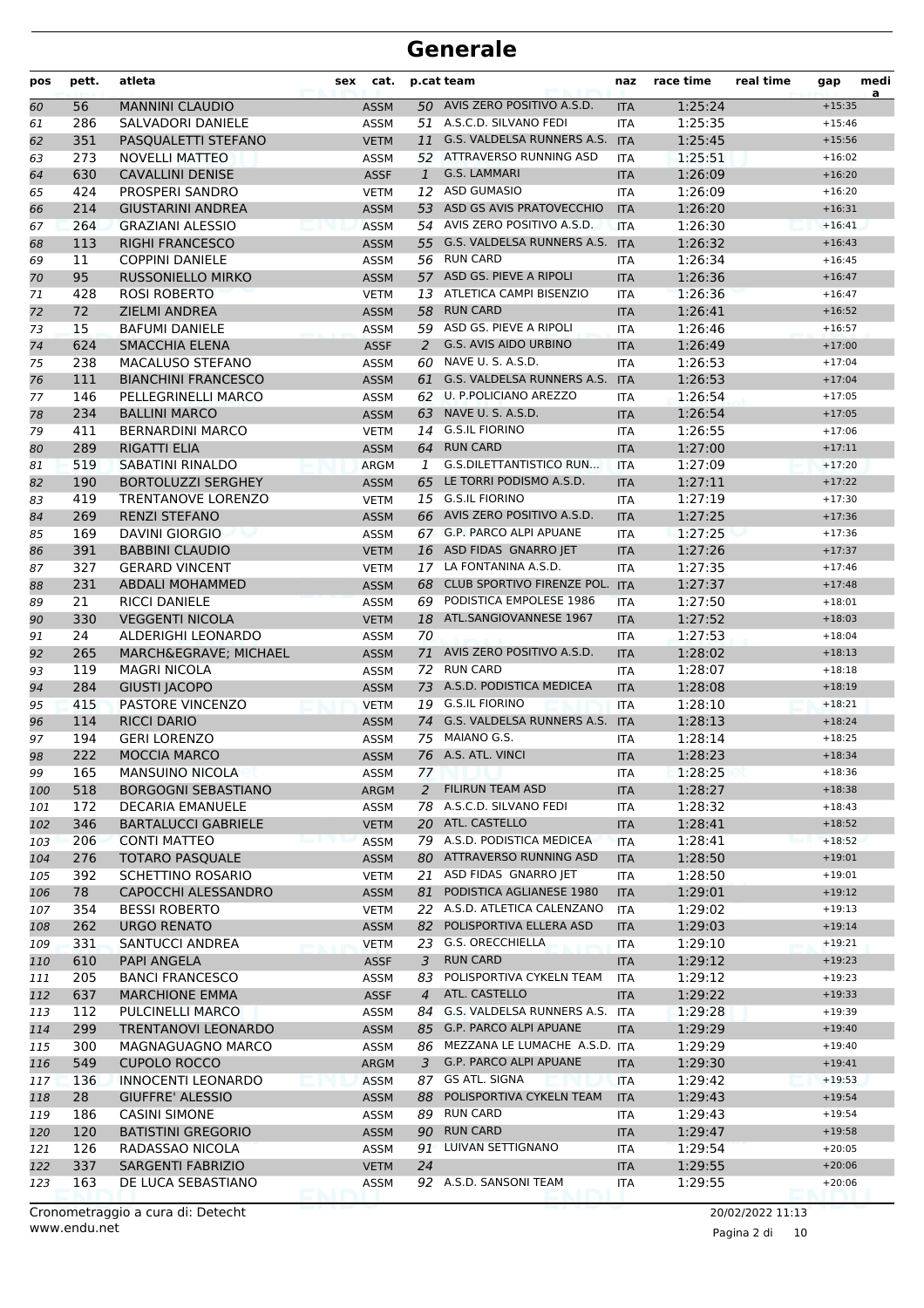| pos        | pett.     | atleta                                             | sex | cat.                       |              | p.cat team                                               | naz                      | race time          | real time | gap                  | medi<br>a |
|------------|-----------|----------------------------------------------------|-----|----------------------------|--------------|----------------------------------------------------------|--------------------------|--------------------|-----------|----------------------|-----------|
| 60         | 56        | <b>MANNINI CLAUDIO</b>                             |     | <b>ASSM</b>                |              | 50 AVIS ZERO POSITIVO A.S.D.                             | <b>ITA</b>               | 1:25:24            |           | $+15:35$             |           |
| 61         | 286       | SALVADORI DANIELE                                  |     | <b>ASSM</b>                |              | 51 A.S.C.D. SILVANO FEDI                                 | <b>ITA</b>               | 1:25:35            |           | $+15:46$             |           |
| 62         | 351       | PASQUALETTI STEFANO                                |     | <b>VETM</b>                | 11           | G.S. VALDELSA RUNNERS A.S.                               | <b>ITA</b>               | 1:25:45            |           | $+15:56$             |           |
| 63         | 273       | <b>NOVELLI MATTEO</b>                              |     | <b>ASSM</b>                |              | 52 ATTRAVERSO RUNNING ASD                                | <b>ITA</b>               | 1:25:51            |           | $+16:02$             |           |
| 64         | 630       | <b>CAVALLINI DENISE</b>                            |     | <b>ASSF</b>                | $\mathbf{1}$ | G.S. LAMMARI                                             | <b>ITA</b>               | 1:26:09            |           | $+16:20$             |           |
| 65         | 424       | PROSPERI SANDRO                                    |     | <b>VETM</b>                |              | 12 ASD GUMASIO                                           | <b>ITA</b>               | 1:26:09            |           | $+16:20$             |           |
| 66         | 214       | <b>GIUSTARINI ANDREA</b>                           |     | <b>ASSM</b>                |              | 53 ASD GS AVIS PRATOVECCHIO                              | <b>ITA</b>               | 1:26:20            |           | $+16:31$             |           |
| 67         | 264       | <b>GRAZIANI ALESSIO</b>                            |     | <b>ASSM</b>                |              | 54 AVIS ZERO POSITIVO A.S.D.                             | <b>ITA</b>               | 1:26:30            |           | $+16:41$             |           |
| 68         | 113       | <b>RIGHI FRANCESCO</b>                             |     | <b>ASSM</b>                |              | 55 G.S. VALDELSA RUNNERS A.S.<br><b>RUN CARD</b>         | <b>ITA</b>               | 1:26:32            |           | $+16:43$<br>$+16:45$ |           |
| 69         | 11<br>95  | <b>COPPINI DANIELE</b><br><b>RUSSONIELLO MIRKO</b> |     | <b>ASSM</b>                | 56           | 57 ASD GS. PIEVE A RIPOLI                                | <b>ITA</b>               | 1:26:34<br>1:26:36 |           |                      |           |
| 70<br>71   | 428       | <b>ROSI ROBERTO</b>                                |     | <b>ASSM</b><br><b>VETM</b> |              | 13 ATLETICA CAMPI BISENZIO                               | <b>ITA</b><br><b>ITA</b> | 1:26:36            |           | $+16:47$<br>$+16:47$ |           |
|            | 72        | ZIELMI ANDREA                                      |     | <b>ASSM</b>                | 58           | <b>RUN CARD</b>                                          |                          | 1:26:41            |           | $+16:52$             |           |
| 72<br>73   | 15        | <b>BAFUMI DANIELE</b>                              |     | <b>ASSM</b>                |              | 59 ASD GS. PIEVE A RIPOLI                                | <b>ITA</b><br><b>ITA</b> | 1:26:46            |           | $+16:57$             |           |
| 74         | 624       | <b>SMACCHIA ELENA</b>                              |     | <b>ASSF</b>                | 2            | <b>G.S. AVIS AIDO URBINO</b>                             | <b>ITA</b>               | 1:26:49            |           | $+17:00$             |           |
| 75         | 238       | MACALUSO STEFANO                                   |     | <b>ASSM</b>                | 60           | NAVE U. S. A.S.D.                                        | <b>ITA</b>               | 1:26:53            |           | $+17:04$             |           |
| 76         | 111       | <b>BIANCHINI FRANCESCO</b>                         |     | <b>ASSM</b>                | 61           | G.S. VALDELSA RUNNERS A.S.                               | <b>ITA</b>               | 1:26:53            |           | $+17:04$             |           |
| 77         | 146       | PELLEGRINELLI MARCO                                |     | <b>ASSM</b>                |              | 62 U. P.POLICIANO AREZZO                                 | <b>ITA</b>               | 1:26:54            |           | $+17:05$             |           |
| 78         | 234       | <b>BALLINI MARCO</b>                               |     | <b>ASSM</b>                | 63           | NAVE U. S. A.S.D.                                        | <b>ITA</b>               | 1:26:54            |           | $+17:05$             |           |
| 79         | 411       | <b>BERNARDINI MARCO</b>                            |     | <b>VETM</b>                |              | 14 G.S.IL FIORINO                                        | <b>ITA</b>               | 1:26:55            |           | $+17:06$             |           |
| 80         | 289       | <b>RIGATTI ELIA</b>                                |     | <b>ASSM</b>                |              | 64 RUN CARD                                              | <b>ITA</b>               | 1:27:00            |           | $+17:11$             |           |
| 81         | 519       | <b>SABATINI RINALDO</b>                            |     | <b>ARGM</b>                | 1            | <b>G.S.DILETTANTISTICO RUN</b>                           | <b>ITA</b>               | 1:27:09            |           | $+17:20$             |           |
| 82         | 190       | <b>BORTOLUZZI SERGHEY</b>                          |     | <b>ASSM</b>                |              | 65 LE TORRI PODISMO A.S.D.                               | <b>ITA</b>               | 1:27:11            |           | $+17:22$             |           |
| 83         | 419       | TRENTANOVE LORENZO                                 |     | <b>VETM</b>                |              | 15 G.S.IL FIORINO                                        | <b>ITA</b>               | 1:27:19            |           | $+17:30$             |           |
| 84         | 269       | <b>RENZI STEFANO</b>                               |     | <b>ASSM</b>                |              | 66 AVIS ZERO POSITIVO A.S.D.                             | <b>ITA</b>               | 1:27:25            |           | $+17:36$             |           |
| 85         | 169       | DAVINI GIORGIO                                     |     | <b>ASSM</b>                |              | 67 G.P. PARCO ALPI APUANE                                | <b>ITA</b>               | 1:27:25            |           | $+17:36$             |           |
| 86         | 391       | <b>BABBINI CLAUDIO</b>                             |     | <b>VETM</b>                |              | 16 ASD FIDAS GNARRO JET                                  | <b>ITA</b>               | 1:27:26            |           | $+17:37$             |           |
| 87         | 327       | <b>GERARD VINCENT</b>                              |     | <b>VETM</b>                | 17           | LA FONTANINA A.S.D.                                      | <b>ITA</b>               | 1:27:35            |           | $+17:46$             |           |
| 88         | 231       | <b>ABDALI MOHAMMED</b>                             |     | <b>ASSM</b>                | 68           | CLUB SPORTIVO FIRENZE POL.                               | <b>ITA</b>               | 1:27:37            |           | $+17:48$             |           |
| 89         | 21        | <b>RICCI DANIELE</b>                               |     | <b>ASSM</b>                | 69           | PODISTICA EMPOLESE 1986                                  | <b>ITA</b>               | 1:27:50            |           | $+18:01$             |           |
| 90         | 330       | <b>VEGGENTI NICOLA</b>                             |     | <b>VETM</b>                | 18           | ATL.SANGIOVANNESE 1967                                   | <b>ITA</b>               | 1:27:52            |           | $+18:03$             |           |
| 91         | 24        | ALDERIGHI LEONARDO                                 |     | <b>ASSM</b>                | 70           |                                                          | <b>ITA</b>               | 1:27:53            |           | $+18:04$             |           |
| 92         | 265       | MARCHÈ MICHAEL                                     |     | <b>ASSM</b>                | 71           | AVIS ZERO POSITIVO A.S.D.                                | <b>ITA</b>               | 1:28:02            |           | $+18:13$             |           |
| 93         | 119       | <b>MAGRI NICOLA</b>                                |     | <b>ASSM</b>                | 72           | <b>RUN CARD</b>                                          | <b>ITA</b>               | 1:28:07            |           | $+18:18$             |           |
| 94         | 284       | <b>GIUSTI JACOPO</b>                               |     | <b>ASSM</b>                |              | 73 A.S.D. PODISTICA MEDICEA                              | <b>ITA</b>               | 1:28:08            |           | $+18:19$             |           |
| 95         | 415       | <b>PASTORE VINCENZO</b>                            |     | <b>VETM</b>                |              | 19 G.S.IL FIORINO                                        | <b>ITA</b>               | 1:28:10            |           | $+18:21$             |           |
| 96         | 114       | <b>RICCI DARIO</b>                                 |     | <b>ASSM</b>                |              | 74 G.S. VALDELSA RUNNERS A.S.                            | <b>ITA</b>               | 1:28:13            |           | $+18:24$             |           |
| 97         | 194       | <b>GERI LORENZO</b>                                |     | <b>ASSM</b>                |              | 75 MAIANO G.S.                                           | <b>ITA</b>               | 1:28:14            |           | $+18:25$             |           |
| 98         | 222       | <b>MOCCIA MARCO</b>                                |     | <b>ASSM</b>                |              | 76 A.S. ATL. VINCI                                       | <b>ITA</b>               | 1:28:23            |           | $+18:34$             |           |
| 99         | 165       | <b>MANSUINO NICOLA</b>                             |     | ASSM                       | 77           |                                                          | ITA                      | 1:28:25            |           | $+18:36$             |           |
| 100        | 518       | <b>BORGOGNI SEBASTIANO</b>                         |     | ARGM                       | 2            | <b>FILIRUN TEAM ASD</b>                                  | <b>ITA</b>               | 1:28:27            |           | $+18:38$             |           |
| 101        | 172       | <b>DECARIA EMANUELE</b>                            |     | ASSM                       |              | 78 A.S.C.D. SILVANO FEDI                                 | ITA                      | 1:28:32            |           | $+18:43$             |           |
| 102        | 346       | <b>BARTALUCCI GABRIELE</b>                         |     | <b>VETM</b>                |              | 20 ATL. CASTELLO                                         | <b>ITA</b>               | 1:28:41            |           | $+18:52$             |           |
| 103        | 206       | <b>CONTI MATTEO</b>                                |     | <b>ASSM</b>                |              | 79 A.S.D. PODISTICA MEDICEA<br>80 ATTRAVERSO RUNNING ASD | <b>ITA</b>               | 1:28:41            |           | $+18:52$             |           |
| 104        | 276       | <b>TOTARO PASQUALE</b>                             |     | <b>ASSM</b>                | 21           | ASD FIDAS GNARRO JET                                     | <b>ITA</b>               | 1:28:50            |           | $+19:01$<br>$+19:01$ |           |
| 105        | 392<br>78 | SCHETTINO ROSARIO<br>CAPOCCHI ALESSANDRO           |     | <b>VETM</b>                | 81           | PODISTICA AGLIANESE 1980                                 | <b>ITA</b>               | 1:28:50<br>1:29:01 |           | $+19:12$             |           |
| 106        | 354       | <b>BESSI ROBERTO</b>                               |     | <b>ASSM</b><br><b>VETM</b> |              | 22 A.S.D. ATLETICA CALENZANO                             | <b>ITA</b><br><b>ITA</b> | 1:29:02            |           | $+19:13$             |           |
| 107<br>108 | 262       | <b>URGO RENATO</b>                                 |     | <b>ASSM</b>                | 82           | POLISPORTIVA ELLERA ASD                                  | <b>ITA</b>               | 1:29:03            |           | $+19:14$             |           |
| 109        | 331       | SANTUCCI ANDREA                                    |     | <b>VETM</b>                |              | 23 G.S. ORECCHIELLA                                      | ITA                      | 1:29:10            |           | $+19:21$             |           |
| 110        | 610       | <b>PAPI ANGELA</b>                                 |     | <b>ASSF</b>                | 3            | <b>RUN CARD</b>                                          | <b>ITA</b>               | 1:29:12            |           | $+19:23$             |           |
| 111        | 205       | <b>BANCI FRANCESCO</b>                             |     | ASSM                       | 83           | POLISPORTIVA CYKELN TEAM                                 | <b>ITA</b>               | 1:29:12            |           | $+19:23$             |           |
| 112        | 637       | <b>MARCHIONE EMMA</b>                              |     | <b>ASSF</b>                | 4            | ATL. CASTELLO                                            | <b>ITA</b>               | 1:29:22            |           | $+19:33$             |           |
| 113        | 112       | PULCINELLI MARCO                                   |     | <b>ASSM</b>                | 84           | G.S. VALDELSA RUNNERS A.S.                               | <b>ITA</b>               | 1:29:28            |           | $+19:39$             |           |
| 114        | 299       | <b>TRENTANOVI LEONARDO</b>                         |     | <b>ASSM</b>                |              | 85 G.P. PARCO ALPI APUANE                                | <b>ITA</b>               | 1:29:29            |           | $+19:40$             |           |
| 115        | 300       | MAGNAGUAGNO MARCO                                  |     | ASSM                       |              | 86 MEZZANA LE LUMACHE A.S.D. ITA                         |                          | 1:29:29            |           | $+19:40$             |           |
| 116        | 549       | <b>CUPOLO ROCCO</b>                                |     | ARGM                       | 3            | G.P. PARCO ALPI APUANE                                   | <b>ITA</b>               | 1:29:30            |           | $+19:41$             |           |
| 117        | 136       | <b>INNOCENTI LEONARDO</b>                          |     | <b>ASSM</b>                | 87           | GS ATL. SIGNA                                            | <b>ITA</b>               | 1:29:42            |           | $+19:53$             |           |
| 118        | 28        | <b>GIUFFRE' ALESSIO</b>                            |     | <b>ASSM</b>                | 88           | POLISPORTIVA CYKELN TEAM                                 | <b>ITA</b>               | 1:29:43            |           | $+19:54$             |           |
| 119        | 186       | <b>CASINI SIMONE</b>                               |     | <b>ASSM</b>                |              | 89 RUN CARD                                              | ITA                      | 1:29:43            |           | $+19:54$             |           |
| 120        | 120       | <b>BATISTINI GREGORIO</b>                          |     | <b>ASSM</b>                |              | 90 RUN CARD                                              | <b>ITA</b>               | 1:29:47            |           | $+19:58$             |           |
| 121        | 126       | RADASSAO NICOLA                                    |     | <b>ASSM</b>                |              | 91 LUIVAN SETTIGNANO                                     | ITA                      | 1:29:54            |           | $+20:05$             |           |
| 122        | 337       | SARGENTI FABRIZIO                                  |     | <b>VETM</b>                | 24           |                                                          | <b>ITA</b>               | 1:29:55            |           | $+20:06$             |           |
| 123        | 163       | DE LUCA SEBASTIANO                                 |     | ASSM                       |              | 92 A.S.D. SANSONI TEAM                                   | ITA                      | 1:29:55            |           | $+20:06$             |           |

Pagina 2 di 10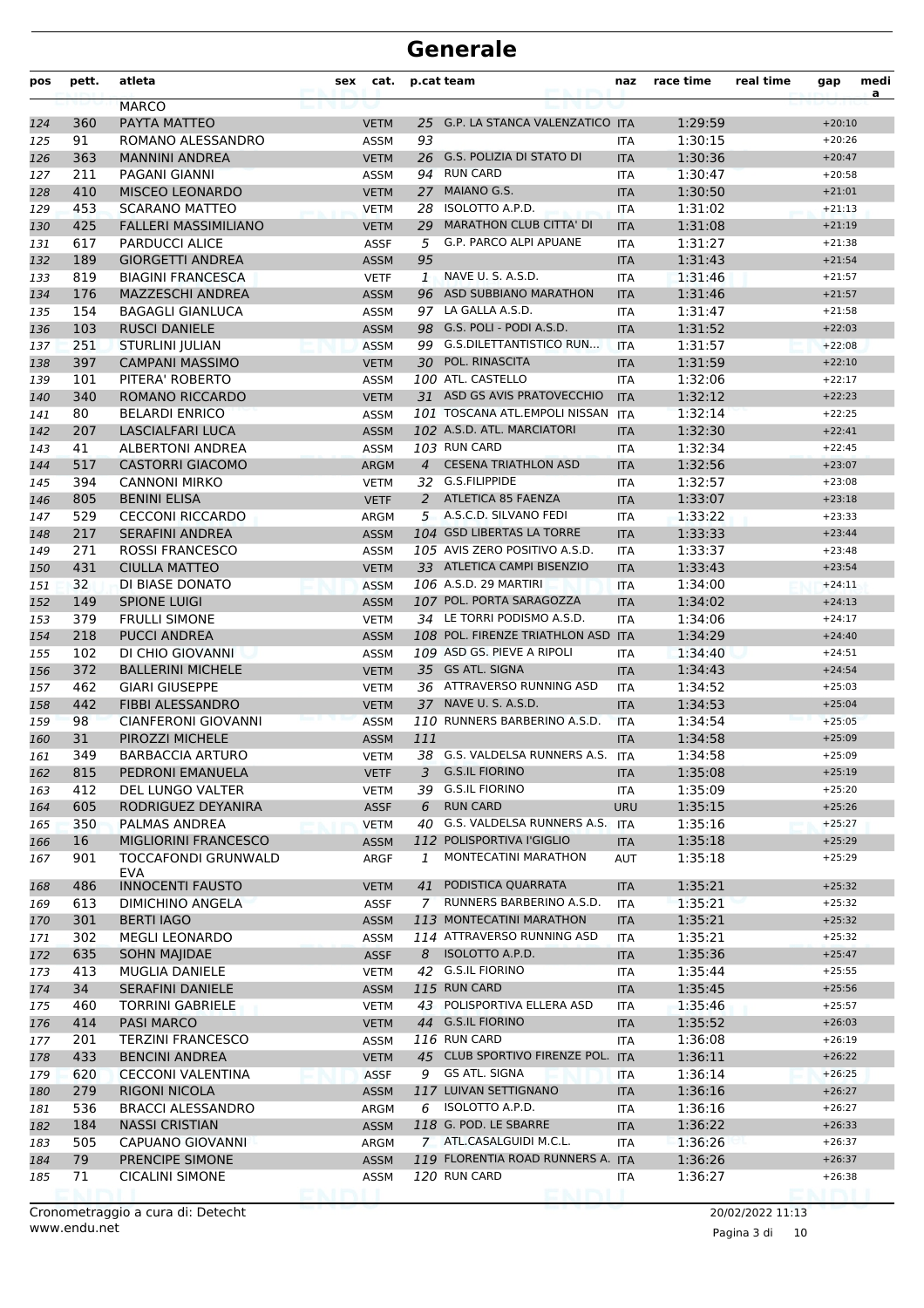| pos        | pett.      | atleta                                  | sex | cat.                       |                | p.cat team                                     | naz                      | race time          | real time | gap                  | medi<br>a |
|------------|------------|-----------------------------------------|-----|----------------------------|----------------|------------------------------------------------|--------------------------|--------------------|-----------|----------------------|-----------|
|            |            | <b>MARCO</b>                            |     |                            |                |                                                |                          |                    |           |                      |           |
| 124        | 360        | PAYTA MATTEO                            |     | <b>VETM</b>                | 25             | G.P. LA STANCA VALENZATICO ITA                 |                          | 1:29:59            |           | $+20:10$             |           |
| 125        | 91         | ROMANO ALESSANDRO                       |     | <b>ASSM</b>                | 93             |                                                | <b>ITA</b>               | 1:30:15            |           | $+20:26$<br>$+20:47$ |           |
| 126        | 363        | <b>MANNINI ANDREA</b>                   |     | <b>VETM</b>                | 94             | 26 G.S. POLIZIA DI STATO DI<br><b>RUN CARD</b> | <b>ITA</b>               | 1:30:36            |           | $+20:58$             |           |
| 127<br>128 | 211<br>410 | PAGANI GIANNI<br><b>MISCEO LEONARDO</b> |     | ASSM<br><b>VETM</b>        | 27             | MAIANO G.S.                                    | <b>ITA</b><br><b>ITA</b> | 1:30:47<br>1:30:50 |           | $+21:01$             |           |
|            | 453        | <b>SCARANO MATTEO</b>                   |     |                            | 28             | ISOLOTTO A.P.D.                                |                          | 1:31:02            |           | $+21:13$             |           |
| 129<br>130 | 425        | <b>FALLERI MASSIMILIANO</b>             |     | <b>VETM</b><br><b>VETM</b> | 29             | <b>MARATHON CLUB CITTA' DI</b>                 | <b>ITA</b><br><b>ITA</b> | 1:31:08            |           | $+21:19$             |           |
| 131        | 617        | <b>PARDUCCI ALICE</b>                   |     | <b>ASSF</b>                | 5              | G.P. PARCO ALPI APUANE                         | <b>ITA</b>               | 1:31:27            |           | $+21:38$             |           |
| 132        | 189        | <b>GIORGETTI ANDREA</b>                 |     | <b>ASSM</b>                | 95             |                                                | <b>ITA</b>               | 1:31:43            |           | $+21:54$             |           |
| 133        | 819        | <b>BIAGINI FRANCESCA</b>                |     | <b>VETF</b>                | $\mathbf{1}$   | NAVE U. S. A.S.D.                              | <b>ITA</b>               | 1:31:46            |           | $+21:57$             |           |
| 134        | 176        | <b>MAZZESCHI ANDREA</b>                 |     | <b>ASSM</b>                |                | 96 ASD SUBBIANO MARATHON                       | <b>ITA</b>               | 1:31:46            |           | $+21:57$             |           |
| 135        | 154        | <b>BAGAGLI GIANLUCA</b>                 |     | <b>ASSM</b>                |                | 97 LA GALLA A.S.D.                             | <b>ITA</b>               | 1:31:47            |           | $+21:58$             |           |
| 136        | 103        | <b>RUSCI DANIELE</b>                    |     | <b>ASSM</b>                |                | 98 G.S. POLI - PODI A.S.D.                     | <b>ITA</b>               | 1:31:52            |           | $+22:03$             |           |
| 137        | 251        | <b>STURLINI JULIAN</b>                  |     | <b>ASSM</b>                |                | 99 G.S.DILETTANTISTICO RUN                     | <b>ITA</b>               | 1:31:57            |           | $+22:08$             |           |
| 138        | 397        | <b>CAMPANI MASSIMO</b>                  |     | <b>VETM</b>                |                | 30 POL. RINASCITA                              | <b>ITA</b>               | 1:31:59            |           | $+22:10$             |           |
| 139        | 101        | PITERA' ROBERTO                         |     | ASSM                       |                | 100 ATL. CASTELLO                              | <b>ITA</b>               | 1:32:06            |           | $+22:17$             |           |
| 140        | 340        | <b>ROMANO RICCARDO</b>                  |     | <b>VETM</b>                |                | 31 ASD GS AVIS PRATOVECCHIO                    | <b>ITA</b>               | 1:32:12            |           | $+22:23$             |           |
| 141        | 80         | <b>BELARDI ENRICO</b>                   |     | <b>ASSM</b>                |                | 101 TOSCANA ATL.EMPOLI NISSAN                  | <b>ITA</b>               | 1:32:14            |           | $+22:25$             |           |
| 142        | 207        | <b>LASCIALFARI LUCA</b>                 |     | <b>ASSM</b>                |                | 102 A.S.D. ATL. MARCIATORI                     | <b>ITA</b>               | 1:32:30            |           | $+22:41$             |           |
| 143        | 41         | <b>ALBERTONI ANDREA</b>                 |     | <b>ASSM</b>                |                | 103 RUN CARD                                   | <b>ITA</b>               | 1:32:34            |           | $+22:45$             |           |
| 144        | 517        | <b>CASTORRI GIACOMO</b>                 |     | <b>ARGM</b>                |                | 4 CESENA TRIATHLON ASD                         | <b>ITA</b>               | 1:32:56            |           | $+23:07$             |           |
| 145        | 394        | <b>CANNONI MIRKO</b>                    |     | VETM                       |                | 32 G.S.FILIPPIDE                               | <b>ITA</b>               | 1:32:57            |           | $+23:08$             |           |
| 146        | 805        | <b>BENINI ELISA</b>                     |     | <b>VETF</b>                |                | 2 ATLETICA 85 FAENZA                           | <b>ITA</b>               | 1:33:07            |           | $+23:18$             |           |
| 147        | 529        | <b>CECCONI RICCARDO</b>                 |     | ARGM                       |                | 5 A.S.C.D. SILVANO FEDI                        | <b>ITA</b>               | 1:33:22            |           | $+23:33$             |           |
| 148        | 217        | <b>SERAFINI ANDREA</b>                  |     | <b>ASSM</b>                |                | 104 GSD LIBERTAS LA TORRE                      | <b>ITA</b>               | 1:33:33            |           | $+23:44$             |           |
| 149        | 271        | <b>ROSSI FRANCESCO</b>                  |     | <b>ASSM</b>                |                | 105 AVIS ZERO POSITIVO A.S.D.                  | <b>ITA</b>               | 1:33:37            |           | $+23:48$             |           |
| 150        | 431        | <b>CIULLA MATTEO</b>                    |     | <b>VETM</b>                |                | 33 ATLETICA CAMPI BISENZIO                     | <b>ITA</b>               | 1:33:43            |           | $+23:54$             |           |
| 151        | 32         | DI BIASE DONATO                         |     | <b>ASSM</b>                |                | 106 A.S.D. 29 MARTIRI                          | <b>ITA</b>               | 1:34:00            |           | $+24:11$             |           |
| 152        | 149        | <b>SPIONE LUIGI</b>                     |     | <b>ASSM</b>                |                | 107 POL. PORTA SARAGOZZA                       | <b>ITA</b>               | 1:34:02            |           | $+24:13$             |           |
| 153        | 379        | <b>FRULLI SIMONE</b>                    |     | <b>VETM</b>                |                | 34 LE TORRI PODISMO A.S.D.                     | <b>ITA</b>               | 1:34:06            |           | $+24:17$             |           |
| 154        | 218        | <b>PUCCI ANDREA</b>                     |     | <b>ASSM</b>                |                | 108 POL. FIRENZE TRIATHLON ASD ITA             |                          | 1:34:29            |           | $+24:40$             |           |
| 155        | 102        | DI CHIO GIOVANNI                        |     | <b>ASSM</b>                |                | 109 ASD GS. PIEVE A RIPOLI                     | <b>ITA</b>               | 1:34:40            |           | $+24:51$             |           |
| 156        | 372        | <b>BALLERINI MICHELE</b>                |     | <b>VETM</b>                |                | 35 GS ATL. SIGNA                               | <b>ITA</b>               | 1:34:43            |           | $+24:54$             |           |
| 157        | 462        | <b>GIARI GIUSEPPE</b>                   |     | VETM                       |                | 36 ATTRAVERSO RUNNING ASD                      | <b>ITA</b>               | 1:34:52            |           | $+25:03$             |           |
| 158        | 442        | <b>FIBBI ALESSANDRO</b>                 |     | <b>VETM</b>                |                | 37 NAVE U. S. A.S.D.                           | <b>ITA</b>               | 1:34:53            |           | $+25:04$             |           |
| 159        | 98         | <b>CIANFERONI GIOVANNI</b>              |     | <b>ASSM</b>                |                | 110 RUNNERS BARBERINO A.S.D.                   | <b>ITA</b>               | 1:34:54            |           | $+25:05$             |           |
| 160        | 31         | PIROZZI MICHELE                         |     | <b>ASSM</b>                | 111            |                                                | <b>ITA</b>               | 1:34:58            |           | $+25:09$             |           |
| 161        | 349        | <b>BARBACCIA ARTURO</b>                 |     | <b>VETM</b>                |                | 38 G.S. VALDELSA RUNNERS A.S.                  | <b>ITA</b>               | 1:34:58            |           | $+25:09$             |           |
| 162        | 815        | PEDRONI EMANUELA                        |     | <b>VETF</b>                | 3              | <b>G.S.IL FIORINO</b>                          | <b>ITA</b>               | 1:35:08            |           | $+25:19$             |           |
| 163        | 412        | DEL LUNGO VALTER                        |     | VETM                       | 39             | <b>G.S.IL FIORINO</b>                          | ITA                      | 1:35:09            |           | $+25:20$             |           |
| 164        | 605        | RODRIGUEZ DEYANIRA                      |     | <b>ASSF</b>                | 6              | <b>RUN CARD</b>                                | <b>URU</b>               | 1:35:15            |           | $+25:26$             |           |
| 165        | 350        | PALMAS ANDREA                           |     | <b>VETM</b>                |                | 40 G.S. VALDELSA RUNNERS A.S.                  | <b>ITA</b>               | 1:35:16            |           | $+25:27$             |           |
| 166        | 16         | MIGLIORINI FRANCESCO                    |     | <b>ASSM</b>                |                | 112 POLISPORTIVA l'GIGLIO                      | <b>ITA</b>               | 1:35:18            |           | $+25:29$             |           |
| 167        | 901        | TOCCAFONDI GRUNWALD<br>EVA              |     | ARGF                       | 1              | MONTECATINI MARATHON                           | AUT                      | 1:35:18            |           | $+25:29$             |           |
| 168        | 486        | <b>INNOCENTI FAUSTO</b>                 |     | VETM                       | 41             | PODISTICA QUARRATA                             | <b>ITA</b>               | 1:35:21            |           | $+25:32$             |           |
| 169        | 613        | <b>DIMICHINO ANGELA</b>                 |     | <b>ASSF</b>                | $\overline{7}$ | RUNNERS BARBERINO A.S.D.                       | ITA                      | 1:35:21            |           | $+25:32$             |           |
| 170        | 301        | <b>BERTI IAGO</b>                       |     | <b>ASSM</b>                |                | 113 MONTECATINI MARATHON                       | <b>ITA</b>               | 1:35:21            |           | $+25:32$             |           |
| 171        | 302        | <b>MEGLI LEONARDO</b>                   |     | ASSM                       |                | 114 ATTRAVERSO RUNNING ASD                     | ITA                      | 1:35:21            |           | $+25:32$             |           |
| 172        | 635        | <b>SOHN MAJIDAE</b>                     |     | <b>ASSF</b>                | 8              | ISOLOTTO A.P.D.                                | <b>ITA</b>               | 1:35:36            |           | $+25:47$             |           |
| 173        | 413        | MUGLIA DANIELE                          |     | VETM                       |                | 42 G.S.IL FIORINO                              | <b>ITA</b>               | 1:35:44            |           | $+25:55$             |           |
| 174        | 34         | <b>SERAFINI DANIELE</b>                 |     | <b>ASSM</b>                |                | 115 RUN CARD                                   | <b>ITA</b>               | 1:35:45            |           | $+25:56$             |           |
| 175        | 460        | <b>TORRINI GABRIELE</b>                 |     | VETM                       |                | 43 POLISPORTIVA ELLERA ASD                     | ITA                      | 1:35:46            |           | $+25:57$             |           |
| 176        | 414        | <b>PASI MARCO</b>                       |     | <b>VETM</b>                |                | 44 G.S.IL FIORINO                              | <b>ITA</b>               | 1:35:52            |           | $+26:03$             |           |
| 177        | 201        | <b>TERZINI FRANCESCO</b>                |     | ASSM                       |                | 116 RUN CARD                                   | ITA                      | 1:36:08            |           | $+26:19$             |           |
| 178        | 433        | <b>BENCINI ANDREA</b>                   |     | <b>VETM</b>                |                | 45 CLUB SPORTIVO FIRENZE POL. ITA              |                          | 1:36:11            |           | $+26:22$             |           |
| 179        | 620        | <b>CECCONI VALENTINA</b>                |     | <b>ASSF</b>                | 9              | GS ATL. SIGNA                                  | <b>ITA</b>               | 1:36:14            |           | $+26:25$             |           |
| 180        | 279        | RIGONI NICOLA                           |     | <b>ASSM</b>                |                | 117 LUIVAN SETTIGNANO                          | <b>ITA</b>               | 1:36:16            |           | $+26:27$             |           |
| 181        | 536        | <b>BRACCI ALESSANDRO</b>                |     | ARGM                       |                | $6$ ISOLOTTO A.P.D.                            | ITA                      | 1:36:16            |           | $+26:27$             |           |
| 182        | 184        | <b>NASSI CRISTIAN</b>                   |     | <b>ASSM</b>                |                | 118 G. POD. LE SBARRE                          | <b>ITA</b>               | 1:36:22            |           | $+26:33$             |           |
| 183        | 505        | CAPUANO GIOVANNI                        |     | ARGM                       |                | 7 ATL.CASALGUIDI M.C.L.                        | ITA                      | 1:36:26            |           | $+26:37$             |           |
| 184        | 79         | PRENCIPE SIMONE                         |     | <b>ASSM</b>                |                | 119 FLORENTIA ROAD RUNNERS A. ITA              |                          | 1:36:26            |           | $+26:37$             |           |
| 185        | 71         | <b>CICALINI SIMONE</b>                  |     | <b>ASSM</b>                |                | 120 RUN CARD                                   | ITA                      | 1:36:27            |           | $+26:38$             |           |
|            |            |                                         |     |                            |                |                                                |                          |                    |           |                      |           |

Pagina 3 di 10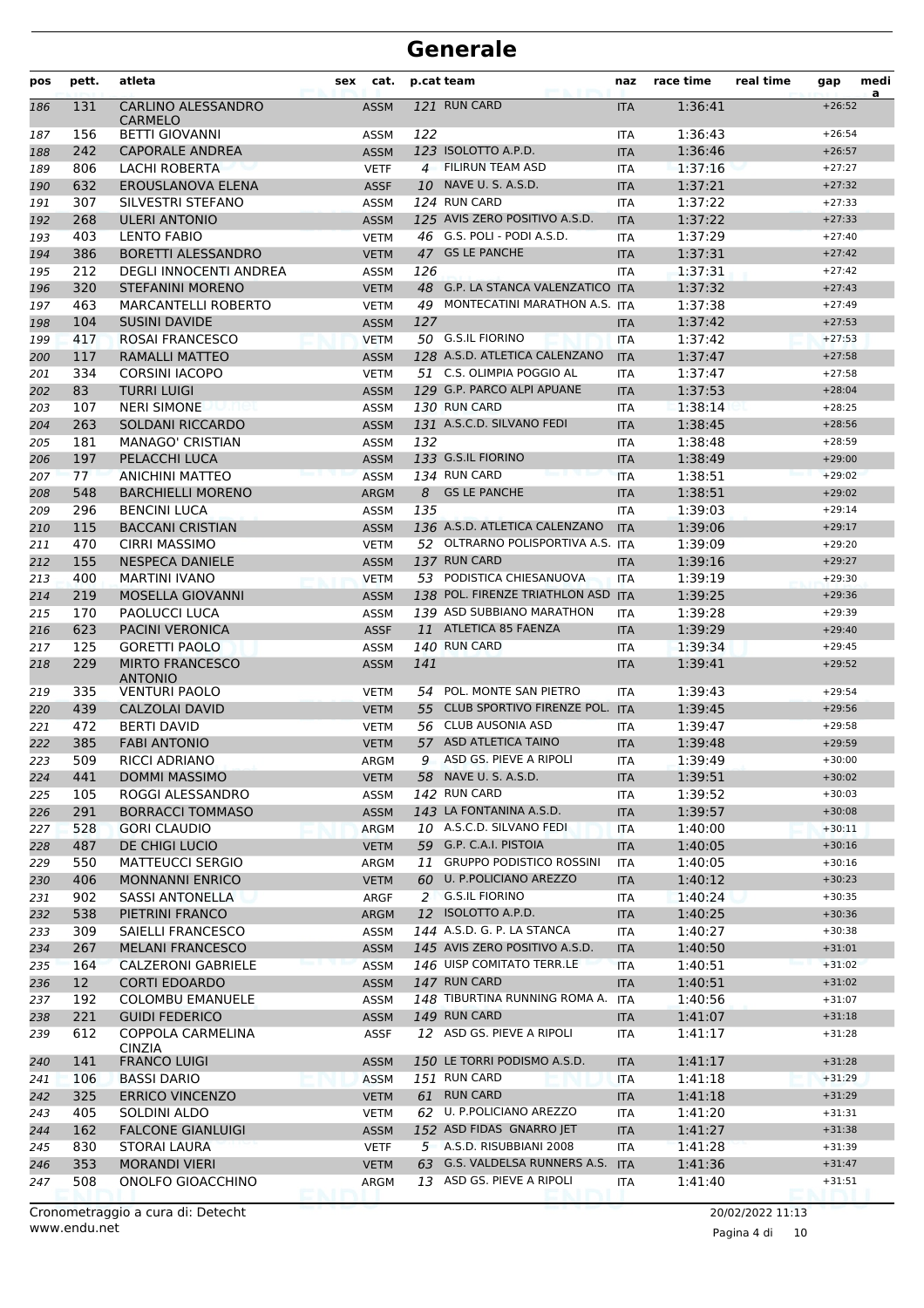| pos        | pett.           | atleta                                           | sex | cat.                       |     | p.cat team                                                | naz        | race time          | real time | gap                  | medi<br>a |
|------------|-----------------|--------------------------------------------------|-----|----------------------------|-----|-----------------------------------------------------------|------------|--------------------|-----------|----------------------|-----------|
| 186        | 131             | <b>CARLINO ALESSANDRO</b><br><b>CARMELO</b>      |     | <b>ASSM</b>                |     | 121 RUN CARD                                              | <b>ITA</b> | 1:36:41            |           | $+26:52$             |           |
| 187        | 156             | <b>BETTI GIOVANNI</b>                            |     | <b>ASSM</b>                | 122 |                                                           | <b>ITA</b> | 1:36:43            |           | $+26:54$             |           |
| 188        | 242             | <b>CAPORALE ANDREA</b>                           |     | <b>ASSM</b>                |     | 123 ISOLOTTO A.P.D.                                       | <b>ITA</b> | 1:36:46            |           | $+26:57$             |           |
| 189        | 806             | LACHI ROBERTA                                    |     | <b>VETF</b>                |     | 4 FILIRUN TEAM ASD                                        | <b>ITA</b> | 1:37:16            |           | $+27:27$             |           |
| 190        | 632             | EROUSLANOVA ELENA                                |     | <b>ASSF</b>                |     | 10 NAVE U. S. A.S.D.                                      | <b>ITA</b> | 1:37:21            |           | $+27:32$             |           |
| 191        | 307             | SILVESTRI STEFANO                                |     | <b>ASSM</b>                |     | 124 RUN CARD                                              | <b>ITA</b> | 1:37:22            |           | $+27:33$             |           |
| 192        | 268             | <b>ULERI ANTONIO</b>                             |     | <b>ASSM</b>                |     | 125 AVIS ZERO POSITIVO A.S.D.                             | <b>ITA</b> | 1:37:22            |           | $+27:33$             |           |
| 193        | 403             | <b>LENTO FABIO</b>                               |     | <b>VETM</b>                |     | 46 G.S. POLI - PODI A.S.D.                                | <b>ITA</b> | 1:37:29            |           | $+27:40$             |           |
| 194        | 386             | <b>BORETTI ALESSANDRO</b>                        |     | <b>VETM</b>                |     | 47 GS LE PANCHE                                           | <b>ITA</b> | 1:37:31            |           | $+27:42$             |           |
| 195        | 212             | DEGLI INNOCENTI ANDREA                           |     | <b>ASSM</b>                | 126 |                                                           | <b>ITA</b> | 1:37:31            |           | $+27:42$             |           |
| 196        | 320             | <b>STEFANINI MORENO</b>                          |     | <b>VETM</b>                |     | 48 G.P. LA STANCA VALENZATICO ITA                         |            | 1:37:32            |           | $+27:43$             |           |
| 197        | 463             | <b>MARCANTELLI ROBERTO</b>                       |     | <b>VETM</b>                |     | 49 MONTECATINI MARATHON A.S. ITA                          |            | 1:37:38            |           | $+27:49$             |           |
| 198        | 104             | <b>SUSINI DAVIDE</b>                             |     | <b>ASSM</b>                | 127 |                                                           | <b>ITA</b> | 1:37:42            |           | $+27:53$             |           |
| 199        | 417             | ROSAI FRANCESCO                                  |     | <b>VETM</b>                |     | 50 G.S.IL FIORINO                                         | <b>ITA</b> | 1:37:42            |           | $+27:53$             |           |
| 200        | 117             | RAMALLI MATTEO                                   |     | <b>ASSM</b>                |     | 128 A.S.D. ATLETICA CALENZANO                             | <b>ITA</b> | 1:37:47            |           | $+27:58$             |           |
| 201        | 334             | <b>CORSINI IACOPO</b>                            |     | <b>VETM</b>                |     | 51 C.S. OLIMPIA POGGIO AL                                 | <b>ITA</b> | 1:37:47            |           | $+27:58$             |           |
| 202        | 83              | <b>TURRI LUIGI</b>                               |     | <b>ASSM</b>                |     | 129 G.P. PARCO ALPI APUANE                                | <b>ITA</b> | 1:37:53            |           | $+28:04$             |           |
| 203        | 107             | <b>NERI SIMONE</b><br>wnet                       |     | <b>ASSM</b>                |     | 130 RUN CARD                                              | <b>ITA</b> | 1:38:14            |           | $+28:25$             |           |
| 204        | 263             | <b>SOLDANI RICCARDO</b>                          |     | <b>ASSM</b>                |     | 131 A.S.C.D. SILVANO FEDI                                 | <b>ITA</b> | 1:38:45            |           | $+28:56$             |           |
| 205        | 181             | <b>MANAGO' CRISTIAN</b>                          |     | <b>ASSM</b>                | 132 |                                                           | <b>ITA</b> | 1:38:48            |           | $+28:59$             |           |
| 206        | 197             | PELACCHI LUCA                                    |     | <b>ASSM</b>                |     | 133 G.S.IL FIORINO                                        | <b>ITA</b> | 1:38:49            |           | $+29:00$             |           |
| 207        | 77              | <b>ANICHINI MATTEO</b>                           |     | <b>ASSM</b>                |     | 134 RUN CARD                                              | <b>ITA</b> | 1:38:51            |           | $+29:02$             |           |
| 208        | 548             | <b>BARCHIELLI MORENO</b>                         |     | <b>ARGM</b>                | 8   | <b>GS LE PANCHE</b>                                       | <b>ITA</b> | 1:38:51            |           | $+29:02$             |           |
| 209        | 296             | <b>BENCINI LUCA</b>                              |     | <b>ASSM</b>                | 135 |                                                           | <b>ITA</b> | 1:39:03            |           | $+29:14$             |           |
| 210        | 115             | <b>BACCANI CRISTIAN</b>                          |     | <b>ASSM</b>                |     | 136 A.S.D. ATLETICA CALENZANO                             | <b>ITA</b> | 1:39:06            |           | $+29:17$             |           |
| 211        | 470             | <b>CIRRI MASSIMO</b>                             |     | <b>VETM</b>                |     | 52 OLTRARNO POLISPORTIVA A.S. ITA                         |            | 1:39:09            |           | $+29:20$             |           |
| 212        | 155             | <b>NESPECA DANIELE</b>                           |     | <b>ASSM</b>                |     | 137 RUN CARD                                              | <b>ITA</b> | 1:39:16            |           | $+29:27$             |           |
| 213        | 400             | <b>MARTINI IVANO</b>                             |     | <b>VETM</b>                |     | 53 PODISTICA CHIESANUOVA                                  | <b>ITA</b> | 1:39:19            |           | $+29:30$             |           |
| 214        | 219             | <b>MOSELLA GIOVANNI</b>                          |     | <b>ASSM</b>                |     | 138 POL. FIRENZE TRIATHLON ASD ITA                        |            | 1:39:25            |           | $+29:36$             |           |
| 215        | 170             | <b>PAOLUCCI LUCA</b>                             |     | <b>ASSM</b>                |     | 139 ASD SUBBIANO MARATHON                                 | <b>ITA</b> | 1:39:28            |           | $+29:39$             |           |
| 216        | 623             | <b>PACINI VERONICA</b>                           |     | <b>ASSF</b>                |     | 11 ATLETICA 85 FAENZA                                     | <b>ITA</b> | 1:39:29            |           | $+29:40$             |           |
| 217        | 125             | <b>GORETTI PAOLO</b>                             |     | <b>ASSM</b>                |     | 140 RUN CARD                                              | <b>ITA</b> | 1:39:34            |           | $+29:45$             |           |
| 218        | 229             | <b>MIRTO FRANCESCO</b><br><b>ANTONIO</b>         |     | <b>ASSM</b>                | 141 |                                                           | <b>ITA</b> | 1:39:41            |           | $+29:52$             |           |
| 219        | 335             | <b>VENTURI PAOLO</b>                             |     | <b>VETM</b>                |     | 54 POL. MONTE SAN PIETRO                                  | <b>ITA</b> | 1:39:43            |           | $+29:54$             |           |
| 220        | 439             | <b>CALZOLAI DAVID</b>                            |     | <b>VETM</b>                | 55  | CLUB SPORTIVO FIRENZE POL. ITA                            |            | 1:39:45            |           | $+29:56$             |           |
| 221        | 472             | <b>BERTI DAVID</b>                               |     | <b>VETM</b>                |     | 56 CLUB AUSONIA ASD                                       | <b>ITA</b> | 1:39:47            |           | $+29:58$             |           |
| 222        | 385             | <b>FABI ANTONIO</b>                              |     | <b>VETM</b>                |     | 57 ASD ATLETICA TAINO                                     | <b>ITA</b> | 1:39:48            |           | $+29:59$             |           |
| 223        | 509             | RICCI ADRIANO                                    |     | ARGM                       | 9   | ASD GS. PIEVE A RIPOLI                                    | <b>ITA</b> | 1:39:49            |           | $+30:00$             |           |
| 224        | 441             | <b>DOMMI MASSIMO</b>                             |     | <b>VETM</b>                |     | 58 NAVE U. S. A.S.D.                                      | ITA        | 1:39:51            |           | $+30:02$             |           |
| 225        | 105             | ROGGI ALESSANDRO                                 |     | ASSM                       |     | 142 RUN CARD                                              | ITA        | 1:39:52            |           | $+30:03$             |           |
| 226        | 291             | <b>BORRACCI TOMMASO</b>                          |     | <b>ASSM</b>                |     | 143 LA FONTANINA A.S.D.                                   | <b>ITA</b> | 1:39:57            |           | $+30:08$             |           |
| 227        | 528             | <b>GORI CLAUDIO</b>                              |     | <b>ARGM</b>                |     | 10 A.S.C.D. SILVANO FEDI                                  | ITA        | 1:40:00            |           | $+30:11$             |           |
| 228        | 487             | DE CHIGI LUCIO                                   |     | <b>VETM</b>                |     | 59 G.P. C.A.I. PISTOIA<br><b>GRUPPO PODISTICO ROSSINI</b> | <b>ITA</b> | 1:40:05            |           | $+30:16$             |           |
| 229        | 550             | <b>MATTEUCCI SERGIO</b>                          |     | ARGM                       | 11  | 60 U. P.POLICIANO AREZZO                                  | ITA        | 1:40:05            |           | $+30:16$             |           |
| 230        | 406             | <b>MONNANNI ENRICO</b>                           |     | <b>VETM</b>                |     |                                                           | <b>ITA</b> | 1:40:12            |           | $+30:23$             |           |
| 231        | 902             | SASSI ANTONELLA                                  |     | ARGF                       |     | 2 G.S.IL FIORINO                                          | ITA        | 1:40:24            |           | $+30:35$             |           |
| 232        | 538             | PIETRINI FRANCO                                  |     | <b>ARGM</b>                |     | 12 ISOLOTTO A.P.D.<br>144 A.S.D. G. P. LA STANCA          | <b>ITA</b> | 1:40:25<br>1:40:27 |           | $+30:36$             |           |
| 233        | 309             | SAIELLI FRANCESCO                                |     | ASSM                       |     | 145 AVIS ZERO POSITIVO A.S.D.                             | ITA        |                    |           | $+30:38$             |           |
| 234        | 267             | <b>MELANI FRANCESCO</b>                          |     | <b>ASSM</b>                |     | 146 UISP COMITATO TERR.LE                                 | <b>ITA</b> | 1:40:50            |           | $+31:01$<br>$+31:02$ |           |
| 235        | 164             | <b>CALZERONI GABRIELE</b>                        |     | <b>ASSM</b>                |     | 147 RUN CARD                                              | <b>ITA</b> | 1:40:51            |           |                      |           |
| 236        | 12 <sup>2</sup> | <b>CORTI EDOARDO</b>                             |     | <b>ASSM</b>                |     | 148 TIBURTINA RUNNING ROMA A.                             | <b>ITA</b> | 1:40:51            |           | $+31:02$<br>$+31:07$ |           |
| 237        | 192<br>221      | <b>COLOMBU EMANUELE</b><br><b>GUIDI FEDERICO</b> |     | ASSM                       |     | <b>149 RUN CARD</b>                                       | <b>ITA</b> | 1:40:56            |           | $+31:18$             |           |
| 238        | 612             | COPPOLA CARMELINA                                |     | <b>ASSM</b>                |     | 12 ASD GS. PIEVE A RIPOLI                                 | <b>ITA</b> | 1:41:07            |           | $+31:28$             |           |
| 239        |                 | <b>CINZIA</b>                                    |     | <b>ASSF</b>                |     |                                                           | ITA        | 1:41:17            |           |                      |           |
| 240        | 141             | <b>FRANCO LUIGI</b>                              |     | <b>ASSM</b>                |     | 150 LE TORRI PODISMO A.S.D.                               | ITA        | 1:41:17            |           | $+31:28$             |           |
| 241        | 106             | <b>BASSI DARIO</b>                               |     | <b>ASSM</b>                |     | 151 RUN CARD<br>61 RUN CARD                               | ITA        | 1:41:18            |           | $+31:29$             |           |
| 242        | 325<br>405      | <b>ERRICO VINCENZO</b>                           |     | <b>VETM</b>                |     | 62 U. P.POLICIANO AREZZO                                  | <b>ITA</b> | 1:41:18            |           | $+31:29$             |           |
| 243        | 162             | SOLDINI ALDO<br><b>FALCONE GIANLUIGI</b>         |     | <b>VETM</b><br><b>ASSM</b> |     | 152 ASD FIDAS GNARRO JET                                  | ITA        | 1:41:20<br>1:41:27 |           | $+31:31$<br>$+31:38$ |           |
| 244        | 830             | <b>STORAI LAURA</b>                              |     |                            |     | 5 A.S.D. RISUBBIANI 2008                                  | <b>ITA</b> |                    |           | $+31:39$             |           |
| 245<br>246 | 353             | <b>MORANDI VIERI</b>                             |     | <b>VETF</b><br><b>VETM</b> |     | 63 G.S. VALDELSA RUNNERS A.S. ITA                         | ITA        | 1:41:28<br>1:41:36 |           | $+31:47$             |           |
| 247        | 508             | ONOLFO GIOACCHINO                                |     | ARGM                       |     | 13 ASD GS. PIEVE A RIPOLI                                 | ITA        | 1:41:40            |           | $+31:51$             |           |
|            |                 |                                                  |     |                            |     |                                                           |            |                    |           |                      |           |

Pagina 4 di 10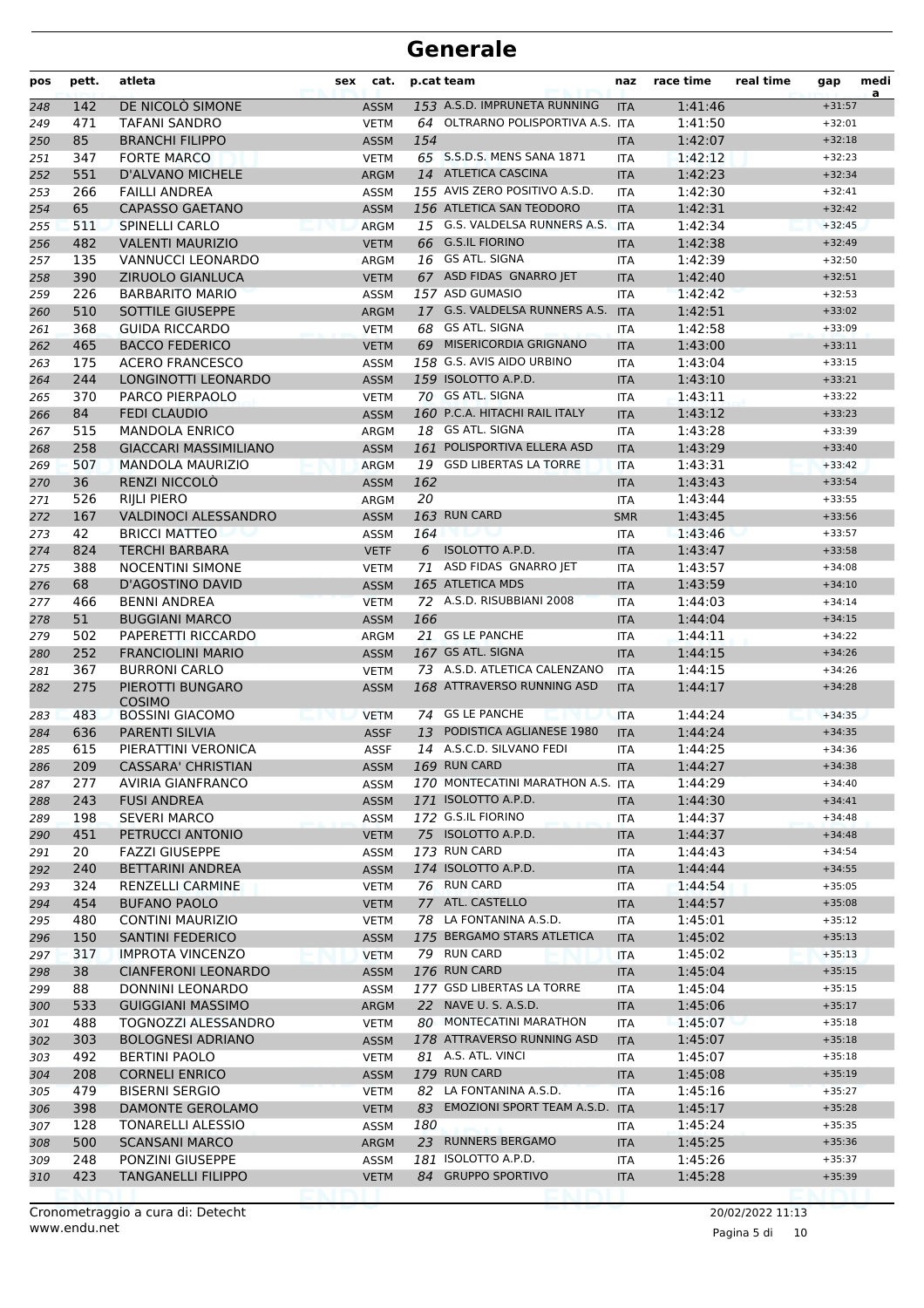| pos        | pett.      | atleta                                          | cat.<br>sex                |     | p.cat team                                        | naz                      | race time          | real time | gap                  | medi<br>a |
|------------|------------|-------------------------------------------------|----------------------------|-----|---------------------------------------------------|--------------------------|--------------------|-----------|----------------------|-----------|
| 248        | 142        | DE NICOLO SIMONE                                | <b>ASSM</b>                |     | 153 A.S.D. IMPRUNETA RUNNING                      | <b>ITA</b>               | 1:41:46            |           | $+31:57$             |           |
| 249        | 471        | <b>TAFANI SANDRO</b>                            | <b>VETM</b>                |     | 64 OLTRARNO POLISPORTIVA A.S. ITA                 |                          | 1:41:50            |           | $+32:01$             |           |
| 250        | 85         | <b>BRANCHI FILIPPO</b>                          | <b>ASSM</b>                | 154 |                                                   | <b>ITA</b>               | 1:42:07            |           | $+32:18$             |           |
| 251        | 347        | <b>FORTE MARCO</b>                              | <b>VETM</b>                |     | 65 S.S.D.S. MENS SANA 1871                        | <b>ITA</b>               | 1:42:12            |           | $+32:23$             |           |
| 252        | 551        | D'ALVANO MICHELE                                | <b>ARGM</b>                |     | 14 ATLETICA CASCINA                               | <b>ITA</b>               | 1:42:23            |           | $+32:34$             |           |
| 253        | 266        | <b>FAILLI ANDREA</b>                            | <b>ASSM</b>                |     | 155 AVIS ZERO POSITIVO A.S.D.                     | <b>ITA</b>               | 1:42:30            |           | $+32:41$             |           |
| 254        | 65         | <b>CAPASSO GAETANO</b>                          | <b>ASSM</b>                |     | 156 ATLETICA SAN TEODORO                          | <b>ITA</b>               | 1:42:31            |           | $+32:42$             |           |
| 255        | 511        | <b>SPINELLI CARLO</b>                           | <b>ARGM</b>                |     | 15 G.S. VALDELSA RUNNERS A.S.                     | <b>ITA</b>               | 1:42:34            |           | $+32:45$             |           |
| 256        | 482        | <b>VALENTI MAURIZIO</b>                         | <b>VETM</b>                |     | 66 G.S.IL FIORINO<br>16 GS ATL. SIGNA             | <b>ITA</b>               | 1:42:38            |           | $+32:49$<br>$+32:50$ |           |
| 257<br>258 | 135<br>390 | VANNUCCI LEONARDO<br><b>ZIRUOLO GIANLUCA</b>    | ARGM<br><b>VETM</b>        |     | 67 ASD FIDAS GNARRO JET                           | <b>ITA</b><br><b>ITA</b> | 1:42:39<br>1:42:40 |           | $+32:51$             |           |
| 259        | 226        | <b>BARBARITO MARIO</b>                          | <b>ASSM</b>                |     | 157 ASD GUMASIO                                   | <b>ITA</b>               | 1:42:42            |           | $+32:53$             |           |
| 260        | 510        | SOTTILE GIUSEPPE                                | <b>ARGM</b>                |     | 17 G.S. VALDELSA RUNNERS A.S.                     | <b>ITA</b>               | 1:42:51            |           | $+33:02$             |           |
| 261        | 368        | <b>GUIDA RICCARDO</b>                           | <b>VETM</b>                |     | 68 GS ATL. SIGNA                                  | ITA                      | 1:42:58            |           | $+33:09$             |           |
| 262        | 465        | <b>BACCO FEDERICO</b>                           | <b>VETM</b>                |     | 69 MISERICORDIA GRIGNANO                          | <b>ITA</b>               | 1:43:00            |           | $+33:11$             |           |
| 263        | 175        | <b>ACERO FRANCESCO</b>                          | <b>ASSM</b>                |     | 158 G.S. AVIS AIDO URBINO                         | <b>ITA</b>               | 1:43:04            |           | $+33:15$             |           |
| 264        | 244        | LONGINOTTI LEONARDO                             | <b>ASSM</b>                |     | 159 ISOLOTTO A.P.D.                               | <b>ITA</b>               | 1:43:10            |           | $+33:21$             |           |
| 265        | 370        | PARCO PIERPAOLO                                 | <b>VETM</b>                |     | 70 GS ATL. SIGNA                                  | <b>ITA</b>               | 1:43:11            |           | $+33:22$             |           |
| 266        | 84         | <b>FEDI CLAUDIO</b>                             | <b>ASSM</b>                |     | 160 P.C.A. HITACHI RAIL ITALY                     | <b>ITA</b>               | 1:43:12            |           | $+33:23$             |           |
| 267        | 515        | <b>MANDOLA ENRICO</b>                           | ARGM                       |     | 18 GS ATL, SIGNA                                  | <b>ITA</b>               | 1:43:28            |           | $+33:39$             |           |
| 268        | 258        | <b>GIACCARI MASSIMILIANO</b>                    | <b>ASSM</b>                |     | 161 POLISPORTIVA ELLERA ASD                       | <b>ITA</b>               | 1:43:29            |           | $+33:40$             |           |
| 269        | 507        | <b>MANDOLA MAURIZIO</b>                         | <b>ARGM</b>                |     | 19 GSD LIBERTAS LA TORRE                          | <b>ITA</b>               | 1:43:31            |           | $+33:42$             |           |
| 270        | 36         | RENZI NICCOLO                                   | <b>ASSM</b>                | 162 |                                                   | <b>ITA</b>               | 1:43:43            |           | $+33:54$             |           |
| 271        | 526        | RIJLI PIERO                                     | ARGM                       | 20  |                                                   | ITA                      | 1:43:44            |           | $+33:55$             |           |
| 272        | 167        | <b>VALDINOCI ALESSANDRO</b>                     | <b>ASSM</b>                |     | 163 RUN CARD                                      | <b>SMR</b>               | 1:43:45            |           | $+33:56$             |           |
| 273        | 42         | <b>BRICCI MATTEO</b>                            | <b>ASSM</b>                | 164 |                                                   | ITA                      | 1:43:46            |           | $+33:57$             |           |
| 274        | 824        | <b>TERCHI BARBARA</b>                           | <b>VETF</b>                | 6   | ISOLOTTO A.P.D.                                   | <b>ITA</b>               | 1:43:47            |           | $+33:58$             |           |
| 275        | 388        | <b>NOCENTINI SIMONE</b>                         | <b>VETM</b>                | 71  | ASD FIDAS GNARRO JET                              | <b>ITA</b>               | 1:43:57            |           | $+34:08$             |           |
| 276        | 68         | D'AGOSTINO DAVID                                | <b>ASSM</b>                |     | 165 ATLETICA MDS                                  | <b>ITA</b>               | 1:43:59            |           | $+34:10$             |           |
| 277        | 466        | <b>BENNI ANDREA</b>                             | <b>VETM</b>                |     | 72 A.S.D. RISUBBIANI 2008                         | <b>ITA</b>               | 1:44:03            |           | $+34:14$             |           |
| 278        | 51         | <b>BUGGIANI MARCO</b>                           | <b>ASSM</b>                | 166 |                                                   | <b>ITA</b>               | 1:44:04            |           | $+34:15$             |           |
| 279        | 502        | PAPERETTI RICCARDO                              | ARGM                       |     | 21 GS LE PANCHE                                   | <b>ITA</b>               | 1:44:11            |           | $+34:22$             |           |
| 280        | 252        | <b>FRANCIOLINI MARIO</b>                        | <b>ASSM</b>                |     | 167 GS ATL. SIGNA                                 | <b>ITA</b>               | 1:44:15            |           | $+34:26$             |           |
| 281        | 367        | <b>BURRONI CARLO</b>                            | <b>VETM</b>                |     | 73 A.S.D. ATLETICA CALENZANO                      | <b>ITA</b>               | 1:44:15            |           | $+34:26$             |           |
| 282        | 275        | PIEROTTI BUNGARO<br><b>COSIMO</b>               | <b>ASSM</b>                |     | 168 ATTRAVERSO RUNNING ASD                        | <b>ITA</b>               | 1:44:17            |           | $+34:28$             |           |
| 283        | 483        | <b>BOSSINI GIACOMO</b>                          | <b>VETM</b>                |     | 74 GS LE PANCHE                                   | <b>ITA</b>               | 1:44:24            |           | $+34:35$             |           |
| 284        | 636        | <b>PARENTI SILVIA</b>                           | <b>ASSF</b>                | 13  | PODISTICA AGLIANESE 1980                          | <b>ITA</b>               | 1:44:24            |           | $+34:35$             |           |
| 285        | 615        | PIERATTINI VERONICA                             | <b>ASSF</b>                |     | 14 A.S.C.D. SILVANO FEDI                          | <b>ITA</b>               | 1:44:25            |           | $+34:36$             |           |
| 286        | 209        | <b>CASSARA' CHRISTIAN</b>                       | ASSM                       |     | 169 RUN CARD                                      | <b>ITA</b>               | 1:44:27            |           | $+34:38$             |           |
| 287        | 277        | AVIRIA GIANFRANCO                               | <b>ASSM</b>                |     | 170 MONTECATINI MARATHON A.S. ITA                 |                          | 1:44:29            |           | $+34:40$             |           |
| 288        | 243        | <b>FUSI ANDREA</b>                              | <b>ASSM</b>                |     | 171 ISOLOTTO A.P.D.                               | <b>ITA</b>               | 1:44:30            |           | $+34:41$             |           |
| 289        | 198        | <b>SEVERI MARCO</b>                             | <b>ASSM</b>                |     | 172 G.S.IL FIORINO                                | ITA                      | 1:44:37            |           | $+34:48$             |           |
| 290        | 451        | PETRUCCI ANTONIO                                | <b>VETM</b>                |     | 75 ISOLOTTO A.P.D.                                | <b>ITA</b>               | 1:44:37            |           | $+34:48$             |           |
| 291        | 20         | <b>FAZZI GIUSEPPE</b>                           | <b>ASSM</b>                |     | 173 RUN CARD                                      | ITA                      | 1:44:43            |           | $+34:54$             |           |
| 292        | 240        | BETTARINI ANDREA                                | <b>ASSM</b>                |     | 174 ISOLOTTO A.P.D.                               | <b>ITA</b>               | 1:44:44            |           | $+34:55$             |           |
| 293        | 324        | <b>RENZELLI CARMINE</b>                         | <b>VETM</b>                |     | 76 RUN CARD                                       | ITA                      | 1:44:54            |           | $+35:05$             |           |
| 294        | 454        | <b>BUFANO PAOLO</b>                             | <b>VETM</b>                |     | 77 ATL. CASTELLO<br>78 LA FONTANINA A.S.D.        | <b>ITA</b>               | 1:44:57            |           | $+35:08$             |           |
| 295        | 480        | <b>CONTINI MAURIZIO</b>                         | <b>VETM</b>                |     | 175 BERGAMO STARS ATLETICA                        | ITA                      | 1:45:01            |           | $+35:12$             |           |
| 296        | 150        | SANTINI FEDERICO                                | <b>ASSM</b>                |     |                                                   | <b>ITA</b>               | 1:45:02            |           | $+35:13$             |           |
| 297        | 317        | <b>IMPROTA VINCENZO</b>                         | <b>VETM</b>                |     | 79 RUN CARD                                       | <b>ITA</b>               | 1:45:02            |           | $+35:13$             |           |
| 298        | 38         | <b>CIANFERONI LEONARDO</b>                      | <b>ASSM</b>                |     | 176 RUN CARD                                      | <b>ITA</b>               | 1:45:04            |           | $+35:15$             |           |
| 299        | 88         | DONNINI LEONARDO                                | <b>ASSM</b>                |     | 177 GSD LIBERTAS LA TORRE<br>22 NAVE U. S. A.S.D. | ITA                      | 1:45:04            |           | $+35:15$             |           |
| 300        | 533<br>488 | <b>GUIGGIANI MASSIMO</b><br>TOGNOZZI ALESSANDRO | <b>ARGM</b>                |     | 80 MONTECATINI MARATHON                           | <b>ITA</b>               | 1:45:06<br>1:45:07 |           | $+35:17$<br>$+35:18$ |           |
| 301        | 303        | <b>BOLOGNESI ADRIANO</b>                        | <b>VETM</b>                |     | 178 ATTRAVERSO RUNNING ASD                        | ITA                      | 1:45:07            |           | $+35:18$             |           |
| 302<br>303 | 492        | BERTINI PAOLO                                   | <b>ASSM</b><br><b>VETM</b> |     | 81 A.S. ATL. VINCI                                | <b>ITA</b><br>ITA        | 1:45:07            |           | $+35:18$             |           |
|            | 208        | <b>CORNELI ENRICO</b>                           | <b>ASSM</b>                |     | 179 RUN CARD                                      | <b>ITA</b>               | 1:45:08            |           | $+35:19$             |           |
| 304<br>305 | 479        | <b>BISERNI SERGIO</b>                           | <b>VETM</b>                |     | 82 LA FONTANINA A.S.D.                            | <b>ITA</b>               | 1:45:16            |           | $+35:27$             |           |
| 306        | 398        | DAMONTE GEROLAMO                                | <b>VETM</b>                | 83  | EMOZIONI SPORT TEAM A.S.D. ITA                    |                          | 1:45:17            |           | $+35:28$             |           |
| 307        | 128        | TONARELLI ALESSIO                               | <b>ASSM</b>                | 180 |                                                   | ITA                      | 1:45:24            |           | $+35:35$             |           |
| 308        | 500        | <b>SCANSANI MARCO</b>                           | ARGM                       |     | 23 RUNNERS BERGAMO                                | <b>ITA</b>               | 1:45:25            |           | $+35:36$             |           |
| 309        | 248        | PONZINI GIUSEPPE                                | <b>ASSM</b>                |     | 181 ISOLOTTO A.P.D.                               | <b>ITA</b>               | 1:45:26            |           | $+35:37$             |           |
| 310        | 423        | TANGANELLI FILIPPO                              | <b>VETM</b>                |     | 84 GRUPPO SPORTIVO                                | <b>ITA</b>               | 1:45:28            |           | $+35:39$             |           |
|            |            |                                                 |                            |     |                                                   |                          |                    |           |                      |           |

Pagina 5 di 10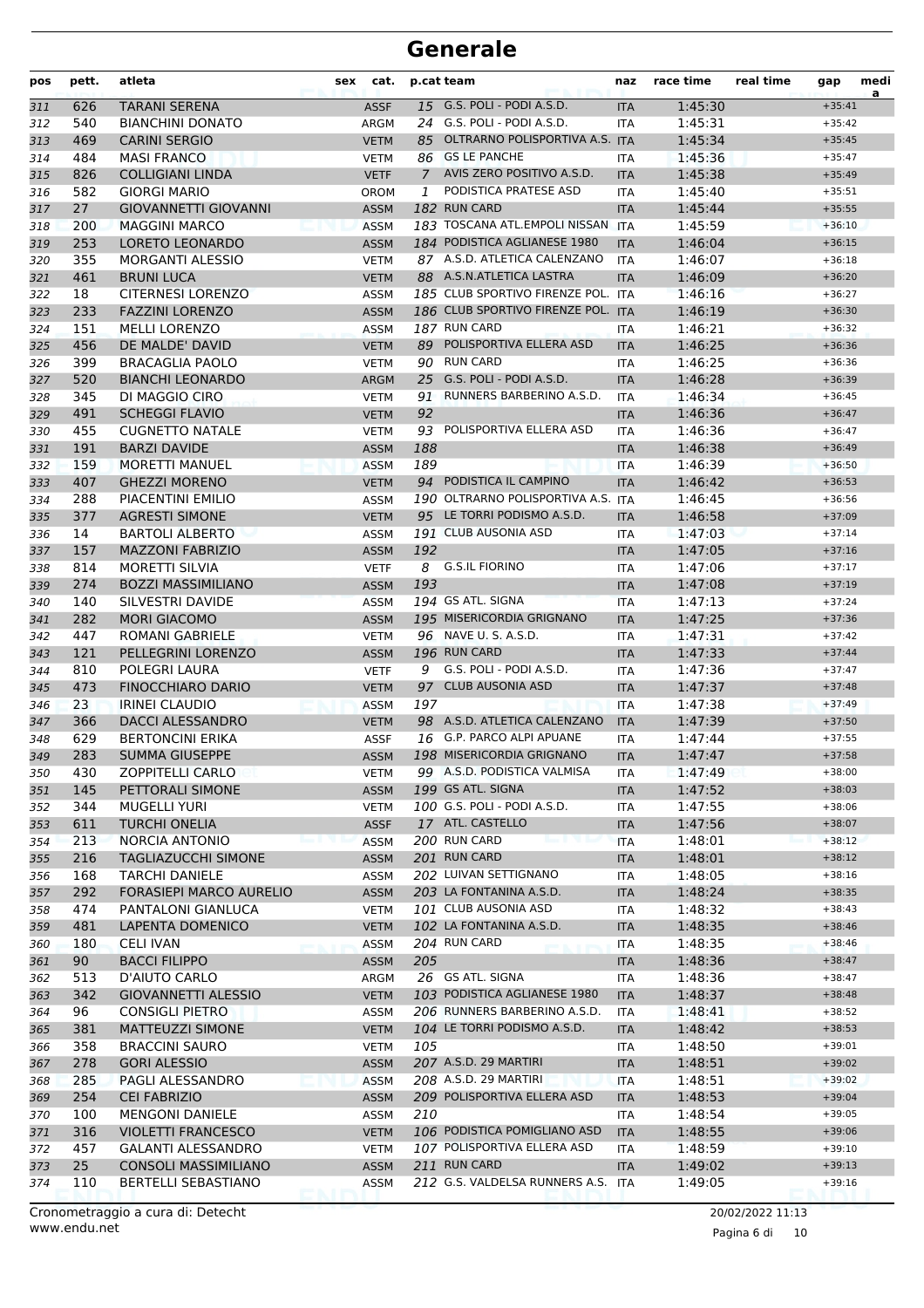| pos | pett. | atleta                            | sex | cat.        |               | p.cat team                         | naz        | race time | real time        | gap      | medi<br>a |
|-----|-------|-----------------------------------|-----|-------------|---------------|------------------------------------|------------|-----------|------------------|----------|-----------|
| 311 | 626   | <b>TARANI SERENA</b>              |     | <b>ASSF</b> |               | 15 G.S. POLI - PODI A.S.D.         | <b>ITA</b> | 1:45:30   |                  | $+35:41$ |           |
| 312 | 540   | <b>BIANCHINI DONATO</b>           |     | ARGM        |               | 24 G.S. POLI - PODI A.S.D.         | <b>ITA</b> | 1:45:31   |                  | $+35:42$ |           |
| 313 | 469   | <b>CARINI SERGIO</b>              |     | <b>VETM</b> |               | 85 OLTRARNO POLISPORTIVA A.S. ITA  |            | 1:45:34   |                  | $+35:45$ |           |
| 314 | 484   | <b>MASI FRANCO</b>                |     | <b>VETM</b> | 86            | <b>GS LE PANCHE</b>                | ITA        | 1:45:36   |                  | $+35:47$ |           |
| 315 | 826   | <b>COLLIGIANI LINDA</b>           |     | <b>VETF</b> | $\mathcal{I}$ | AVIS ZERO POSITIVO A.S.D.          | <b>ITA</b> | 1:45:38   |                  | $+35:49$ |           |
| 316 | 582   | <b>GIORGI MARIO</b>               |     | <b>OROM</b> | 1             | PODISTICA PRATESE ASD              | <b>ITA</b> | 1:45:40   |                  | $+35:51$ |           |
| 317 | 27    | <b>GIOVANNETTI GIOVANNI</b>       |     | <b>ASSM</b> |               | 182 RUN CARD                       | <b>ITA</b> | 1:45:44   |                  | $+35:55$ |           |
| 318 | 200   | <b>MAGGINI MARCO</b>              |     | <b>ASSM</b> |               | 183 TOSCANA ATL.EMPOLI NISSAN ITA  |            | 1:45:59   |                  | $+36:10$ |           |
| 319 | 253   | LORETO LEONARDO                   |     | <b>ASSM</b> |               | 184 PODISTICA AGLIANESE 1980       | <b>ITA</b> | 1:46:04   |                  | $+36:15$ |           |
| 320 | 355   | <b>MORGANTI ALESSIO</b>           |     | <b>VETM</b> |               | 87 A.S.D. ATLETICA CALENZANO       | <b>ITA</b> | 1:46:07   |                  | $+36:18$ |           |
| 321 | 461   | <b>BRUNI LUCA</b>                 |     | <b>VETM</b> |               | 88 A.S.N.ATLETICA LASTRA           | <b>ITA</b> | 1:46:09   |                  | $+36:20$ |           |
| 322 | 18    | <b>CITERNESI LORENZO</b>          |     | <b>ASSM</b> |               | 185 CLUB SPORTIVO FIRENZE POL. ITA |            | 1:46:16   |                  | $+36:27$ |           |
| 323 | 233   | <b>FAZZINI LORENZO</b>            |     | <b>ASSM</b> |               | 186 CLUB SPORTIVO FIRENZE POL. ITA |            | 1:46:19   |                  | $+36:30$ |           |
| 324 | 151   | <b>MELLI LORENZO</b>              |     | <b>ASSM</b> |               | 187 RUN CARD                       | ITA        | 1:46:21   |                  | $+36:32$ |           |
| 325 | 456   | DE MALDE' DAVID                   |     | <b>VETM</b> |               | 89 POLISPORTIVA ELLERA ASD         | <b>ITA</b> | 1:46:25   |                  | $+36:36$ |           |
| 326 | 399   | <b>BRACAGLIA PAOLO</b>            |     | <b>VETM</b> | 90            | <b>RUN CARD</b>                    | <b>ITA</b> | 1:46:25   |                  | $+36:36$ |           |
| 327 | 520   | <b>BIANCHI LEONARDO</b>           |     | <b>ARGM</b> |               | 25 G.S. POLI - PODI A.S.D.         | <b>ITA</b> | 1:46:28   |                  | $+36:39$ |           |
| 328 | 345   | DI MAGGIO CIRO                    |     | <b>VETM</b> | 91            | RUNNERS BARBERINO A.S.D.           | <b>ITA</b> | 1:46:34   |                  | $+36:45$ |           |
| 329 | 491   | <b>SCHEGGI FLAVIO</b>             |     | <b>VETM</b> | 92            |                                    | <b>ITA</b> | 1:46:36   |                  | $+36:47$ |           |
| 330 | 455   | <b>CUGNETTO NATALE</b>            |     | <b>VETM</b> |               | 93 POLISPORTIVA ELLERA ASD         | <b>ITA</b> | 1:46:36   |                  | $+36:47$ |           |
| 331 | 191   | <b>BARZI DAVIDE</b>               |     | <b>ASSM</b> | 188           |                                    | <b>ITA</b> | 1:46:38   |                  | $+36:49$ |           |
| 332 | 159   | <b>MORETTI MANUEL</b>             |     | <b>ASSM</b> | 189           |                                    | <b>ITA</b> | 1:46:39   |                  | $+36:50$ |           |
| 333 | 407   | <b>GHEZZI MORENO</b>              |     | <b>VETM</b> |               | 94 PODISTICA IL CAMPINO            | <b>ITA</b> | 1:46:42   |                  | $+36:53$ |           |
| 334 | 288   | PIACENTINI EMILIO                 |     | <b>ASSM</b> |               | 190 OLTRARNO POLISPORTIVA A.S.     | <b>ITA</b> | 1:46:45   |                  | $+36:56$ |           |
| 335 | 377   | <b>AGRESTI SIMONE</b>             |     | <b>VETM</b> |               | 95 LE TORRI PODISMO A.S.D.         | <b>ITA</b> | 1:46:58   |                  | $+37:09$ |           |
| 336 | 14    | <b>BARTOLI ALBERTO</b>            |     | ASSM        |               | 191 CLUB AUSONIA ASD               | <b>ITA</b> | 1:47:03   |                  | $+37:14$ |           |
| 337 | 157   | <b>MAZZONI FABRIZIO</b>           |     | <b>ASSM</b> | 192           |                                    | <b>ITA</b> | 1:47:05   |                  | $+37:16$ |           |
| 338 | 814   | <b>MORETTI SILVIA</b>             |     | <b>VETF</b> | 8             | <b>G.S.IL FIORINO</b>              | <b>ITA</b> | 1:47:06   |                  | $+37:17$ |           |
| 339 | 274   | <b>BOZZI MASSIMILIANO</b>         |     | <b>ASSM</b> | 193           |                                    | <b>ITA</b> | 1:47:08   |                  | $+37:19$ |           |
| 340 | 140   | SILVESTRI DAVIDE                  |     | <b>ASSM</b> |               | 194 GS ATL. SIGNA                  | <b>ITA</b> | 1:47:13   |                  | $+37:24$ |           |
| 341 | 282   | <b>MORI GIACOMO</b>               |     | <b>ASSM</b> |               | 195 MISERICORDIA GRIGNANO          | <b>ITA</b> | 1:47:25   |                  | $+37:36$ |           |
| 342 | 447   | ROMANI GABRIELE                   |     | <b>VETM</b> |               | 96 NAVE U. S. A.S.D.               | <b>ITA</b> | 1:47:31   |                  | $+37:42$ |           |
| 343 | 121   | PELLEGRINI LORENZO                |     | <b>ASSM</b> |               | 196 RUN CARD                       | <b>ITA</b> | 1:47:33   |                  | $+37:44$ |           |
| 344 | 810   | POLEGRI LAURA                     |     | <b>VETF</b> | 9             | G.S. POLI - PODI A.S.D.            | <b>ITA</b> | 1:47:36   |                  | $+37:47$ |           |
| 345 | 473   | <b>FINOCCHIARO DARIO</b>          |     | <b>VETM</b> |               | 97 CLUB AUSONIA ASD                | <b>ITA</b> | 1:47:37   |                  | $+37:48$ |           |
| 346 | 23    | <b>IRINEI CLAUDIO</b>             |     | <b>ASSM</b> | 197           |                                    | <b>ITA</b> | 1:47:38   |                  | $+37:49$ |           |
| 347 | 366   | <b>DACCI ALESSANDRO</b>           |     | <b>VETM</b> |               | 98 A.S.D. ATLETICA CALENZANO       | <b>ITA</b> | 1:47:39   |                  | $+37:50$ |           |
| 348 | 629   | <b>BERTONCINI ERIKA</b>           |     | <b>ASSF</b> |               | 16 G.P. PARCO ALPI APUANE          | <b>ITA</b> | 1:47:44   |                  | $+37:55$ |           |
| 349 | 283   | <b>SUMMA GIUSEPPE</b>             |     | <b>ASSM</b> |               | 198 MISERICORDIA GRIGNANO          | <b>ITA</b> | 1:47:47   |                  | $+37:58$ |           |
| 350 | 430   | ZOPPITELLI CARLO                  |     | <b>VETM</b> |               | 99 A.S.D. PODISTICA VALMISA        | ITA        | 1:47:49   |                  | $+38:00$ |           |
| 351 | 145   | PETTORALI SIMONE                  |     | <b>ASSM</b> |               | 199 GS ATL. SIGNA                  | <b>ITA</b> | 1:47:52   |                  | $+38:03$ |           |
| 352 | 344   | <b>MUGELLI YURI</b>               |     | <b>VETM</b> |               | 100 G.S. POLI - PODI A.S.D.        | ITA        | 1:47:55   |                  | $+38:06$ |           |
| 353 | 611   | <b>TURCHI ONELIA</b>              |     | <b>ASSF</b> |               | 17 ATL. CASTELLO                   | <b>ITA</b> | 1:47:56   |                  | $+38:07$ |           |
| 354 | 213   | NORCIA ANTONIO                    |     | <b>ASSM</b> |               | 200 RUN CARD                       | <b>ITA</b> | 1:48:01   |                  | $+38:12$ |           |
| 355 | 216   | <b>TAGLIAZUCCHI SIMONE</b>        |     | <b>ASSM</b> |               | 201 RUN CARD                       | <b>ITA</b> | 1:48:01   |                  | $+38:12$ |           |
| 356 | 168   | <b>TARCHI DANIELE</b>             |     | <b>ASSM</b> |               | 202 LUIVAN SETTIGNANO              | ITA        | 1:48:05   |                  | $+38:16$ |           |
| 357 | 292   | <b>FORASIEPI MARCO AURELIO</b>    |     | <b>ASSM</b> |               | 203 LA FONTANINA A.S.D.            | <b>ITA</b> | 1:48:24   |                  | $+38:35$ |           |
| 358 | 474   | PANTALONI GIANLUCA                |     | <b>VETM</b> |               | 101 CLUB AUSONIA ASD               | ITA        | 1:48:32   |                  | $+38:43$ |           |
| 359 | 481   | LAPENTA DOMENICO                  |     | <b>VETM</b> |               | 102 LA FONTANINA A.S.D.            | <b>ITA</b> | 1:48:35   |                  | $+38:46$ |           |
| 360 | 180   | <b>CELI IVAN</b>                  |     | ASSM        |               | 204 RUN CARD                       | <b>ITA</b> | 1:48:35   |                  | $+38:46$ |           |
|     | 90    | <b>BACCI FILIPPO</b>              |     | <b>ASSM</b> | 205           |                                    |            | 1:48:36   |                  | $+38:47$ |           |
| 361 | 513   | D'AIUTO CARLO                     |     |             |               | 26 GS ATL. SIGNA                   | <b>ITA</b> |           |                  | $+38:47$ |           |
| 362 |       |                                   |     | ARGM        |               | 103 PODISTICA AGLIANESE 1980       | ITA        | 1:48:36   |                  | $+38:48$ |           |
| 363 | 342   | <b>GIOVANNETTI ALESSIO</b>        |     | <b>VETM</b> |               |                                    | <b>ITA</b> | 1:48:37   |                  | $+38:52$ |           |
| 364 | 96    | <b>CONSIGLI PIETRO</b>            |     | ASSM        |               | 206 RUNNERS BARBERINO A.S.D.       | ITA        | 1:48:41   |                  |          |           |
| 365 | 381   | <b>MATTEUZZI SIMONE</b>           |     | <b>VETM</b> |               | 104 LE TORRI PODISMO A.S.D.        | <b>ITA</b> | 1:48:42   |                  | $+38:53$ |           |
| 366 | 358   | <b>BRACCINI SAURO</b>             |     | VETM        | 105           |                                    | ITA        | 1:48:50   |                  | $+39:01$ |           |
| 367 | 278   | <b>GORI ALESSIO</b>               |     | <b>ASSM</b> |               | 207 A.S.D. 29 MARTIRI              | <b>ITA</b> | 1:48:51   |                  | $+39:02$ |           |
| 368 | 285   | PAGLI ALESSANDRO                  |     | <b>ASSM</b> |               | 208 A.S.D. 29 MARTIRI              | ITA        | 1:48:51   |                  | $+39:02$ |           |
| 369 | 254   | <b>CEI FABRIZIO</b>               |     | <b>ASSM</b> |               | 209 POLISPORTIVA ELLERA ASD        | <b>ITA</b> | 1:48:53   |                  | $+39:04$ |           |
| 370 | 100   | <b>MENGONI DANIELE</b>            |     | ASSM        | 210           |                                    | ITA        | 1:48:54   |                  | $+39:05$ |           |
| 371 | 316   | <b>VIOLETTI FRANCESCO</b>         |     | <b>VETM</b> |               | 106 PODISTICA POMIGLIANO ASD       | <b>ITA</b> | 1:48:55   |                  | $+39:06$ |           |
| 372 | 457   | <b>GALANTI ALESSANDRO</b>         |     | <b>VETM</b> |               | 107 POLISPORTIVA ELLERA ASD        | ITA        | 1:48:59   |                  | $+39:10$ |           |
| 373 | 25    | <b>CONSOLI MASSIMILIANO</b>       |     | <b>ASSM</b> |               | 211 RUN CARD                       | <b>ITA</b> | 1:49:02   |                  | $+39:13$ |           |
| 374 | 110   | <b>BERTELLI SEBASTIANO</b>        |     | ASSM        |               | 212 G.S. VALDELSA RUNNERS A.S.     | ITA        | 1:49:05   |                  | $+39:16$ |           |
|     |       | Cronometraggio a cura di: Detecht |     |             |               |                                    |            |           | 20/02/2022 11:13 |          |           |

Pagina 6 di 10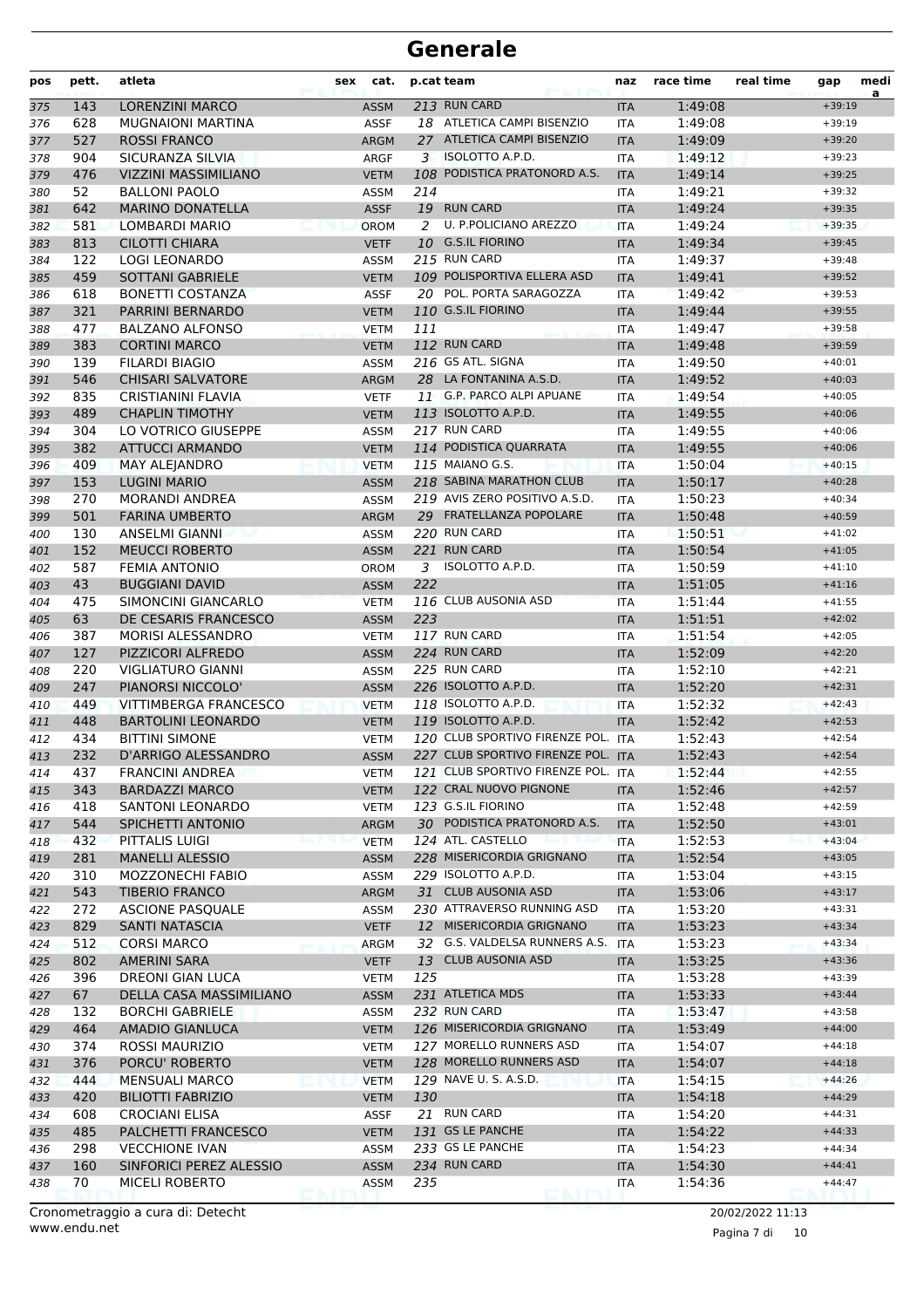| pos | pett. | atleta                       | cat.<br>sex |     | p.cat team                         | naz        | race time | real time | gap      | medi<br>a |
|-----|-------|------------------------------|-------------|-----|------------------------------------|------------|-----------|-----------|----------|-----------|
| 375 | 143   | <b>LORENZINI MARCO</b>       | <b>ASSM</b> |     | 213 RUN CARD                       | <b>ITA</b> | 1:49:08   |           | $+39:19$ |           |
| 376 | 628   | <b>MUGNAIONI MARTINA</b>     | <b>ASSF</b> |     | 18 ATLETICA CAMPI BISENZIO         | <b>ITA</b> | 1:49:08   |           | $+39:19$ |           |
| 377 | 527   | <b>ROSSI FRANCO</b>          | <b>ARGM</b> |     | 27 ATLETICA CAMPI BISENZIO         | <b>ITA</b> | 1:49:09   |           | $+39:20$ |           |
| 378 | 904   | SICURANZA SILVIA             | <b>ARGF</b> | 3   | ISOLOTTO A.P.D.                    | <b>ITA</b> | 1:49:12   |           | $+39:23$ |           |
| 379 | 476   | <b>VIZZINI MASSIMILIANO</b>  | <b>VETM</b> |     | 108 PODISTICA PRATONORD A.S.       | <b>ITA</b> | 1:49:14   |           | $+39:25$ |           |
| 380 | 52    | <b>BALLONI PAOLO</b>         | <b>ASSM</b> | 214 |                                    | <b>ITA</b> | 1:49:21   |           | $+39:32$ |           |
| 381 | 642   | <b>MARINO DONATELLA</b>      | <b>ASSF</b> |     | 19 RUN CARD                        | <b>ITA</b> | 1:49:24   |           | $+39:35$ |           |
| 382 | 581   | <b>LOMBARDI MARIO</b>        | <b>OROM</b> | 2   | U. P.POLICIANO AREZZO              | <b>ITA</b> | 1:49:24   |           | $+39:35$ |           |
| 383 | 813   | <b>CILOTTI CHIARA</b>        | <b>VETF</b> |     | 10 G.S.IL FIORINO                  | <b>ITA</b> | 1:49:34   |           | $+39:45$ |           |
| 384 | 122   | <b>LOGI LEONARDO</b>         | <b>ASSM</b> |     | 215 RUN CARD                       | <b>ITA</b> | 1:49:37   |           | $+39:48$ |           |
| 385 | 459   | <b>SOTTANI GABRIELE</b>      | <b>VETM</b> |     | 109 POLISPORTIVA ELLERA ASD        | <b>ITA</b> | 1:49:41   |           | $+39:52$ |           |
| 386 | 618   | <b>BONETTI COSTANZA</b>      | <b>ASSF</b> |     | 20 POL. PORTA SARAGOZZA            | <b>ITA</b> | 1:49:42   |           | $+39:53$ |           |
| 387 | 321   | PARRINI BERNARDO             | <b>VETM</b> |     | 110 G.S.IL FIORINO                 | <b>ITA</b> | 1:49:44   |           | $+39:55$ |           |
| 388 | 477   | <b>BALZANO ALFONSO</b>       | <b>VETM</b> | 111 |                                    | <b>ITA</b> | 1:49:47   |           | $+39:58$ |           |
| 389 | 383   | <b>CORTINI MARCO</b>         | <b>VETM</b> |     | 112 RUN CARD                       | <b>ITA</b> | 1:49:48   |           | $+39:59$ |           |
| 390 | 139   | <b>FILARDI BIAGIO</b>        | <b>ASSM</b> |     | 216 GS ATL. SIGNA                  | <b>ITA</b> | 1:49:50   |           | $+40:01$ |           |
| 391 | 546   | <b>CHISARI SALVATORE</b>     | <b>ARGM</b> |     | 28 LA FONTANINA A.S.D.             | <b>ITA</b> | 1:49:52   |           | $+40:03$ |           |
| 392 | 835   | <b>CRISTIANINI FLAVIA</b>    | <b>VETF</b> |     | 11 G.P. PARCO ALPI APUANE          | <b>ITA</b> | 1:49:54   |           | $+40:05$ |           |
| 393 | 489   | <b>CHAPLIN TIMOTHY</b>       | <b>VETM</b> |     | 113 ISOLOTTO A.P.D.                | <b>ITA</b> | 1:49:55   |           | $+40:06$ |           |
| 394 | 304   | LO VOTRICO GIUSEPPE          | <b>ASSM</b> |     | 217 RUN CARD                       | <b>ITA</b> | 1:49:55   |           | $+40:06$ |           |
| 395 | 382   | <b>ATTUCCI ARMANDO</b>       | <b>VETM</b> |     | 114 PODISTICA QUARRATA             | <b>ITA</b> | 1:49:55   |           | $+40:06$ |           |
| 396 | 409   | <b>MAY ALEJANDRO</b>         | <b>VETM</b> |     | 115 MAIANO G.S.                    | <b>ITA</b> | 1:50:04   |           | $+40:15$ |           |
| 397 | 153   | <b>LUGINI MARIO</b>          | <b>ASSM</b> |     | 218 SABINA MARATHON CLUB           | <b>ITA</b> | 1:50:17   |           | $+40:28$ |           |
| 398 | 270   | <b>MORANDI ANDREA</b>        | <b>ASSM</b> |     | 219 AVIS ZERO POSITIVO A.S.D.      | <b>ITA</b> | 1:50:23   |           | $+40:34$ |           |
| 399 | 501   | <b>FARINA UMBERTO</b>        | <b>ARGM</b> |     | 29 FRATELLANZA POPOLARE            | <b>ITA</b> | 1:50:48   |           | $+40:59$ |           |
| 400 | 130   | ANSELMI GIANNI               | <b>ASSM</b> |     | 220 RUN CARD                       | <b>ITA</b> | 1:50:51   |           | $+41:02$ |           |
| 401 | 152   | <b>MEUCCI ROBERTO</b>        | <b>ASSM</b> |     | 221 RUN CARD                       | <b>ITA</b> | 1:50:54   |           | $+41:05$ |           |
| 402 | 587   | <b>FEMIA ANTONIO</b>         | OROM        | 3   | ISOLOTTO A.P.D.                    | <b>ITA</b> | 1:50:59   |           | $+41:10$ |           |
| 403 | 43    | <b>BUGGIANI DAVID</b>        | <b>ASSM</b> | 222 |                                    | <b>ITA</b> | 1:51:05   |           | $+41:16$ |           |
| 404 | 475   | SIMONCINI GIANCARLO          | <b>VETM</b> |     | 116 CLUB AUSONIA ASD               | <b>ITA</b> | 1:51:44   |           | $+41:55$ |           |
| 405 | 63    | DE CESARIS FRANCESCO         | <b>ASSM</b> | 223 |                                    | <b>ITA</b> | 1:51:51   |           | $+42:02$ |           |
| 406 | 387   | MORISI ALESSANDRO            | <b>VETM</b> |     | 117 RUN CARD                       | <b>ITA</b> | 1:51:54   |           | $+42:05$ |           |
| 407 | 127   | PIZZICORI ALFREDO            | <b>ASSM</b> |     | 224 RUN CARD                       | <b>ITA</b> | 1:52:09   |           | $+42:20$ |           |
| 408 | 220   | <b>VIGLIATURO GIANNI</b>     | <b>ASSM</b> |     | 225 RUN CARD                       | <b>ITA</b> | 1:52:10   |           | $+42:21$ |           |
| 409 | 247   | PIANORSI NICCOLO'            | <b>ASSM</b> |     | 226 ISOLOTTO A.P.D.                | <b>ITA</b> | 1:52:20   |           | $+42:31$ |           |
| 410 | 449   | <b>VITTIMBERGA FRANCESCO</b> | <b>VETM</b> |     | 118 ISOLOTTO A.P.D.                | <b>ITA</b> | 1:52:32   |           | $+42:43$ |           |
| 411 | 448   | <b>BARTOLINI LEONARDO</b>    | <b>VETM</b> |     | 119 ISOLOTTO A.P.D.                | <b>ITA</b> | 1:52:42   |           | $+42:53$ |           |
| 412 | 434   | <b>BITTINI SIMONE</b>        | <b>VETM</b> |     | 120 CLUB SPORTIVO FIRENZE POL. ITA |            | 1:52:43   |           | $+42:54$ |           |
| 413 | 232   | D'ARRIGO ALESSANDRO          | <b>ASSM</b> |     | 227 CLUB SPORTIVO FIRENZE POL. ITA |            | 1:52:43   |           | $+42:54$ |           |
| 414 | 437   | <b>FRANCINI ANDREA</b>       | <b>VETM</b> |     | 121 CLUB SPORTIVO FIRENZE POL. ITA |            | 1:52:44   |           | $+42:55$ |           |
| 415 | 343   | <b>BARDAZZI MARCO</b>        | <b>VETM</b> |     | 122 CRAL NUOVO PIGNONE             | <b>ITA</b> | 1:52:46   |           | $+42:57$ |           |
| 416 | 418   | <b>SANTONI LEONARDO</b>      | <b>VETM</b> |     | 123 G.S.IL FIORINO                 | ITA        | 1:52:48   |           | $+42:59$ |           |
| 417 | 544   | SPICHETTI ANTONIO            | ARGM        |     | 30 PODISTICA PRATONORD A.S.        | <b>ITA</b> | 1:52:50   |           | $+43:01$ |           |
| 418 | 432   | <b>PITTALIS LUIGI</b>        | <b>VETM</b> |     | 124 ATL. CASTELLO                  | <b>ITA</b> | 1:52:53   |           | $+43:04$ |           |
| 419 | 281   | <b>MANELLI ALESSIO</b>       | <b>ASSM</b> |     | 228 MISERICORDIA GRIGNANO          | <b>ITA</b> | 1:52:54   |           | $+43:05$ |           |
| 420 | 310   | <b>MOZZONECHI FABIO</b>      | <b>ASSM</b> |     | 229 ISOLOTTO A.P.D.                | ITA        | 1:53:04   |           | $+43:15$ |           |
| 421 | 543   | <b>TIBERIO FRANCO</b>        | ARGM        |     | 31 CLUB AUSONIA ASD                | <b>ITA</b> | 1:53:06   |           | $+43:17$ |           |
| 422 | 272   | <b>ASCIONE PASQUALE</b>      | <b>ASSM</b> |     | 230 ATTRAVERSO RUNNING ASD         | ITA        | 1:53:20   |           | $+43:31$ |           |
| 423 | 829   | SANTI NATASCIA               | <b>VETF</b> |     | 12 MISERICORDIA GRIGNANO           | <b>ITA</b> | 1:53:23   |           | $+43:34$ |           |
| 424 | 512   | <b>CORSI MARCO</b>           | ARGM        |     | 32 G.S. VALDELSA RUNNERS A.S. ITA  |            | 1:53:23   |           | $+43:34$ |           |
| 425 | 802   | <b>AMERINI SARA</b>          | <b>VETF</b> | 13  | <b>CLUB AUSONIA ASD</b>            | <b>ITA</b> | 1:53:25   |           | $+43:36$ |           |
| 426 | 396   | DREONI GIAN LUCA             | <b>VETM</b> | 125 |                                    | ITA        | 1:53:28   |           | $+43:39$ |           |
| 427 | 67    | DELLA CASA MASSIMILIANO      | <b>ASSM</b> |     | 231 ATLETICA MDS                   | <b>ITA</b> | 1:53:33   |           | $+43:44$ |           |
| 428 | 132   | <b>BORCHI GABRIELE</b>       | <b>ASSM</b> |     | 232 RUN CARD                       | ITA        | 1:53:47   |           | $+43:58$ |           |
| 429 | 464   | AMADIO GIANLUCA              | <b>VETM</b> |     | 126 MISERICORDIA GRIGNANO          | <b>ITA</b> | 1:53:49   |           | $+44:00$ |           |
| 430 | 374   | ROSSI MAURIZIO               | <b>VETM</b> |     | 127 MORELLO RUNNERS ASD            | ITA        | 1:54:07   |           | $+44:18$ |           |
| 431 | 376   | PORCU' ROBERTO               | <b>VETM</b> |     | 128 MORELLO RUNNERS ASD            | <b>ITA</b> | 1:54:07   |           | $+44:18$ |           |
| 432 | 444   | <b>MENSUALI MARCO</b>        | <b>VETM</b> |     | 129 NAVE U. S. A.S.D.              | ITA        | 1:54:15   |           | $+44:26$ |           |
| 433 | 420   | <b>BILIOTTI FABRIZIO</b>     | <b>VETM</b> | 130 |                                    | <b>ITA</b> | 1:54:18   |           | $+44:29$ |           |
| 434 | 608   | <b>CROCIANI ELISA</b>        | <b>ASSF</b> |     | 21 RUN CARD                        | ITA        | 1:54:20   |           | $+44:31$ |           |
| 435 | 485   | PALCHETTI FRANCESCO          | <b>VETM</b> |     | 131 GS LE PANCHE                   | <b>ITA</b> | 1:54:22   |           | $+44:33$ |           |
| 436 | 298   | <b>VECCHIONE IVAN</b>        | <b>ASSM</b> |     | 233 GS LE PANCHE                   | <b>ITA</b> | 1:54:23   |           | $+44:34$ |           |
| 437 | 160   | SINFORICI PEREZ ALESSIO      | <b>ASSM</b> |     | 234 RUN CARD                       | <b>ITA</b> | 1:54:30   |           | $+44:41$ |           |
| 438 | 70    | MICELI ROBERTO               | <b>ASSM</b> | 235 |                                    | ITA        | 1:54:36   |           | $+44:47$ |           |
|     |       |                              |             |     |                                    |            |           |           |          |           |

www.endu.net Cronometraggio a cura di: Detecht 20/02/2022 11:13

Pagina 7 di 10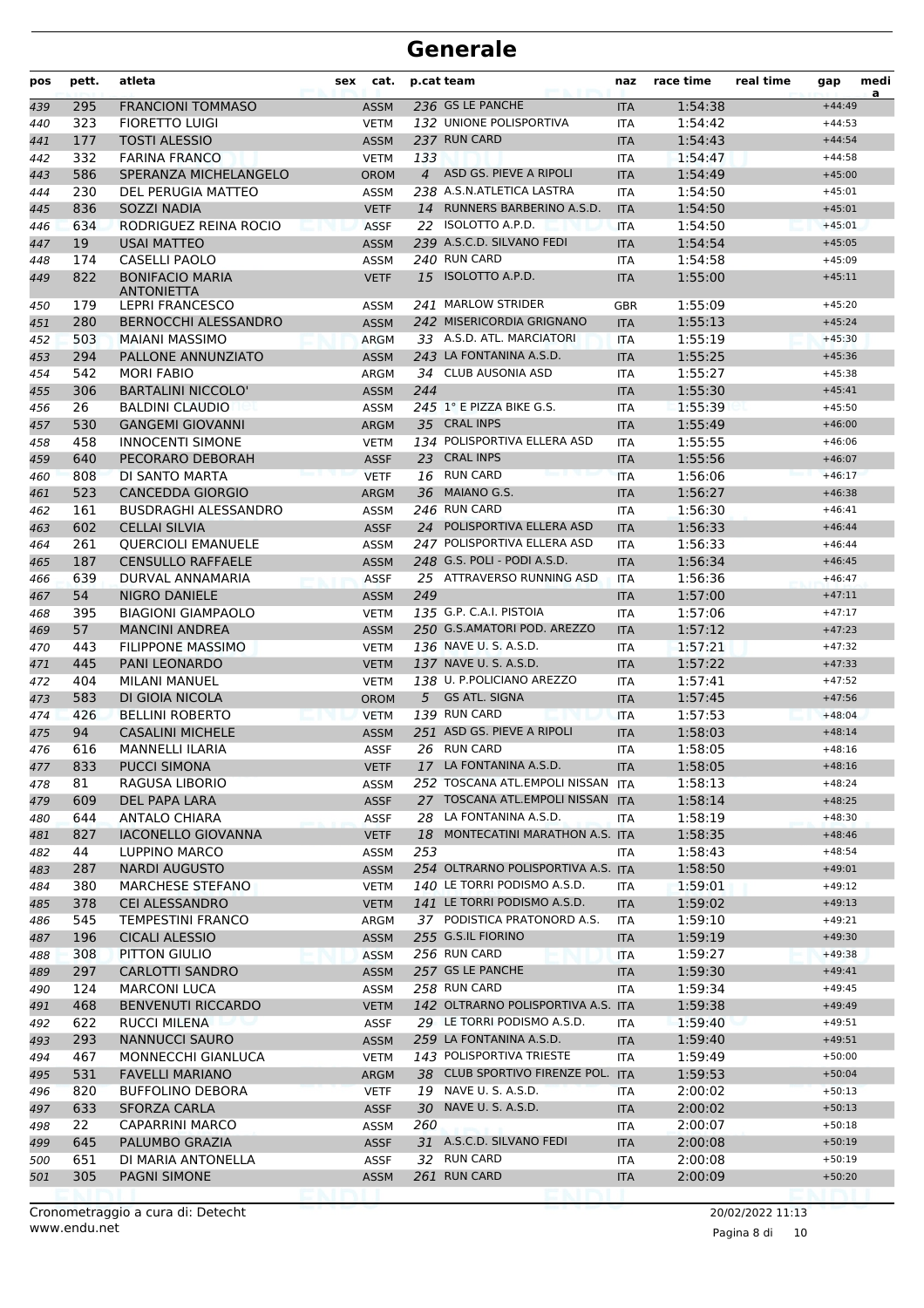| 236 GS LE PANCHE<br>1:54:38<br>295<br><b>FRANCIONI TOMMASO</b><br><b>ASSM</b><br>$+44:49$<br><b>ITA</b><br>132 UNIONE POLISPORTIVA<br>323<br><b>FIORETTO LUIGI</b><br>1:54:42<br><b>VETM</b><br><b>ITA</b><br>$+44:53$<br>177<br><b>TOSTI ALESSIO</b><br>237 RUN CARD<br>1:54:43<br><b>ASSM</b><br><b>ITA</b><br>$+44:54$<br>332<br><b>FARINA FRANCO</b><br>133<br><b>VETM</b><br>1:54:47<br>$+44:58$<br><b>ITA</b><br>586<br>4 ASD GS. PIEVE A RIPOLI<br>1:54:49<br>SPERANZA MICHELANGELO<br><b>OROM</b><br><b>ITA</b><br>$+45:00$<br>238 A.S.N.ATLETICA LASTRA<br>230<br>DEL PERUGIA MATTEO<br>1:54:50<br>444<br><b>ASSM</b><br><b>ITA</b><br>$+45:01$<br>14 RUNNERS BARBERINO A.S.D.<br>836<br>SOZZI NADIA<br><b>VETF</b><br><b>ITA</b><br>1:54:50<br>$+45:01$<br>445<br>22 ISOLOTTO A.P.D.<br>RODRIGUEZ REINA ROCIO<br>634<br><b>ASSF</b><br>1:54:50<br><b>ITA</b><br>$+45:01$<br>446<br>19<br>239 A.S.C.D. SILVANO FEDI<br><b>USAI MATTEO</b><br><b>ASSM</b><br>1:54:54<br>447<br><b>ITA</b><br>$+45:05$<br>240 RUN CARD<br><b>CASELLI PAOLO</b><br>$+45:09$<br>174<br><b>ASSM</b><br>1:54:58<br>448<br><b>ITA</b><br>15 ISOLOTTO A.P.D.<br>822<br><b>BONIFACIO MARIA</b><br>1:55:00<br>449<br><b>VETF</b><br><b>ITA</b><br>$+45:11$<br><b>ANTONIETTA</b><br>241 MARLOW STRIDER<br>1:55:09<br>179<br><b>LEPRI FRANCESCO</b><br><b>ASSM</b><br><b>GBR</b><br>$+45:20$<br>450<br>242 MISERICORDIA GRIGNANO<br>1:55:13<br>280<br><b>BERNOCCHI ALESSANDRO</b><br><b>ASSM</b><br>451<br><b>ITA</b><br>$+45:24$<br>33 A.S.D. ATL. MARCIATORI<br>1:55:19<br>503<br><b>MAIANI MASSIMO</b><br><b>ARGM</b><br>$+45:30$<br>452<br><b>ITA</b><br>243 LA FONTANINA A.S.D.<br>1:55:25<br>294<br>PALLONE ANNUNZIATO<br>453<br><b>ASSM</b><br><b>ITA</b><br>$+45:36$<br>34 CLUB AUSONIA ASD<br>1:55:27<br>542<br><b>MORI FABIO</b><br>$+45:38$<br>454<br>ARGM<br><b>ITA</b><br>306<br><b>BARTALINI NICCOLO'</b><br>244<br>1:55:30<br><b>ASSM</b><br>$+45:41$<br>455<br><b>ITA</b><br><b>BALDINI CLAUDIO</b><br>245 1° E PIZZA BIKE G.S.<br>1:55:39<br>26<br><b>ASSM</b><br><b>ITA</b><br>$+45:50$<br>456<br>35 CRAL INPS<br>1:55:49<br>530<br><b>GANGEMI GIOVANNI</b><br><b>ARGM</b><br>$+46:00$<br>457<br><b>ITA</b><br>134 POLISPORTIVA ELLERA ASD<br>458<br><b>INNOCENTI SIMONE</b><br>1:55:55<br>$+46:06$<br>458<br><b>VETM</b><br><b>ITA</b><br>23 CRAL INPS<br>1:55:56<br>640<br>PECORARO DEBORAH<br>459<br><b>ASSF</b><br><b>ITA</b><br>$+46:07$<br>808<br>16 RUN CARD<br>DI SANTO MARTA<br>1:56:06<br>$+46:17$<br>460<br><b>VETF</b><br><b>ITA</b><br>36 MAIANO G.S.<br>523<br><b>CANCEDDA GIORGIO</b><br>1:56:27<br>$+46:38$<br><b>ARGM</b><br><b>ITA</b><br>461<br>246 RUN CARD<br>161<br><b>BUSDRAGHI ALESSANDRO</b><br>1:56:30<br><b>ASSM</b><br><b>ITA</b><br>$+46:41$<br>24 POLISPORTIVA ELLERA ASD<br>602<br><b>CELLAI SILVIA</b><br>1:56:33<br><b>ASSF</b><br>$+46:44$<br><b>ITA</b><br>247 POLISPORTIVA ELLERA ASD<br><b>QUERCIOLI EMANUELE</b><br>261<br><b>ASSM</b><br>1:56:33<br>$+46:44$<br><b>ITA</b><br><b>CENSULLO RAFFAELE</b><br>248 G.S. POLI - PODI A.S.D.<br>1:56:34<br>187<br><b>ASSM</b><br><b>ITA</b><br>$+46:45$<br>25 ATTRAVERSO RUNNING ASD<br>639<br>DURVAL ANNAMARIA<br>1:56:36<br><b>ASSF</b><br>$+46:47$<br><b>ITA</b><br>54<br><b>NIGRO DANIELE</b><br>249<br>1:57:00<br><b>ASSM</b><br>$+47:11$<br><b>ITA</b><br>135 G.P. C.A.I. PISTOIA<br>395<br><b>BIAGIONI GIAMPAOLO</b><br>1:57:06<br><b>VETM</b><br><b>ITA</b><br>$+47:17$<br>57<br>250 G.S.AMATORI POD. AREZZO<br>1:57:12<br><b>MANCINI ANDREA</b><br>$+47:23$<br><b>ASSM</b><br><b>ITA</b><br>136 NAVE U. S. A.S.D.<br><b>FILIPPONE MASSIMO</b><br>1:57:21<br>443<br><b>VETM</b><br>$+47:32$<br><b>ITA</b><br>445<br>PANI LEONARDO<br>137 NAVE U. S. A.S.D.<br>1:57:22<br><b>VETM</b><br><b>ITA</b><br>$+47:33$<br>138 U. P.POLICIANO AREZZO<br>404<br>MILANI MANUEL<br>1:57:41<br><b>ITA</b><br>$+47:52$<br><b>VETM</b><br><b>GS ATL. SIGNA</b><br>583<br>DI GIOIA NICOLA<br>5<br>1:57:45<br><b>OROM</b><br><b>ITA</b><br>$+47:56$<br>139 RUN CARD<br>426<br><b>BELLINI ROBERTO</b><br>1:57:53<br>474<br><b>VETM</b><br>$+48:04$<br><b>ITA</b><br>251 ASD GS. PIEVE A RIPOLI<br>94<br><b>CASALINI MICHELE</b><br>1:58:03<br>$+48:14$<br>475<br><b>ASSM</b><br><b>ITA</b><br>26 RUN CARD<br>616<br><b>MANNELLI ILARIA</b><br><b>ASSF</b><br>1:58:05<br>$+48:16$<br>476<br><b>ITA</b><br>17 LA FONTANINA A.S.D.<br>1:58:05<br>PUCCI SIMONA<br>477<br>833<br>VETF<br>ITA<br>$+48:16$<br>252 TOSCANA ATL.EMPOLI NISSAN ITA<br>$+48:24$<br>RAGUSA LIBORIO<br>1:58:13<br>478<br>81<br><b>ASSM</b><br>27 TOSCANA ATL.EMPOLI NISSAN ITA<br>609<br>DEL PAPA LARA<br><b>ASSF</b><br>1:58:14<br>$+48:25$<br>479<br>644<br>28 LA FONTANINA A.S.D.<br>$+48:30$<br>ANTALO CHIARA<br><b>ASSF</b><br>1:58:19<br>480<br><b>ITA</b><br>18 MONTECATINI MARATHON A.S. ITA<br>827<br><b>IACONELLO GIOVANNA</b><br><b>VETF</b><br>1:58:35<br>$+48:46$<br>481<br>LUPPINO MARCO<br>ASSM<br>253<br>1:58:43<br>$+48:54$<br>482<br>44<br>ITA<br>254 OLTRARNO POLISPORTIVA A.S. ITA<br>287<br>NARDI AUGUSTO<br><b>ASSM</b><br>1:58:50<br>$+49:01$<br>483<br>140 LE TORRI PODISMO A.S.D.<br>$+49:12$<br>380<br><b>MARCHESE STEFANO</b><br>1:59:01<br>484<br><b>VETM</b><br>ITA<br>141 LE TORRI PODISMO A.S.D.<br>378<br><b>CEI ALESSANDRO</b><br>1:59:02<br><b>VETM</b><br><b>ITA</b><br>$+49:13$<br>37 PODISTICA PRATONORD A.S.<br>545<br><b>TEMPESTINI FRANCO</b><br>1:59:10<br>$+49:21$<br>ARGM<br>ITA<br>255 G.S.IL FIORINO<br>$+49:30$<br>196<br><b>CICALI ALESSIO</b><br><b>ASSM</b><br>1:59:19<br><b>ITA</b><br>256 RUN CARD<br>308<br>PITTON GIULIO<br>1:59:27<br>$+49:38$<br><b>ASSM</b><br><b>ITA</b><br>257 GS LE PANCHE<br>297<br>CARLOTTI SANDRO<br><b>ASSM</b><br><b>ITA</b><br>1:59:30<br>$+49:41$<br>258 RUN CARD<br>$+49:45$<br>124<br><b>MARCONI LUCA</b><br>1:59:34<br><b>ASSM</b><br>ITA<br>468<br><b>BENVENUTI RICCARDO</b><br>142 OLTRARNO POLISPORTIVA A.S. ITA<br>1:59:38<br><b>VETM</b><br>$+49:49$<br>622<br>29 LE TORRI PODISMO A.S.D.<br>RUCCI MILENA<br>1:59:40<br>$+49:51$<br><b>ASSF</b><br>ITA<br>259 LA FONTANINA A.S.D.<br>293<br><b>NANNUCCI SAURO</b><br>1:59:40<br>$+49:51$<br><b>ASSM</b><br><b>ITA</b><br>143 POLISPORTIVA TRIESTE<br>467<br>MONNECCHI GIANLUCA<br>1:59:49<br>$+50:00$<br><b>VETM</b><br>ITA<br>38 CLUB SPORTIVO FIRENZE POL. ITA<br>531<br>FAVELLI MARIANO<br>1:59:53<br>$+50:04$<br>ARGM<br>19 NAVE U. S. A.S.D.<br>820<br><b>BUFFOLINO DEBORA</b><br>2:00:02<br>$+50:13$<br><b>VETF</b><br>ITA<br>633<br>SFORZA CARLA<br>30 NAVE U. S. A.S.D.<br>2:00:02<br><b>ASSF</b><br><b>ITA</b><br>$+50:13$<br>22<br>260<br>$+50:18$<br>CAPARRINI MARCO<br>2:00:07<br><b>ASSM</b><br>ITA<br>31 A.S.C.D. SILVANO FEDI<br>$+50:19$<br>645<br>PALUMBO GRAZIA<br>ASSF<br>2:00:08<br>499<br><b>ITA</b><br>32 RUN CARD<br>651<br>DI MARIA ANTONELLA<br>2:00:08<br>$+50:19$<br>ASSF<br>ITA<br>500<br>305<br>261 RUN CARD<br>PAGNI SIMONE<br>2:00:09<br>$+50:20$<br><b>ASSM</b><br><b>ITA</b><br>501 | pos | pett. | atleta | sex | cat. | p.cat team | naz | race time | real time | gap | medi<br>a |
|--------------------------------------------------------------------------------------------------------------------------------------------------------------------------------------------------------------------------------------------------------------------------------------------------------------------------------------------------------------------------------------------------------------------------------------------------------------------------------------------------------------------------------------------------------------------------------------------------------------------------------------------------------------------------------------------------------------------------------------------------------------------------------------------------------------------------------------------------------------------------------------------------------------------------------------------------------------------------------------------------------------------------------------------------------------------------------------------------------------------------------------------------------------------------------------------------------------------------------------------------------------------------------------------------------------------------------------------------------------------------------------------------------------------------------------------------------------------------------------------------------------------------------------------------------------------------------------------------------------------------------------------------------------------------------------------------------------------------------------------------------------------------------------------------------------------------------------------------------------------------------------------------------------------------------------------------------------------------------------------------------------------------------------------------------------------------------------------------------------------------------------------------------------------------------------------------------------------------------------------------------------------------------------------------------------------------------------------------------------------------------------------------------------------------------------------------------------------------------------------------------------------------------------------------------------------------------------------------------------------------------------------------------------------------------------------------------------------------------------------------------------------------------------------------------------------------------------------------------------------------------------------------------------------------------------------------------------------------------------------------------------------------------------------------------------------------------------------------------------------------------------------------------------------------------------------------------------------------------------------------------------------------------------------------------------------------------------------------------------------------------------------------------------------------------------------------------------------------------------------------------------------------------------------------------------------------------------------------------------------------------------------------------------------------------------------------------------------------------------------------------------------------------------------------------------------------------------------------------------------------------------------------------------------------------------------------------------------------------------------------------------------------------------------------------------------------------------------------------------------------------------------------------------------------------------------------------------------------------------------------------------------------------------------------------------------------------------------------------------------------------------------------------------------------------------------------------------------------------------------------------------------------------------------------------------------------------------------------------------------------------------------------------------------------------------------------------------------------------------------------------------------------------------------------------------------------------------------------------------------------------------------------------------------------------------------------------------------------------------------------------------------------------------------------------------------------------------------------------------------------------------------------------------------------------------------------------------------------------------------------------------------------------------------------------------------------------------------------------------------------------------------------------------------------------------------------------------------------------------------------------------------------------------------------------------------------------------------------------------------------------------------------------------------------------------------------------------------------------------------------------------------------------------------------------------------------------------------------------------------------------------------------------------------------------------------------------------------------------------------------------------------------------------------------------------------------------------------------------------------------------------------------------------------------------------------------------------------------------------------------------------------------------------------------------------------------------------------------------------------------------------------------------------------------------------------------------------------------------------------------------------------------------------------------------------------------------------------------------------------------------------------------------------------------------------------------------------------------------------------------------------------------------------------------------------------------------------------------------------------------------------------------------------------------------------------------------------------------------------------------------|-----|-------|--------|-----|------|------------|-----|-----------|-----------|-----|-----------|
|                                                                                                                                                                                                                                                                                                                                                                                                                                                                                                                                                                                                                                                                                                                                                                                                                                                                                                                                                                                                                                                                                                                                                                                                                                                                                                                                                                                                                                                                                                                                                                                                                                                                                                                                                                                                                                                                                                                                                                                                                                                                                                                                                                                                                                                                                                                                                                                                                                                                                                                                                                                                                                                                                                                                                                                                                                                                                                                                                                                                                                                                                                                                                                                                                                                                                                                                                                                                                                                                                                                                                                                                                                                                                                                                                                                                                                                                                                                                                                                                                                                                                                                                                                                                                                                                                                                                                                                                                                                                                                                                                                                                                                                                                                                                                                                                                                                                                                                                                                                                                                                                                                                                                                                                                                                                                                                                                                                                                                                                                                                                                                                                                                                                                                                                                                                                                                                                                                                                                                                                                                                                                                                                                                                                                                                                                                                                                                                                                                                                                                                                                                                                                                                                                                                                                                                                                                                                                                                                                                                                        | 439 |       |        |     |      |            |     |           |           |     |           |
|                                                                                                                                                                                                                                                                                                                                                                                                                                                                                                                                                                                                                                                                                                                                                                                                                                                                                                                                                                                                                                                                                                                                                                                                                                                                                                                                                                                                                                                                                                                                                                                                                                                                                                                                                                                                                                                                                                                                                                                                                                                                                                                                                                                                                                                                                                                                                                                                                                                                                                                                                                                                                                                                                                                                                                                                                                                                                                                                                                                                                                                                                                                                                                                                                                                                                                                                                                                                                                                                                                                                                                                                                                                                                                                                                                                                                                                                                                                                                                                                                                                                                                                                                                                                                                                                                                                                                                                                                                                                                                                                                                                                                                                                                                                                                                                                                                                                                                                                                                                                                                                                                                                                                                                                                                                                                                                                                                                                                                                                                                                                                                                                                                                                                                                                                                                                                                                                                                                                                                                                                                                                                                                                                                                                                                                                                                                                                                                                                                                                                                                                                                                                                                                                                                                                                                                                                                                                                                                                                                                                        | 440 |       |        |     |      |            |     |           |           |     |           |
|                                                                                                                                                                                                                                                                                                                                                                                                                                                                                                                                                                                                                                                                                                                                                                                                                                                                                                                                                                                                                                                                                                                                                                                                                                                                                                                                                                                                                                                                                                                                                                                                                                                                                                                                                                                                                                                                                                                                                                                                                                                                                                                                                                                                                                                                                                                                                                                                                                                                                                                                                                                                                                                                                                                                                                                                                                                                                                                                                                                                                                                                                                                                                                                                                                                                                                                                                                                                                                                                                                                                                                                                                                                                                                                                                                                                                                                                                                                                                                                                                                                                                                                                                                                                                                                                                                                                                                                                                                                                                                                                                                                                                                                                                                                                                                                                                                                                                                                                                                                                                                                                                                                                                                                                                                                                                                                                                                                                                                                                                                                                                                                                                                                                                                                                                                                                                                                                                                                                                                                                                                                                                                                                                                                                                                                                                                                                                                                                                                                                                                                                                                                                                                                                                                                                                                                                                                                                                                                                                                                                        | 441 |       |        |     |      |            |     |           |           |     |           |
|                                                                                                                                                                                                                                                                                                                                                                                                                                                                                                                                                                                                                                                                                                                                                                                                                                                                                                                                                                                                                                                                                                                                                                                                                                                                                                                                                                                                                                                                                                                                                                                                                                                                                                                                                                                                                                                                                                                                                                                                                                                                                                                                                                                                                                                                                                                                                                                                                                                                                                                                                                                                                                                                                                                                                                                                                                                                                                                                                                                                                                                                                                                                                                                                                                                                                                                                                                                                                                                                                                                                                                                                                                                                                                                                                                                                                                                                                                                                                                                                                                                                                                                                                                                                                                                                                                                                                                                                                                                                                                                                                                                                                                                                                                                                                                                                                                                                                                                                                                                                                                                                                                                                                                                                                                                                                                                                                                                                                                                                                                                                                                                                                                                                                                                                                                                                                                                                                                                                                                                                                                                                                                                                                                                                                                                                                                                                                                                                                                                                                                                                                                                                                                                                                                                                                                                                                                                                                                                                                                                                        | 442 |       |        |     |      |            |     |           |           |     |           |
|                                                                                                                                                                                                                                                                                                                                                                                                                                                                                                                                                                                                                                                                                                                                                                                                                                                                                                                                                                                                                                                                                                                                                                                                                                                                                                                                                                                                                                                                                                                                                                                                                                                                                                                                                                                                                                                                                                                                                                                                                                                                                                                                                                                                                                                                                                                                                                                                                                                                                                                                                                                                                                                                                                                                                                                                                                                                                                                                                                                                                                                                                                                                                                                                                                                                                                                                                                                                                                                                                                                                                                                                                                                                                                                                                                                                                                                                                                                                                                                                                                                                                                                                                                                                                                                                                                                                                                                                                                                                                                                                                                                                                                                                                                                                                                                                                                                                                                                                                                                                                                                                                                                                                                                                                                                                                                                                                                                                                                                                                                                                                                                                                                                                                                                                                                                                                                                                                                                                                                                                                                                                                                                                                                                                                                                                                                                                                                                                                                                                                                                                                                                                                                                                                                                                                                                                                                                                                                                                                                                                        | 443 |       |        |     |      |            |     |           |           |     |           |
|                                                                                                                                                                                                                                                                                                                                                                                                                                                                                                                                                                                                                                                                                                                                                                                                                                                                                                                                                                                                                                                                                                                                                                                                                                                                                                                                                                                                                                                                                                                                                                                                                                                                                                                                                                                                                                                                                                                                                                                                                                                                                                                                                                                                                                                                                                                                                                                                                                                                                                                                                                                                                                                                                                                                                                                                                                                                                                                                                                                                                                                                                                                                                                                                                                                                                                                                                                                                                                                                                                                                                                                                                                                                                                                                                                                                                                                                                                                                                                                                                                                                                                                                                                                                                                                                                                                                                                                                                                                                                                                                                                                                                                                                                                                                                                                                                                                                                                                                                                                                                                                                                                                                                                                                                                                                                                                                                                                                                                                                                                                                                                                                                                                                                                                                                                                                                                                                                                                                                                                                                                                                                                                                                                                                                                                                                                                                                                                                                                                                                                                                                                                                                                                                                                                                                                                                                                                                                                                                                                                                        |     |       |        |     |      |            |     |           |           |     |           |
|                                                                                                                                                                                                                                                                                                                                                                                                                                                                                                                                                                                                                                                                                                                                                                                                                                                                                                                                                                                                                                                                                                                                                                                                                                                                                                                                                                                                                                                                                                                                                                                                                                                                                                                                                                                                                                                                                                                                                                                                                                                                                                                                                                                                                                                                                                                                                                                                                                                                                                                                                                                                                                                                                                                                                                                                                                                                                                                                                                                                                                                                                                                                                                                                                                                                                                                                                                                                                                                                                                                                                                                                                                                                                                                                                                                                                                                                                                                                                                                                                                                                                                                                                                                                                                                                                                                                                                                                                                                                                                                                                                                                                                                                                                                                                                                                                                                                                                                                                                                                                                                                                                                                                                                                                                                                                                                                                                                                                                                                                                                                                                                                                                                                                                                                                                                                                                                                                                                                                                                                                                                                                                                                                                                                                                                                                                                                                                                                                                                                                                                                                                                                                                                                                                                                                                                                                                                                                                                                                                                                        |     |       |        |     |      |            |     |           |           |     |           |
|                                                                                                                                                                                                                                                                                                                                                                                                                                                                                                                                                                                                                                                                                                                                                                                                                                                                                                                                                                                                                                                                                                                                                                                                                                                                                                                                                                                                                                                                                                                                                                                                                                                                                                                                                                                                                                                                                                                                                                                                                                                                                                                                                                                                                                                                                                                                                                                                                                                                                                                                                                                                                                                                                                                                                                                                                                                                                                                                                                                                                                                                                                                                                                                                                                                                                                                                                                                                                                                                                                                                                                                                                                                                                                                                                                                                                                                                                                                                                                                                                                                                                                                                                                                                                                                                                                                                                                                                                                                                                                                                                                                                                                                                                                                                                                                                                                                                                                                                                                                                                                                                                                                                                                                                                                                                                                                                                                                                                                                                                                                                                                                                                                                                                                                                                                                                                                                                                                                                                                                                                                                                                                                                                                                                                                                                                                                                                                                                                                                                                                                                                                                                                                                                                                                                                                                                                                                                                                                                                                                                        |     |       |        |     |      |            |     |           |           |     |           |
|                                                                                                                                                                                                                                                                                                                                                                                                                                                                                                                                                                                                                                                                                                                                                                                                                                                                                                                                                                                                                                                                                                                                                                                                                                                                                                                                                                                                                                                                                                                                                                                                                                                                                                                                                                                                                                                                                                                                                                                                                                                                                                                                                                                                                                                                                                                                                                                                                                                                                                                                                                                                                                                                                                                                                                                                                                                                                                                                                                                                                                                                                                                                                                                                                                                                                                                                                                                                                                                                                                                                                                                                                                                                                                                                                                                                                                                                                                                                                                                                                                                                                                                                                                                                                                                                                                                                                                                                                                                                                                                                                                                                                                                                                                                                                                                                                                                                                                                                                                                                                                                                                                                                                                                                                                                                                                                                                                                                                                                                                                                                                                                                                                                                                                                                                                                                                                                                                                                                                                                                                                                                                                                                                                                                                                                                                                                                                                                                                                                                                                                                                                                                                                                                                                                                                                                                                                                                                                                                                                                                        |     |       |        |     |      |            |     |           |           |     |           |
|                                                                                                                                                                                                                                                                                                                                                                                                                                                                                                                                                                                                                                                                                                                                                                                                                                                                                                                                                                                                                                                                                                                                                                                                                                                                                                                                                                                                                                                                                                                                                                                                                                                                                                                                                                                                                                                                                                                                                                                                                                                                                                                                                                                                                                                                                                                                                                                                                                                                                                                                                                                                                                                                                                                                                                                                                                                                                                                                                                                                                                                                                                                                                                                                                                                                                                                                                                                                                                                                                                                                                                                                                                                                                                                                                                                                                                                                                                                                                                                                                                                                                                                                                                                                                                                                                                                                                                                                                                                                                                                                                                                                                                                                                                                                                                                                                                                                                                                                                                                                                                                                                                                                                                                                                                                                                                                                                                                                                                                                                                                                                                                                                                                                                                                                                                                                                                                                                                                                                                                                                                                                                                                                                                                                                                                                                                                                                                                                                                                                                                                                                                                                                                                                                                                                                                                                                                                                                                                                                                                                        |     |       |        |     |      |            |     |           |           |     |           |
|                                                                                                                                                                                                                                                                                                                                                                                                                                                                                                                                                                                                                                                                                                                                                                                                                                                                                                                                                                                                                                                                                                                                                                                                                                                                                                                                                                                                                                                                                                                                                                                                                                                                                                                                                                                                                                                                                                                                                                                                                                                                                                                                                                                                                                                                                                                                                                                                                                                                                                                                                                                                                                                                                                                                                                                                                                                                                                                                                                                                                                                                                                                                                                                                                                                                                                                                                                                                                                                                                                                                                                                                                                                                                                                                                                                                                                                                                                                                                                                                                                                                                                                                                                                                                                                                                                                                                                                                                                                                                                                                                                                                                                                                                                                                                                                                                                                                                                                                                                                                                                                                                                                                                                                                                                                                                                                                                                                                                                                                                                                                                                                                                                                                                                                                                                                                                                                                                                                                                                                                                                                                                                                                                                                                                                                                                                                                                                                                                                                                                                                                                                                                                                                                                                                                                                                                                                                                                                                                                                                                        |     |       |        |     |      |            |     |           |           |     |           |
|                                                                                                                                                                                                                                                                                                                                                                                                                                                                                                                                                                                                                                                                                                                                                                                                                                                                                                                                                                                                                                                                                                                                                                                                                                                                                                                                                                                                                                                                                                                                                                                                                                                                                                                                                                                                                                                                                                                                                                                                                                                                                                                                                                                                                                                                                                                                                                                                                                                                                                                                                                                                                                                                                                                                                                                                                                                                                                                                                                                                                                                                                                                                                                                                                                                                                                                                                                                                                                                                                                                                                                                                                                                                                                                                                                                                                                                                                                                                                                                                                                                                                                                                                                                                                                                                                                                                                                                                                                                                                                                                                                                                                                                                                                                                                                                                                                                                                                                                                                                                                                                                                                                                                                                                                                                                                                                                                                                                                                                                                                                                                                                                                                                                                                                                                                                                                                                                                                                                                                                                                                                                                                                                                                                                                                                                                                                                                                                                                                                                                                                                                                                                                                                                                                                                                                                                                                                                                                                                                                                                        |     |       |        |     |      |            |     |           |           |     |           |
|                                                                                                                                                                                                                                                                                                                                                                                                                                                                                                                                                                                                                                                                                                                                                                                                                                                                                                                                                                                                                                                                                                                                                                                                                                                                                                                                                                                                                                                                                                                                                                                                                                                                                                                                                                                                                                                                                                                                                                                                                                                                                                                                                                                                                                                                                                                                                                                                                                                                                                                                                                                                                                                                                                                                                                                                                                                                                                                                                                                                                                                                                                                                                                                                                                                                                                                                                                                                                                                                                                                                                                                                                                                                                                                                                                                                                                                                                                                                                                                                                                                                                                                                                                                                                                                                                                                                                                                                                                                                                                                                                                                                                                                                                                                                                                                                                                                                                                                                                                                                                                                                                                                                                                                                                                                                                                                                                                                                                                                                                                                                                                                                                                                                                                                                                                                                                                                                                                                                                                                                                                                                                                                                                                                                                                                                                                                                                                                                                                                                                                                                                                                                                                                                                                                                                                                                                                                                                                                                                                                                        |     |       |        |     |      |            |     |           |           |     |           |
|                                                                                                                                                                                                                                                                                                                                                                                                                                                                                                                                                                                                                                                                                                                                                                                                                                                                                                                                                                                                                                                                                                                                                                                                                                                                                                                                                                                                                                                                                                                                                                                                                                                                                                                                                                                                                                                                                                                                                                                                                                                                                                                                                                                                                                                                                                                                                                                                                                                                                                                                                                                                                                                                                                                                                                                                                                                                                                                                                                                                                                                                                                                                                                                                                                                                                                                                                                                                                                                                                                                                                                                                                                                                                                                                                                                                                                                                                                                                                                                                                                                                                                                                                                                                                                                                                                                                                                                                                                                                                                                                                                                                                                                                                                                                                                                                                                                                                                                                                                                                                                                                                                                                                                                                                                                                                                                                                                                                                                                                                                                                                                                                                                                                                                                                                                                                                                                                                                                                                                                                                                                                                                                                                                                                                                                                                                                                                                                                                                                                                                                                                                                                                                                                                                                                                                                                                                                                                                                                                                                                        |     |       |        |     |      |            |     |           |           |     |           |
|                                                                                                                                                                                                                                                                                                                                                                                                                                                                                                                                                                                                                                                                                                                                                                                                                                                                                                                                                                                                                                                                                                                                                                                                                                                                                                                                                                                                                                                                                                                                                                                                                                                                                                                                                                                                                                                                                                                                                                                                                                                                                                                                                                                                                                                                                                                                                                                                                                                                                                                                                                                                                                                                                                                                                                                                                                                                                                                                                                                                                                                                                                                                                                                                                                                                                                                                                                                                                                                                                                                                                                                                                                                                                                                                                                                                                                                                                                                                                                                                                                                                                                                                                                                                                                                                                                                                                                                                                                                                                                                                                                                                                                                                                                                                                                                                                                                                                                                                                                                                                                                                                                                                                                                                                                                                                                                                                                                                                                                                                                                                                                                                                                                                                                                                                                                                                                                                                                                                                                                                                                                                                                                                                                                                                                                                                                                                                                                                                                                                                                                                                                                                                                                                                                                                                                                                                                                                                                                                                                                                        |     |       |        |     |      |            |     |           |           |     |           |
|                                                                                                                                                                                                                                                                                                                                                                                                                                                                                                                                                                                                                                                                                                                                                                                                                                                                                                                                                                                                                                                                                                                                                                                                                                                                                                                                                                                                                                                                                                                                                                                                                                                                                                                                                                                                                                                                                                                                                                                                                                                                                                                                                                                                                                                                                                                                                                                                                                                                                                                                                                                                                                                                                                                                                                                                                                                                                                                                                                                                                                                                                                                                                                                                                                                                                                                                                                                                                                                                                                                                                                                                                                                                                                                                                                                                                                                                                                                                                                                                                                                                                                                                                                                                                                                                                                                                                                                                                                                                                                                                                                                                                                                                                                                                                                                                                                                                                                                                                                                                                                                                                                                                                                                                                                                                                                                                                                                                                                                                                                                                                                                                                                                                                                                                                                                                                                                                                                                                                                                                                                                                                                                                                                                                                                                                                                                                                                                                                                                                                                                                                                                                                                                                                                                                                                                                                                                                                                                                                                                                        |     |       |        |     |      |            |     |           |           |     |           |
|                                                                                                                                                                                                                                                                                                                                                                                                                                                                                                                                                                                                                                                                                                                                                                                                                                                                                                                                                                                                                                                                                                                                                                                                                                                                                                                                                                                                                                                                                                                                                                                                                                                                                                                                                                                                                                                                                                                                                                                                                                                                                                                                                                                                                                                                                                                                                                                                                                                                                                                                                                                                                                                                                                                                                                                                                                                                                                                                                                                                                                                                                                                                                                                                                                                                                                                                                                                                                                                                                                                                                                                                                                                                                                                                                                                                                                                                                                                                                                                                                                                                                                                                                                                                                                                                                                                                                                                                                                                                                                                                                                                                                                                                                                                                                                                                                                                                                                                                                                                                                                                                                                                                                                                                                                                                                                                                                                                                                                                                                                                                                                                                                                                                                                                                                                                                                                                                                                                                                                                                                                                                                                                                                                                                                                                                                                                                                                                                                                                                                                                                                                                                                                                                                                                                                                                                                                                                                                                                                                                                        |     |       |        |     |      |            |     |           |           |     |           |
|                                                                                                                                                                                                                                                                                                                                                                                                                                                                                                                                                                                                                                                                                                                                                                                                                                                                                                                                                                                                                                                                                                                                                                                                                                                                                                                                                                                                                                                                                                                                                                                                                                                                                                                                                                                                                                                                                                                                                                                                                                                                                                                                                                                                                                                                                                                                                                                                                                                                                                                                                                                                                                                                                                                                                                                                                                                                                                                                                                                                                                                                                                                                                                                                                                                                                                                                                                                                                                                                                                                                                                                                                                                                                                                                                                                                                                                                                                                                                                                                                                                                                                                                                                                                                                                                                                                                                                                                                                                                                                                                                                                                                                                                                                                                                                                                                                                                                                                                                                                                                                                                                                                                                                                                                                                                                                                                                                                                                                                                                                                                                                                                                                                                                                                                                                                                                                                                                                                                                                                                                                                                                                                                                                                                                                                                                                                                                                                                                                                                                                                                                                                                                                                                                                                                                                                                                                                                                                                                                                                                        |     |       |        |     |      |            |     |           |           |     |           |
|                                                                                                                                                                                                                                                                                                                                                                                                                                                                                                                                                                                                                                                                                                                                                                                                                                                                                                                                                                                                                                                                                                                                                                                                                                                                                                                                                                                                                                                                                                                                                                                                                                                                                                                                                                                                                                                                                                                                                                                                                                                                                                                                                                                                                                                                                                                                                                                                                                                                                                                                                                                                                                                                                                                                                                                                                                                                                                                                                                                                                                                                                                                                                                                                                                                                                                                                                                                                                                                                                                                                                                                                                                                                                                                                                                                                                                                                                                                                                                                                                                                                                                                                                                                                                                                                                                                                                                                                                                                                                                                                                                                                                                                                                                                                                                                                                                                                                                                                                                                                                                                                                                                                                                                                                                                                                                                                                                                                                                                                                                                                                                                                                                                                                                                                                                                                                                                                                                                                                                                                                                                                                                                                                                                                                                                                                                                                                                                                                                                                                                                                                                                                                                                                                                                                                                                                                                                                                                                                                                                                        |     |       |        |     |      |            |     |           |           |     |           |
|                                                                                                                                                                                                                                                                                                                                                                                                                                                                                                                                                                                                                                                                                                                                                                                                                                                                                                                                                                                                                                                                                                                                                                                                                                                                                                                                                                                                                                                                                                                                                                                                                                                                                                                                                                                                                                                                                                                                                                                                                                                                                                                                                                                                                                                                                                                                                                                                                                                                                                                                                                                                                                                                                                                                                                                                                                                                                                                                                                                                                                                                                                                                                                                                                                                                                                                                                                                                                                                                                                                                                                                                                                                                                                                                                                                                                                                                                                                                                                                                                                                                                                                                                                                                                                                                                                                                                                                                                                                                                                                                                                                                                                                                                                                                                                                                                                                                                                                                                                                                                                                                                                                                                                                                                                                                                                                                                                                                                                                                                                                                                                                                                                                                                                                                                                                                                                                                                                                                                                                                                                                                                                                                                                                                                                                                                                                                                                                                                                                                                                                                                                                                                                                                                                                                                                                                                                                                                                                                                                                                        |     |       |        |     |      |            |     |           |           |     |           |
|                                                                                                                                                                                                                                                                                                                                                                                                                                                                                                                                                                                                                                                                                                                                                                                                                                                                                                                                                                                                                                                                                                                                                                                                                                                                                                                                                                                                                                                                                                                                                                                                                                                                                                                                                                                                                                                                                                                                                                                                                                                                                                                                                                                                                                                                                                                                                                                                                                                                                                                                                                                                                                                                                                                                                                                                                                                                                                                                                                                                                                                                                                                                                                                                                                                                                                                                                                                                                                                                                                                                                                                                                                                                                                                                                                                                                                                                                                                                                                                                                                                                                                                                                                                                                                                                                                                                                                                                                                                                                                                                                                                                                                                                                                                                                                                                                                                                                                                                                                                                                                                                                                                                                                                                                                                                                                                                                                                                                                                                                                                                                                                                                                                                                                                                                                                                                                                                                                                                                                                                                                                                                                                                                                                                                                                                                                                                                                                                                                                                                                                                                                                                                                                                                                                                                                                                                                                                                                                                                                                                        |     |       |        |     |      |            |     |           |           |     |           |
|                                                                                                                                                                                                                                                                                                                                                                                                                                                                                                                                                                                                                                                                                                                                                                                                                                                                                                                                                                                                                                                                                                                                                                                                                                                                                                                                                                                                                                                                                                                                                                                                                                                                                                                                                                                                                                                                                                                                                                                                                                                                                                                                                                                                                                                                                                                                                                                                                                                                                                                                                                                                                                                                                                                                                                                                                                                                                                                                                                                                                                                                                                                                                                                                                                                                                                                                                                                                                                                                                                                                                                                                                                                                                                                                                                                                                                                                                                                                                                                                                                                                                                                                                                                                                                                                                                                                                                                                                                                                                                                                                                                                                                                                                                                                                                                                                                                                                                                                                                                                                                                                                                                                                                                                                                                                                                                                                                                                                                                                                                                                                                                                                                                                                                                                                                                                                                                                                                                                                                                                                                                                                                                                                                                                                                                                                                                                                                                                                                                                                                                                                                                                                                                                                                                                                                                                                                                                                                                                                                                                        |     |       |        |     |      |            |     |           |           |     |           |
|                                                                                                                                                                                                                                                                                                                                                                                                                                                                                                                                                                                                                                                                                                                                                                                                                                                                                                                                                                                                                                                                                                                                                                                                                                                                                                                                                                                                                                                                                                                                                                                                                                                                                                                                                                                                                                                                                                                                                                                                                                                                                                                                                                                                                                                                                                                                                                                                                                                                                                                                                                                                                                                                                                                                                                                                                                                                                                                                                                                                                                                                                                                                                                                                                                                                                                                                                                                                                                                                                                                                                                                                                                                                                                                                                                                                                                                                                                                                                                                                                                                                                                                                                                                                                                                                                                                                                                                                                                                                                                                                                                                                                                                                                                                                                                                                                                                                                                                                                                                                                                                                                                                                                                                                                                                                                                                                                                                                                                                                                                                                                                                                                                                                                                                                                                                                                                                                                                                                                                                                                                                                                                                                                                                                                                                                                                                                                                                                                                                                                                                                                                                                                                                                                                                                                                                                                                                                                                                                                                                                        | 462 |       |        |     |      |            |     |           |           |     |           |
|                                                                                                                                                                                                                                                                                                                                                                                                                                                                                                                                                                                                                                                                                                                                                                                                                                                                                                                                                                                                                                                                                                                                                                                                                                                                                                                                                                                                                                                                                                                                                                                                                                                                                                                                                                                                                                                                                                                                                                                                                                                                                                                                                                                                                                                                                                                                                                                                                                                                                                                                                                                                                                                                                                                                                                                                                                                                                                                                                                                                                                                                                                                                                                                                                                                                                                                                                                                                                                                                                                                                                                                                                                                                                                                                                                                                                                                                                                                                                                                                                                                                                                                                                                                                                                                                                                                                                                                                                                                                                                                                                                                                                                                                                                                                                                                                                                                                                                                                                                                                                                                                                                                                                                                                                                                                                                                                                                                                                                                                                                                                                                                                                                                                                                                                                                                                                                                                                                                                                                                                                                                                                                                                                                                                                                                                                                                                                                                                                                                                                                                                                                                                                                                                                                                                                                                                                                                                                                                                                                                                        | 463 |       |        |     |      |            |     |           |           |     |           |
|                                                                                                                                                                                                                                                                                                                                                                                                                                                                                                                                                                                                                                                                                                                                                                                                                                                                                                                                                                                                                                                                                                                                                                                                                                                                                                                                                                                                                                                                                                                                                                                                                                                                                                                                                                                                                                                                                                                                                                                                                                                                                                                                                                                                                                                                                                                                                                                                                                                                                                                                                                                                                                                                                                                                                                                                                                                                                                                                                                                                                                                                                                                                                                                                                                                                                                                                                                                                                                                                                                                                                                                                                                                                                                                                                                                                                                                                                                                                                                                                                                                                                                                                                                                                                                                                                                                                                                                                                                                                                                                                                                                                                                                                                                                                                                                                                                                                                                                                                                                                                                                                                                                                                                                                                                                                                                                                                                                                                                                                                                                                                                                                                                                                                                                                                                                                                                                                                                                                                                                                                                                                                                                                                                                                                                                                                                                                                                                                                                                                                                                                                                                                                                                                                                                                                                                                                                                                                                                                                                                                        | 464 |       |        |     |      |            |     |           |           |     |           |
|                                                                                                                                                                                                                                                                                                                                                                                                                                                                                                                                                                                                                                                                                                                                                                                                                                                                                                                                                                                                                                                                                                                                                                                                                                                                                                                                                                                                                                                                                                                                                                                                                                                                                                                                                                                                                                                                                                                                                                                                                                                                                                                                                                                                                                                                                                                                                                                                                                                                                                                                                                                                                                                                                                                                                                                                                                                                                                                                                                                                                                                                                                                                                                                                                                                                                                                                                                                                                                                                                                                                                                                                                                                                                                                                                                                                                                                                                                                                                                                                                                                                                                                                                                                                                                                                                                                                                                                                                                                                                                                                                                                                                                                                                                                                                                                                                                                                                                                                                                                                                                                                                                                                                                                                                                                                                                                                                                                                                                                                                                                                                                                                                                                                                                                                                                                                                                                                                                                                                                                                                                                                                                                                                                                                                                                                                                                                                                                                                                                                                                                                                                                                                                                                                                                                                                                                                                                                                                                                                                                                        | 465 |       |        |     |      |            |     |           |           |     |           |
|                                                                                                                                                                                                                                                                                                                                                                                                                                                                                                                                                                                                                                                                                                                                                                                                                                                                                                                                                                                                                                                                                                                                                                                                                                                                                                                                                                                                                                                                                                                                                                                                                                                                                                                                                                                                                                                                                                                                                                                                                                                                                                                                                                                                                                                                                                                                                                                                                                                                                                                                                                                                                                                                                                                                                                                                                                                                                                                                                                                                                                                                                                                                                                                                                                                                                                                                                                                                                                                                                                                                                                                                                                                                                                                                                                                                                                                                                                                                                                                                                                                                                                                                                                                                                                                                                                                                                                                                                                                                                                                                                                                                                                                                                                                                                                                                                                                                                                                                                                                                                                                                                                                                                                                                                                                                                                                                                                                                                                                                                                                                                                                                                                                                                                                                                                                                                                                                                                                                                                                                                                                                                                                                                                                                                                                                                                                                                                                                                                                                                                                                                                                                                                                                                                                                                                                                                                                                                                                                                                                                        | 466 |       |        |     |      |            |     |           |           |     |           |
|                                                                                                                                                                                                                                                                                                                                                                                                                                                                                                                                                                                                                                                                                                                                                                                                                                                                                                                                                                                                                                                                                                                                                                                                                                                                                                                                                                                                                                                                                                                                                                                                                                                                                                                                                                                                                                                                                                                                                                                                                                                                                                                                                                                                                                                                                                                                                                                                                                                                                                                                                                                                                                                                                                                                                                                                                                                                                                                                                                                                                                                                                                                                                                                                                                                                                                                                                                                                                                                                                                                                                                                                                                                                                                                                                                                                                                                                                                                                                                                                                                                                                                                                                                                                                                                                                                                                                                                                                                                                                                                                                                                                                                                                                                                                                                                                                                                                                                                                                                                                                                                                                                                                                                                                                                                                                                                                                                                                                                                                                                                                                                                                                                                                                                                                                                                                                                                                                                                                                                                                                                                                                                                                                                                                                                                                                                                                                                                                                                                                                                                                                                                                                                                                                                                                                                                                                                                                                                                                                                                                        | 467 |       |        |     |      |            |     |           |           |     |           |
|                                                                                                                                                                                                                                                                                                                                                                                                                                                                                                                                                                                                                                                                                                                                                                                                                                                                                                                                                                                                                                                                                                                                                                                                                                                                                                                                                                                                                                                                                                                                                                                                                                                                                                                                                                                                                                                                                                                                                                                                                                                                                                                                                                                                                                                                                                                                                                                                                                                                                                                                                                                                                                                                                                                                                                                                                                                                                                                                                                                                                                                                                                                                                                                                                                                                                                                                                                                                                                                                                                                                                                                                                                                                                                                                                                                                                                                                                                                                                                                                                                                                                                                                                                                                                                                                                                                                                                                                                                                                                                                                                                                                                                                                                                                                                                                                                                                                                                                                                                                                                                                                                                                                                                                                                                                                                                                                                                                                                                                                                                                                                                                                                                                                                                                                                                                                                                                                                                                                                                                                                                                                                                                                                                                                                                                                                                                                                                                                                                                                                                                                                                                                                                                                                                                                                                                                                                                                                                                                                                                                        | 468 |       |        |     |      |            |     |           |           |     |           |
|                                                                                                                                                                                                                                                                                                                                                                                                                                                                                                                                                                                                                                                                                                                                                                                                                                                                                                                                                                                                                                                                                                                                                                                                                                                                                                                                                                                                                                                                                                                                                                                                                                                                                                                                                                                                                                                                                                                                                                                                                                                                                                                                                                                                                                                                                                                                                                                                                                                                                                                                                                                                                                                                                                                                                                                                                                                                                                                                                                                                                                                                                                                                                                                                                                                                                                                                                                                                                                                                                                                                                                                                                                                                                                                                                                                                                                                                                                                                                                                                                                                                                                                                                                                                                                                                                                                                                                                                                                                                                                                                                                                                                                                                                                                                                                                                                                                                                                                                                                                                                                                                                                                                                                                                                                                                                                                                                                                                                                                                                                                                                                                                                                                                                                                                                                                                                                                                                                                                                                                                                                                                                                                                                                                                                                                                                                                                                                                                                                                                                                                                                                                                                                                                                                                                                                                                                                                                                                                                                                                                        | 469 |       |        |     |      |            |     |           |           |     |           |
|                                                                                                                                                                                                                                                                                                                                                                                                                                                                                                                                                                                                                                                                                                                                                                                                                                                                                                                                                                                                                                                                                                                                                                                                                                                                                                                                                                                                                                                                                                                                                                                                                                                                                                                                                                                                                                                                                                                                                                                                                                                                                                                                                                                                                                                                                                                                                                                                                                                                                                                                                                                                                                                                                                                                                                                                                                                                                                                                                                                                                                                                                                                                                                                                                                                                                                                                                                                                                                                                                                                                                                                                                                                                                                                                                                                                                                                                                                                                                                                                                                                                                                                                                                                                                                                                                                                                                                                                                                                                                                                                                                                                                                                                                                                                                                                                                                                                                                                                                                                                                                                                                                                                                                                                                                                                                                                                                                                                                                                                                                                                                                                                                                                                                                                                                                                                                                                                                                                                                                                                                                                                                                                                                                                                                                                                                                                                                                                                                                                                                                                                                                                                                                                                                                                                                                                                                                                                                                                                                                                                        | 470 |       |        |     |      |            |     |           |           |     |           |
|                                                                                                                                                                                                                                                                                                                                                                                                                                                                                                                                                                                                                                                                                                                                                                                                                                                                                                                                                                                                                                                                                                                                                                                                                                                                                                                                                                                                                                                                                                                                                                                                                                                                                                                                                                                                                                                                                                                                                                                                                                                                                                                                                                                                                                                                                                                                                                                                                                                                                                                                                                                                                                                                                                                                                                                                                                                                                                                                                                                                                                                                                                                                                                                                                                                                                                                                                                                                                                                                                                                                                                                                                                                                                                                                                                                                                                                                                                                                                                                                                                                                                                                                                                                                                                                                                                                                                                                                                                                                                                                                                                                                                                                                                                                                                                                                                                                                                                                                                                                                                                                                                                                                                                                                                                                                                                                                                                                                                                                                                                                                                                                                                                                                                                                                                                                                                                                                                                                                                                                                                                                                                                                                                                                                                                                                                                                                                                                                                                                                                                                                                                                                                                                                                                                                                                                                                                                                                                                                                                                                        | 471 |       |        |     |      |            |     |           |           |     |           |
|                                                                                                                                                                                                                                                                                                                                                                                                                                                                                                                                                                                                                                                                                                                                                                                                                                                                                                                                                                                                                                                                                                                                                                                                                                                                                                                                                                                                                                                                                                                                                                                                                                                                                                                                                                                                                                                                                                                                                                                                                                                                                                                                                                                                                                                                                                                                                                                                                                                                                                                                                                                                                                                                                                                                                                                                                                                                                                                                                                                                                                                                                                                                                                                                                                                                                                                                                                                                                                                                                                                                                                                                                                                                                                                                                                                                                                                                                                                                                                                                                                                                                                                                                                                                                                                                                                                                                                                                                                                                                                                                                                                                                                                                                                                                                                                                                                                                                                                                                                                                                                                                                                                                                                                                                                                                                                                                                                                                                                                                                                                                                                                                                                                                                                                                                                                                                                                                                                                                                                                                                                                                                                                                                                                                                                                                                                                                                                                                                                                                                                                                                                                                                                                                                                                                                                                                                                                                                                                                                                                                        | 472 |       |        |     |      |            |     |           |           |     |           |
|                                                                                                                                                                                                                                                                                                                                                                                                                                                                                                                                                                                                                                                                                                                                                                                                                                                                                                                                                                                                                                                                                                                                                                                                                                                                                                                                                                                                                                                                                                                                                                                                                                                                                                                                                                                                                                                                                                                                                                                                                                                                                                                                                                                                                                                                                                                                                                                                                                                                                                                                                                                                                                                                                                                                                                                                                                                                                                                                                                                                                                                                                                                                                                                                                                                                                                                                                                                                                                                                                                                                                                                                                                                                                                                                                                                                                                                                                                                                                                                                                                                                                                                                                                                                                                                                                                                                                                                                                                                                                                                                                                                                                                                                                                                                                                                                                                                                                                                                                                                                                                                                                                                                                                                                                                                                                                                                                                                                                                                                                                                                                                                                                                                                                                                                                                                                                                                                                                                                                                                                                                                                                                                                                                                                                                                                                                                                                                                                                                                                                                                                                                                                                                                                                                                                                                                                                                                                                                                                                                                                        | 473 |       |        |     |      |            |     |           |           |     |           |
|                                                                                                                                                                                                                                                                                                                                                                                                                                                                                                                                                                                                                                                                                                                                                                                                                                                                                                                                                                                                                                                                                                                                                                                                                                                                                                                                                                                                                                                                                                                                                                                                                                                                                                                                                                                                                                                                                                                                                                                                                                                                                                                                                                                                                                                                                                                                                                                                                                                                                                                                                                                                                                                                                                                                                                                                                                                                                                                                                                                                                                                                                                                                                                                                                                                                                                                                                                                                                                                                                                                                                                                                                                                                                                                                                                                                                                                                                                                                                                                                                                                                                                                                                                                                                                                                                                                                                                                                                                                                                                                                                                                                                                                                                                                                                                                                                                                                                                                                                                                                                                                                                                                                                                                                                                                                                                                                                                                                                                                                                                                                                                                                                                                                                                                                                                                                                                                                                                                                                                                                                                                                                                                                                                                                                                                                                                                                                                                                                                                                                                                                                                                                                                                                                                                                                                                                                                                                                                                                                                                                        |     |       |        |     |      |            |     |           |           |     |           |
|                                                                                                                                                                                                                                                                                                                                                                                                                                                                                                                                                                                                                                                                                                                                                                                                                                                                                                                                                                                                                                                                                                                                                                                                                                                                                                                                                                                                                                                                                                                                                                                                                                                                                                                                                                                                                                                                                                                                                                                                                                                                                                                                                                                                                                                                                                                                                                                                                                                                                                                                                                                                                                                                                                                                                                                                                                                                                                                                                                                                                                                                                                                                                                                                                                                                                                                                                                                                                                                                                                                                                                                                                                                                                                                                                                                                                                                                                                                                                                                                                                                                                                                                                                                                                                                                                                                                                                                                                                                                                                                                                                                                                                                                                                                                                                                                                                                                                                                                                                                                                                                                                                                                                                                                                                                                                                                                                                                                                                                                                                                                                                                                                                                                                                                                                                                                                                                                                                                                                                                                                                                                                                                                                                                                                                                                                                                                                                                                                                                                                                                                                                                                                                                                                                                                                                                                                                                                                                                                                                                                        |     |       |        |     |      |            |     |           |           |     |           |
|                                                                                                                                                                                                                                                                                                                                                                                                                                                                                                                                                                                                                                                                                                                                                                                                                                                                                                                                                                                                                                                                                                                                                                                                                                                                                                                                                                                                                                                                                                                                                                                                                                                                                                                                                                                                                                                                                                                                                                                                                                                                                                                                                                                                                                                                                                                                                                                                                                                                                                                                                                                                                                                                                                                                                                                                                                                                                                                                                                                                                                                                                                                                                                                                                                                                                                                                                                                                                                                                                                                                                                                                                                                                                                                                                                                                                                                                                                                                                                                                                                                                                                                                                                                                                                                                                                                                                                                                                                                                                                                                                                                                                                                                                                                                                                                                                                                                                                                                                                                                                                                                                                                                                                                                                                                                                                                                                                                                                                                                                                                                                                                                                                                                                                                                                                                                                                                                                                                                                                                                                                                                                                                                                                                                                                                                                                                                                                                                                                                                                                                                                                                                                                                                                                                                                                                                                                                                                                                                                                                                        |     |       |        |     |      |            |     |           |           |     |           |
|                                                                                                                                                                                                                                                                                                                                                                                                                                                                                                                                                                                                                                                                                                                                                                                                                                                                                                                                                                                                                                                                                                                                                                                                                                                                                                                                                                                                                                                                                                                                                                                                                                                                                                                                                                                                                                                                                                                                                                                                                                                                                                                                                                                                                                                                                                                                                                                                                                                                                                                                                                                                                                                                                                                                                                                                                                                                                                                                                                                                                                                                                                                                                                                                                                                                                                                                                                                                                                                                                                                                                                                                                                                                                                                                                                                                                                                                                                                                                                                                                                                                                                                                                                                                                                                                                                                                                                                                                                                                                                                                                                                                                                                                                                                                                                                                                                                                                                                                                                                                                                                                                                                                                                                                                                                                                                                                                                                                                                                                                                                                                                                                                                                                                                                                                                                                                                                                                                                                                                                                                                                                                                                                                                                                                                                                                                                                                                                                                                                                                                                                                                                                                                                                                                                                                                                                                                                                                                                                                                                                        |     |       |        |     |      |            |     |           |           |     |           |
|                                                                                                                                                                                                                                                                                                                                                                                                                                                                                                                                                                                                                                                                                                                                                                                                                                                                                                                                                                                                                                                                                                                                                                                                                                                                                                                                                                                                                                                                                                                                                                                                                                                                                                                                                                                                                                                                                                                                                                                                                                                                                                                                                                                                                                                                                                                                                                                                                                                                                                                                                                                                                                                                                                                                                                                                                                                                                                                                                                                                                                                                                                                                                                                                                                                                                                                                                                                                                                                                                                                                                                                                                                                                                                                                                                                                                                                                                                                                                                                                                                                                                                                                                                                                                                                                                                                                                                                                                                                                                                                                                                                                                                                                                                                                                                                                                                                                                                                                                                                                                                                                                                                                                                                                                                                                                                                                                                                                                                                                                                                                                                                                                                                                                                                                                                                                                                                                                                                                                                                                                                                                                                                                                                                                                                                                                                                                                                                                                                                                                                                                                                                                                                                                                                                                                                                                                                                                                                                                                                                                        |     |       |        |     |      |            |     |           |           |     |           |
|                                                                                                                                                                                                                                                                                                                                                                                                                                                                                                                                                                                                                                                                                                                                                                                                                                                                                                                                                                                                                                                                                                                                                                                                                                                                                                                                                                                                                                                                                                                                                                                                                                                                                                                                                                                                                                                                                                                                                                                                                                                                                                                                                                                                                                                                                                                                                                                                                                                                                                                                                                                                                                                                                                                                                                                                                                                                                                                                                                                                                                                                                                                                                                                                                                                                                                                                                                                                                                                                                                                                                                                                                                                                                                                                                                                                                                                                                                                                                                                                                                                                                                                                                                                                                                                                                                                                                                                                                                                                                                                                                                                                                                                                                                                                                                                                                                                                                                                                                                                                                                                                                                                                                                                                                                                                                                                                                                                                                                                                                                                                                                                                                                                                                                                                                                                                                                                                                                                                                                                                                                                                                                                                                                                                                                                                                                                                                                                                                                                                                                                                                                                                                                                                                                                                                                                                                                                                                                                                                                                                        |     |       |        |     |      |            |     |           |           |     |           |
|                                                                                                                                                                                                                                                                                                                                                                                                                                                                                                                                                                                                                                                                                                                                                                                                                                                                                                                                                                                                                                                                                                                                                                                                                                                                                                                                                                                                                                                                                                                                                                                                                                                                                                                                                                                                                                                                                                                                                                                                                                                                                                                                                                                                                                                                                                                                                                                                                                                                                                                                                                                                                                                                                                                                                                                                                                                                                                                                                                                                                                                                                                                                                                                                                                                                                                                                                                                                                                                                                                                                                                                                                                                                                                                                                                                                                                                                                                                                                                                                                                                                                                                                                                                                                                                                                                                                                                                                                                                                                                                                                                                                                                                                                                                                                                                                                                                                                                                                                                                                                                                                                                                                                                                                                                                                                                                                                                                                                                                                                                                                                                                                                                                                                                                                                                                                                                                                                                                                                                                                                                                                                                                                                                                                                                                                                                                                                                                                                                                                                                                                                                                                                                                                                                                                                                                                                                                                                                                                                                                                        |     |       |        |     |      |            |     |           |           |     |           |
|                                                                                                                                                                                                                                                                                                                                                                                                                                                                                                                                                                                                                                                                                                                                                                                                                                                                                                                                                                                                                                                                                                                                                                                                                                                                                                                                                                                                                                                                                                                                                                                                                                                                                                                                                                                                                                                                                                                                                                                                                                                                                                                                                                                                                                                                                                                                                                                                                                                                                                                                                                                                                                                                                                                                                                                                                                                                                                                                                                                                                                                                                                                                                                                                                                                                                                                                                                                                                                                                                                                                                                                                                                                                                                                                                                                                                                                                                                                                                                                                                                                                                                                                                                                                                                                                                                                                                                                                                                                                                                                                                                                                                                                                                                                                                                                                                                                                                                                                                                                                                                                                                                                                                                                                                                                                                                                                                                                                                                                                                                                                                                                                                                                                                                                                                                                                                                                                                                                                                                                                                                                                                                                                                                                                                                                                                                                                                                                                                                                                                                                                                                                                                                                                                                                                                                                                                                                                                                                                                                                                        |     |       |        |     |      |            |     |           |           |     |           |
|                                                                                                                                                                                                                                                                                                                                                                                                                                                                                                                                                                                                                                                                                                                                                                                                                                                                                                                                                                                                                                                                                                                                                                                                                                                                                                                                                                                                                                                                                                                                                                                                                                                                                                                                                                                                                                                                                                                                                                                                                                                                                                                                                                                                                                                                                                                                                                                                                                                                                                                                                                                                                                                                                                                                                                                                                                                                                                                                                                                                                                                                                                                                                                                                                                                                                                                                                                                                                                                                                                                                                                                                                                                                                                                                                                                                                                                                                                                                                                                                                                                                                                                                                                                                                                                                                                                                                                                                                                                                                                                                                                                                                                                                                                                                                                                                                                                                                                                                                                                                                                                                                                                                                                                                                                                                                                                                                                                                                                                                                                                                                                                                                                                                                                                                                                                                                                                                                                                                                                                                                                                                                                                                                                                                                                                                                                                                                                                                                                                                                                                                                                                                                                                                                                                                                                                                                                                                                                                                                                                                        |     |       |        |     |      |            |     |           |           |     |           |
|                                                                                                                                                                                                                                                                                                                                                                                                                                                                                                                                                                                                                                                                                                                                                                                                                                                                                                                                                                                                                                                                                                                                                                                                                                                                                                                                                                                                                                                                                                                                                                                                                                                                                                                                                                                                                                                                                                                                                                                                                                                                                                                                                                                                                                                                                                                                                                                                                                                                                                                                                                                                                                                                                                                                                                                                                                                                                                                                                                                                                                                                                                                                                                                                                                                                                                                                                                                                                                                                                                                                                                                                                                                                                                                                                                                                                                                                                                                                                                                                                                                                                                                                                                                                                                                                                                                                                                                                                                                                                                                                                                                                                                                                                                                                                                                                                                                                                                                                                                                                                                                                                                                                                                                                                                                                                                                                                                                                                                                                                                                                                                                                                                                                                                                                                                                                                                                                                                                                                                                                                                                                                                                                                                                                                                                                                                                                                                                                                                                                                                                                                                                                                                                                                                                                                                                                                                                                                                                                                                                                        |     |       |        |     |      |            |     |           |           |     |           |
|                                                                                                                                                                                                                                                                                                                                                                                                                                                                                                                                                                                                                                                                                                                                                                                                                                                                                                                                                                                                                                                                                                                                                                                                                                                                                                                                                                                                                                                                                                                                                                                                                                                                                                                                                                                                                                                                                                                                                                                                                                                                                                                                                                                                                                                                                                                                                                                                                                                                                                                                                                                                                                                                                                                                                                                                                                                                                                                                                                                                                                                                                                                                                                                                                                                                                                                                                                                                                                                                                                                                                                                                                                                                                                                                                                                                                                                                                                                                                                                                                                                                                                                                                                                                                                                                                                                                                                                                                                                                                                                                                                                                                                                                                                                                                                                                                                                                                                                                                                                                                                                                                                                                                                                                                                                                                                                                                                                                                                                                                                                                                                                                                                                                                                                                                                                                                                                                                                                                                                                                                                                                                                                                                                                                                                                                                                                                                                                                                                                                                                                                                                                                                                                                                                                                                                                                                                                                                                                                                                                                        | 485 |       |        |     |      |            |     |           |           |     |           |
|                                                                                                                                                                                                                                                                                                                                                                                                                                                                                                                                                                                                                                                                                                                                                                                                                                                                                                                                                                                                                                                                                                                                                                                                                                                                                                                                                                                                                                                                                                                                                                                                                                                                                                                                                                                                                                                                                                                                                                                                                                                                                                                                                                                                                                                                                                                                                                                                                                                                                                                                                                                                                                                                                                                                                                                                                                                                                                                                                                                                                                                                                                                                                                                                                                                                                                                                                                                                                                                                                                                                                                                                                                                                                                                                                                                                                                                                                                                                                                                                                                                                                                                                                                                                                                                                                                                                                                                                                                                                                                                                                                                                                                                                                                                                                                                                                                                                                                                                                                                                                                                                                                                                                                                                                                                                                                                                                                                                                                                                                                                                                                                                                                                                                                                                                                                                                                                                                                                                                                                                                                                                                                                                                                                                                                                                                                                                                                                                                                                                                                                                                                                                                                                                                                                                                                                                                                                                                                                                                                                                        | 486 |       |        |     |      |            |     |           |           |     |           |
|                                                                                                                                                                                                                                                                                                                                                                                                                                                                                                                                                                                                                                                                                                                                                                                                                                                                                                                                                                                                                                                                                                                                                                                                                                                                                                                                                                                                                                                                                                                                                                                                                                                                                                                                                                                                                                                                                                                                                                                                                                                                                                                                                                                                                                                                                                                                                                                                                                                                                                                                                                                                                                                                                                                                                                                                                                                                                                                                                                                                                                                                                                                                                                                                                                                                                                                                                                                                                                                                                                                                                                                                                                                                                                                                                                                                                                                                                                                                                                                                                                                                                                                                                                                                                                                                                                                                                                                                                                                                                                                                                                                                                                                                                                                                                                                                                                                                                                                                                                                                                                                                                                                                                                                                                                                                                                                                                                                                                                                                                                                                                                                                                                                                                                                                                                                                                                                                                                                                                                                                                                                                                                                                                                                                                                                                                                                                                                                                                                                                                                                                                                                                                                                                                                                                                                                                                                                                                                                                                                                                        | 487 |       |        |     |      |            |     |           |           |     |           |
|                                                                                                                                                                                                                                                                                                                                                                                                                                                                                                                                                                                                                                                                                                                                                                                                                                                                                                                                                                                                                                                                                                                                                                                                                                                                                                                                                                                                                                                                                                                                                                                                                                                                                                                                                                                                                                                                                                                                                                                                                                                                                                                                                                                                                                                                                                                                                                                                                                                                                                                                                                                                                                                                                                                                                                                                                                                                                                                                                                                                                                                                                                                                                                                                                                                                                                                                                                                                                                                                                                                                                                                                                                                                                                                                                                                                                                                                                                                                                                                                                                                                                                                                                                                                                                                                                                                                                                                                                                                                                                                                                                                                                                                                                                                                                                                                                                                                                                                                                                                                                                                                                                                                                                                                                                                                                                                                                                                                                                                                                                                                                                                                                                                                                                                                                                                                                                                                                                                                                                                                                                                                                                                                                                                                                                                                                                                                                                                                                                                                                                                                                                                                                                                                                                                                                                                                                                                                                                                                                                                                        | 488 |       |        |     |      |            |     |           |           |     |           |
|                                                                                                                                                                                                                                                                                                                                                                                                                                                                                                                                                                                                                                                                                                                                                                                                                                                                                                                                                                                                                                                                                                                                                                                                                                                                                                                                                                                                                                                                                                                                                                                                                                                                                                                                                                                                                                                                                                                                                                                                                                                                                                                                                                                                                                                                                                                                                                                                                                                                                                                                                                                                                                                                                                                                                                                                                                                                                                                                                                                                                                                                                                                                                                                                                                                                                                                                                                                                                                                                                                                                                                                                                                                                                                                                                                                                                                                                                                                                                                                                                                                                                                                                                                                                                                                                                                                                                                                                                                                                                                                                                                                                                                                                                                                                                                                                                                                                                                                                                                                                                                                                                                                                                                                                                                                                                                                                                                                                                                                                                                                                                                                                                                                                                                                                                                                                                                                                                                                                                                                                                                                                                                                                                                                                                                                                                                                                                                                                                                                                                                                                                                                                                                                                                                                                                                                                                                                                                                                                                                                                        | 489 |       |        |     |      |            |     |           |           |     |           |
|                                                                                                                                                                                                                                                                                                                                                                                                                                                                                                                                                                                                                                                                                                                                                                                                                                                                                                                                                                                                                                                                                                                                                                                                                                                                                                                                                                                                                                                                                                                                                                                                                                                                                                                                                                                                                                                                                                                                                                                                                                                                                                                                                                                                                                                                                                                                                                                                                                                                                                                                                                                                                                                                                                                                                                                                                                                                                                                                                                                                                                                                                                                                                                                                                                                                                                                                                                                                                                                                                                                                                                                                                                                                                                                                                                                                                                                                                                                                                                                                                                                                                                                                                                                                                                                                                                                                                                                                                                                                                                                                                                                                                                                                                                                                                                                                                                                                                                                                                                                                                                                                                                                                                                                                                                                                                                                                                                                                                                                                                                                                                                                                                                                                                                                                                                                                                                                                                                                                                                                                                                                                                                                                                                                                                                                                                                                                                                                                                                                                                                                                                                                                                                                                                                                                                                                                                                                                                                                                                                                                        | 490 |       |        |     |      |            |     |           |           |     |           |
|                                                                                                                                                                                                                                                                                                                                                                                                                                                                                                                                                                                                                                                                                                                                                                                                                                                                                                                                                                                                                                                                                                                                                                                                                                                                                                                                                                                                                                                                                                                                                                                                                                                                                                                                                                                                                                                                                                                                                                                                                                                                                                                                                                                                                                                                                                                                                                                                                                                                                                                                                                                                                                                                                                                                                                                                                                                                                                                                                                                                                                                                                                                                                                                                                                                                                                                                                                                                                                                                                                                                                                                                                                                                                                                                                                                                                                                                                                                                                                                                                                                                                                                                                                                                                                                                                                                                                                                                                                                                                                                                                                                                                                                                                                                                                                                                                                                                                                                                                                                                                                                                                                                                                                                                                                                                                                                                                                                                                                                                                                                                                                                                                                                                                                                                                                                                                                                                                                                                                                                                                                                                                                                                                                                                                                                                                                                                                                                                                                                                                                                                                                                                                                                                                                                                                                                                                                                                                                                                                                                                        | 491 |       |        |     |      |            |     |           |           |     |           |
|                                                                                                                                                                                                                                                                                                                                                                                                                                                                                                                                                                                                                                                                                                                                                                                                                                                                                                                                                                                                                                                                                                                                                                                                                                                                                                                                                                                                                                                                                                                                                                                                                                                                                                                                                                                                                                                                                                                                                                                                                                                                                                                                                                                                                                                                                                                                                                                                                                                                                                                                                                                                                                                                                                                                                                                                                                                                                                                                                                                                                                                                                                                                                                                                                                                                                                                                                                                                                                                                                                                                                                                                                                                                                                                                                                                                                                                                                                                                                                                                                                                                                                                                                                                                                                                                                                                                                                                                                                                                                                                                                                                                                                                                                                                                                                                                                                                                                                                                                                                                                                                                                                                                                                                                                                                                                                                                                                                                                                                                                                                                                                                                                                                                                                                                                                                                                                                                                                                                                                                                                                                                                                                                                                                                                                                                                                                                                                                                                                                                                                                                                                                                                                                                                                                                                                                                                                                                                                                                                                                                        | 492 |       |        |     |      |            |     |           |           |     |           |
|                                                                                                                                                                                                                                                                                                                                                                                                                                                                                                                                                                                                                                                                                                                                                                                                                                                                                                                                                                                                                                                                                                                                                                                                                                                                                                                                                                                                                                                                                                                                                                                                                                                                                                                                                                                                                                                                                                                                                                                                                                                                                                                                                                                                                                                                                                                                                                                                                                                                                                                                                                                                                                                                                                                                                                                                                                                                                                                                                                                                                                                                                                                                                                                                                                                                                                                                                                                                                                                                                                                                                                                                                                                                                                                                                                                                                                                                                                                                                                                                                                                                                                                                                                                                                                                                                                                                                                                                                                                                                                                                                                                                                                                                                                                                                                                                                                                                                                                                                                                                                                                                                                                                                                                                                                                                                                                                                                                                                                                                                                                                                                                                                                                                                                                                                                                                                                                                                                                                                                                                                                                                                                                                                                                                                                                                                                                                                                                                                                                                                                                                                                                                                                                                                                                                                                                                                                                                                                                                                                                                        | 493 |       |        |     |      |            |     |           |           |     |           |
|                                                                                                                                                                                                                                                                                                                                                                                                                                                                                                                                                                                                                                                                                                                                                                                                                                                                                                                                                                                                                                                                                                                                                                                                                                                                                                                                                                                                                                                                                                                                                                                                                                                                                                                                                                                                                                                                                                                                                                                                                                                                                                                                                                                                                                                                                                                                                                                                                                                                                                                                                                                                                                                                                                                                                                                                                                                                                                                                                                                                                                                                                                                                                                                                                                                                                                                                                                                                                                                                                                                                                                                                                                                                                                                                                                                                                                                                                                                                                                                                                                                                                                                                                                                                                                                                                                                                                                                                                                                                                                                                                                                                                                                                                                                                                                                                                                                                                                                                                                                                                                                                                                                                                                                                                                                                                                                                                                                                                                                                                                                                                                                                                                                                                                                                                                                                                                                                                                                                                                                                                                                                                                                                                                                                                                                                                                                                                                                                                                                                                                                                                                                                                                                                                                                                                                                                                                                                                                                                                                                                        | 494 |       |        |     |      |            |     |           |           |     |           |
|                                                                                                                                                                                                                                                                                                                                                                                                                                                                                                                                                                                                                                                                                                                                                                                                                                                                                                                                                                                                                                                                                                                                                                                                                                                                                                                                                                                                                                                                                                                                                                                                                                                                                                                                                                                                                                                                                                                                                                                                                                                                                                                                                                                                                                                                                                                                                                                                                                                                                                                                                                                                                                                                                                                                                                                                                                                                                                                                                                                                                                                                                                                                                                                                                                                                                                                                                                                                                                                                                                                                                                                                                                                                                                                                                                                                                                                                                                                                                                                                                                                                                                                                                                                                                                                                                                                                                                                                                                                                                                                                                                                                                                                                                                                                                                                                                                                                                                                                                                                                                                                                                                                                                                                                                                                                                                                                                                                                                                                                                                                                                                                                                                                                                                                                                                                                                                                                                                                                                                                                                                                                                                                                                                                                                                                                                                                                                                                                                                                                                                                                                                                                                                                                                                                                                                                                                                                                                                                                                                                                        | 495 |       |        |     |      |            |     |           |           |     |           |
|                                                                                                                                                                                                                                                                                                                                                                                                                                                                                                                                                                                                                                                                                                                                                                                                                                                                                                                                                                                                                                                                                                                                                                                                                                                                                                                                                                                                                                                                                                                                                                                                                                                                                                                                                                                                                                                                                                                                                                                                                                                                                                                                                                                                                                                                                                                                                                                                                                                                                                                                                                                                                                                                                                                                                                                                                                                                                                                                                                                                                                                                                                                                                                                                                                                                                                                                                                                                                                                                                                                                                                                                                                                                                                                                                                                                                                                                                                                                                                                                                                                                                                                                                                                                                                                                                                                                                                                                                                                                                                                                                                                                                                                                                                                                                                                                                                                                                                                                                                                                                                                                                                                                                                                                                                                                                                                                                                                                                                                                                                                                                                                                                                                                                                                                                                                                                                                                                                                                                                                                                                                                                                                                                                                                                                                                                                                                                                                                                                                                                                                                                                                                                                                                                                                                                                                                                                                                                                                                                                                                        | 496 |       |        |     |      |            |     |           |           |     |           |
|                                                                                                                                                                                                                                                                                                                                                                                                                                                                                                                                                                                                                                                                                                                                                                                                                                                                                                                                                                                                                                                                                                                                                                                                                                                                                                                                                                                                                                                                                                                                                                                                                                                                                                                                                                                                                                                                                                                                                                                                                                                                                                                                                                                                                                                                                                                                                                                                                                                                                                                                                                                                                                                                                                                                                                                                                                                                                                                                                                                                                                                                                                                                                                                                                                                                                                                                                                                                                                                                                                                                                                                                                                                                                                                                                                                                                                                                                                                                                                                                                                                                                                                                                                                                                                                                                                                                                                                                                                                                                                                                                                                                                                                                                                                                                                                                                                                                                                                                                                                                                                                                                                                                                                                                                                                                                                                                                                                                                                                                                                                                                                                                                                                                                                                                                                                                                                                                                                                                                                                                                                                                                                                                                                                                                                                                                                                                                                                                                                                                                                                                                                                                                                                                                                                                                                                                                                                                                                                                                                                                        | 497 |       |        |     |      |            |     |           |           |     |           |
|                                                                                                                                                                                                                                                                                                                                                                                                                                                                                                                                                                                                                                                                                                                                                                                                                                                                                                                                                                                                                                                                                                                                                                                                                                                                                                                                                                                                                                                                                                                                                                                                                                                                                                                                                                                                                                                                                                                                                                                                                                                                                                                                                                                                                                                                                                                                                                                                                                                                                                                                                                                                                                                                                                                                                                                                                                                                                                                                                                                                                                                                                                                                                                                                                                                                                                                                                                                                                                                                                                                                                                                                                                                                                                                                                                                                                                                                                                                                                                                                                                                                                                                                                                                                                                                                                                                                                                                                                                                                                                                                                                                                                                                                                                                                                                                                                                                                                                                                                                                                                                                                                                                                                                                                                                                                                                                                                                                                                                                                                                                                                                                                                                                                                                                                                                                                                                                                                                                                                                                                                                                                                                                                                                                                                                                                                                                                                                                                                                                                                                                                                                                                                                                                                                                                                                                                                                                                                                                                                                                                        | 498 |       |        |     |      |            |     |           |           |     |           |
|                                                                                                                                                                                                                                                                                                                                                                                                                                                                                                                                                                                                                                                                                                                                                                                                                                                                                                                                                                                                                                                                                                                                                                                                                                                                                                                                                                                                                                                                                                                                                                                                                                                                                                                                                                                                                                                                                                                                                                                                                                                                                                                                                                                                                                                                                                                                                                                                                                                                                                                                                                                                                                                                                                                                                                                                                                                                                                                                                                                                                                                                                                                                                                                                                                                                                                                                                                                                                                                                                                                                                                                                                                                                                                                                                                                                                                                                                                                                                                                                                                                                                                                                                                                                                                                                                                                                                                                                                                                                                                                                                                                                                                                                                                                                                                                                                                                                                                                                                                                                                                                                                                                                                                                                                                                                                                                                                                                                                                                                                                                                                                                                                                                                                                                                                                                                                                                                                                                                                                                                                                                                                                                                                                                                                                                                                                                                                                                                                                                                                                                                                                                                                                                                                                                                                                                                                                                                                                                                                                                                        |     |       |        |     |      |            |     |           |           |     |           |
|                                                                                                                                                                                                                                                                                                                                                                                                                                                                                                                                                                                                                                                                                                                                                                                                                                                                                                                                                                                                                                                                                                                                                                                                                                                                                                                                                                                                                                                                                                                                                                                                                                                                                                                                                                                                                                                                                                                                                                                                                                                                                                                                                                                                                                                                                                                                                                                                                                                                                                                                                                                                                                                                                                                                                                                                                                                                                                                                                                                                                                                                                                                                                                                                                                                                                                                                                                                                                                                                                                                                                                                                                                                                                                                                                                                                                                                                                                                                                                                                                                                                                                                                                                                                                                                                                                                                                                                                                                                                                                                                                                                                                                                                                                                                                                                                                                                                                                                                                                                                                                                                                                                                                                                                                                                                                                                                                                                                                                                                                                                                                                                                                                                                                                                                                                                                                                                                                                                                                                                                                                                                                                                                                                                                                                                                                                                                                                                                                                                                                                                                                                                                                                                                                                                                                                                                                                                                                                                                                                                                        |     |       |        |     |      |            |     |           |           |     |           |
|                                                                                                                                                                                                                                                                                                                                                                                                                                                                                                                                                                                                                                                                                                                                                                                                                                                                                                                                                                                                                                                                                                                                                                                                                                                                                                                                                                                                                                                                                                                                                                                                                                                                                                                                                                                                                                                                                                                                                                                                                                                                                                                                                                                                                                                                                                                                                                                                                                                                                                                                                                                                                                                                                                                                                                                                                                                                                                                                                                                                                                                                                                                                                                                                                                                                                                                                                                                                                                                                                                                                                                                                                                                                                                                                                                                                                                                                                                                                                                                                                                                                                                                                                                                                                                                                                                                                                                                                                                                                                                                                                                                                                                                                                                                                                                                                                                                                                                                                                                                                                                                                                                                                                                                                                                                                                                                                                                                                                                                                                                                                                                                                                                                                                                                                                                                                                                                                                                                                                                                                                                                                                                                                                                                                                                                                                                                                                                                                                                                                                                                                                                                                                                                                                                                                                                                                                                                                                                                                                                                                        |     |       |        |     |      |            |     |           |           |     |           |

Pagina 8 di 10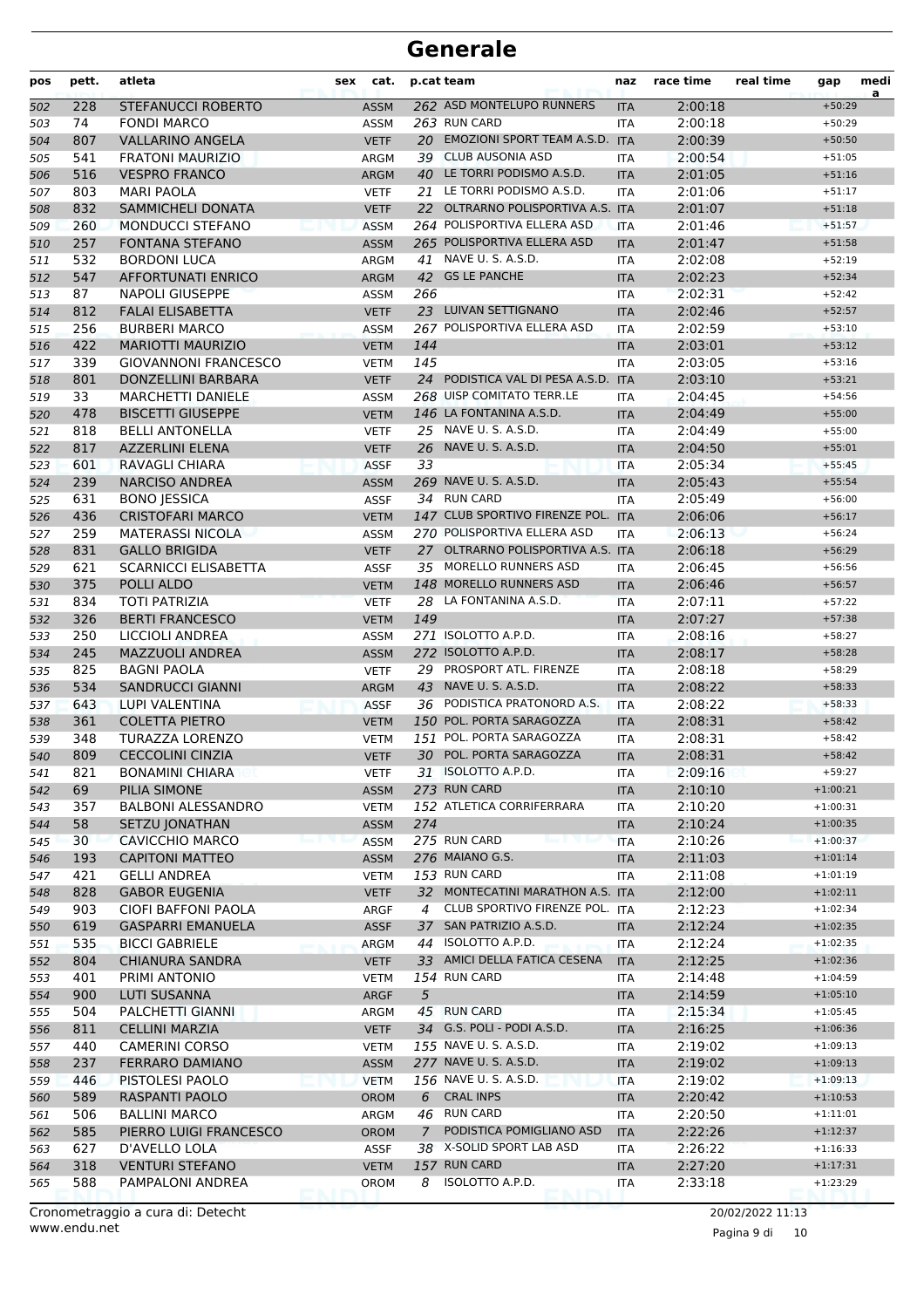| pos | pett.      | atleta                                         | sex | cat.                |     | p.cat team                                          | naz        | race time          | real time | gap                      | medi<br>a |
|-----|------------|------------------------------------------------|-----|---------------------|-----|-----------------------------------------------------|------------|--------------------|-----------|--------------------------|-----------|
| 502 | 228        | <b>STEFANUCCI ROBERTO</b>                      |     | <b>ASSM</b>         |     | 262 ASD MONTELUPO RUNNERS                           | <b>ITA</b> | 2:00:18            |           | $+50:29$                 |           |
| 503 | 74         | <b>FONDI MARCO</b>                             |     | <b>ASSM</b>         |     | 263 RUN CARD                                        | <b>ITA</b> | 2:00:18            |           | $+50:29$                 |           |
| 504 | 807        | <b>VALLARINO ANGELA</b>                        |     | <b>VETF</b>         |     | 20 EMOZIONI SPORT TEAM A.S.D. ITA                   |            | 2:00:39            |           | $+50:50$                 |           |
| 505 | 541        | <b>FRATONI MAURIZIO</b>                        |     | ARGM                |     | 39 CLUB AUSONIA ASD                                 | <b>ITA</b> | 2:00:54            |           | $+51:05$                 |           |
| 506 | 516        | <b>VESPRO FRANCO</b>                           |     | <b>ARGM</b>         |     | 40 LE TORRI PODISMO A.S.D.                          | <b>ITA</b> | 2:01:05            |           | $+51:16$                 |           |
| 507 | 803        | <b>MARI PAOLA</b>                              |     | <b>VETF</b>         |     | 21 LE TORRI PODISMO A.S.D.                          | <b>ITA</b> | 2:01:06            |           | $+51:17$                 |           |
| 508 | 832        | <b>SAMMICHELI DONATA</b>                       |     | <b>VETF</b>         | 22  | OLTRARNO POLISPORTIVA A.S. ITA                      |            | 2:01:07            |           | $+51:18$                 |           |
| 509 | 260        | MONDUCCI STEFANO                               |     | <b>ASSM</b>         |     | 264 POLISPORTIVA ELLERA ASD                         | <b>ITA</b> | 2:01:46            |           | $+51:57$                 |           |
| 510 | 257        | <b>FONTANA STEFANO</b>                         |     | <b>ASSM</b>         |     | 265 POLISPORTIVA ELLERA ASD                         | <b>ITA</b> | 2:01:47            |           | $+51:58$                 |           |
| 511 | 532        | <b>BORDONI LUCA</b>                            |     | ARGM                | 41  | NAVE U. S. A.S.D.                                   | <b>ITA</b> | 2:02:08            |           | $+52:19$                 |           |
| 512 | 547        | <b>AFFORTUNATI ENRICO</b>                      |     | <b>ARGM</b>         | 42  | <b>GS LE PANCHE</b>                                 | <b>ITA</b> | 2:02:23            |           | $+52:34$                 |           |
| 513 | 87         | <b>NAPOLI GIUSEPPE</b>                         |     | <b>ASSM</b>         | 266 |                                                     | <b>ITA</b> | 2:02:31            |           | $+52:42$                 |           |
| 514 | 812        | <b>FALAI ELISABETTA</b>                        |     | <b>VETF</b>         |     | 23 LUIVAN SETTIGNANO                                | <b>ITA</b> | 2:02:46            |           | $+52:57$                 |           |
| 515 | 256        | <b>BURBERI MARCO</b>                           |     | <b>ASSM</b>         |     | 267 POLISPORTIVA ELLERA ASD                         | <b>ITA</b> | 2:02:59            |           | $+53:10$                 |           |
| 516 | 422        | <b>MARIOTTI MAURIZIO</b>                       |     | <b>VETM</b>         | 144 |                                                     | <b>ITA</b> | 2:03:01            |           | $+53:12$                 |           |
| 517 | 339        | <b>GIOVANNONI FRANCESCO</b>                    |     | <b>VETM</b>         | 145 |                                                     | <b>ITA</b> | 2:03:05            |           | $+53:16$                 |           |
| 518 | 801        | DONZELLINI BARBARA                             |     | <b>VETF</b>         |     | 24 PODISTICA VAL DI PESA A.S.D.                     | <b>ITA</b> | 2:03:10            |           | $+53:21$                 |           |
| 519 | 33         | <b>MARCHETTI DANIELE</b>                       |     | <b>ASSM</b>         |     | 268 UISP COMITATO TERR.LE                           | <b>ITA</b> | 2:04:45            |           | $+54:56$                 |           |
| 520 | 478        | <b>BISCETTI GIUSEPPE</b>                       |     | <b>VETM</b>         |     | 146 LA FONTANINA A.S.D.                             | <b>ITA</b> | 2:04:49            |           | $+55:00$                 |           |
| 521 | 818        | <b>BELLI ANTONELLA</b>                         |     | <b>VETF</b>         |     | 25 NAVE U. S. A.S.D.                                | <b>ITA</b> | 2:04:49            |           | $+55:00$                 |           |
| 522 | 817        | <b>AZZERLINI ELENA</b>                         |     | <b>VETF</b>         | 26  | NAVE U. S. A.S.D.                                   | <b>ITA</b> | 2:04:50            |           | $+55:01$                 |           |
| 523 | 601        | RAVAGLI CHIARA                                 |     | <b>ASSF</b>         | 33  |                                                     | <b>ITA</b> | 2:05:34            |           | $+55:45$                 |           |
| 524 | 239        | <b>NARCISO ANDREA</b>                          |     | <b>ASSM</b>         |     | 269 NAVE U. S. A.S.D.                               | <b>ITA</b> | 2:05:43            |           | $+55:54$                 |           |
| 525 | 631        | <b>BONO JESSICA</b>                            |     | <b>ASSF</b>         |     | 34 RUN CARD                                         | <b>ITA</b> | 2:05:49            |           | $+56:00$                 |           |
| 526 | 436        | <b>CRISTOFARI MARCO</b>                        |     | <b>VETM</b>         |     | 147 CLUB SPORTIVO FIRENZE POL. ITA                  |            | 2:06:06            |           | $+56:17$                 |           |
| 527 | 259        | <b>MATERASSI NICOLA</b>                        |     | <b>ASSM</b>         |     | 270 POLISPORTIVA ELLERA ASD                         | <b>ITA</b> | 2:06:13            |           | $+56:24$                 |           |
| 528 | 831        | <b>GALLO BRIGIDA</b>                           |     | <b>VETF</b>         |     | 27 OLTRARNO POLISPORTIVA A.S. ITA                   |            | 2:06:18            |           | $+56:29$                 |           |
| 529 | 621        | <b>SCARNICCI ELISABETTA</b>                    |     | <b>ASSF</b>         |     | 35 MORELLO RUNNERS ASD                              | <b>ITA</b> | 2:06:45            |           | $+56:56$                 |           |
| 530 | 375        | POLLI ALDO                                     |     | <b>VETM</b>         |     | 148 MORELLO RUNNERS ASD                             | <b>ITA</b> | 2:06:46            |           | $+56:57$                 |           |
| 531 | 834        | <b>TOTI PATRIZIA</b>                           |     | <b>VETF</b>         |     | 28 LA FONTANINA A.S.D.                              | <b>ITA</b> | 2:07:11            |           | $+57:22$                 |           |
| 532 | 326        | <b>BERTI FRANCESCO</b>                         |     | <b>VETM</b>         | 149 |                                                     | <b>ITA</b> | 2:07:27            |           | $+57:38$                 |           |
| 533 | 250        | LICCIOLI ANDREA                                |     | <b>ASSM</b>         |     | 271 ISOLOTTO A.P.D.                                 | <b>ITA</b> | 2:08:16            |           | $+58:27$                 |           |
| 534 | 245        | <b>MAZZUOLI ANDREA</b>                         |     | <b>ASSM</b>         |     | 272 ISOLOTTO A.P.D.                                 | <b>ITA</b> | 2:08:17            |           | $+58:28$                 |           |
| 535 | 825        | <b>BAGNI PAOLA</b>                             |     | <b>VETF</b>         |     | 29 PROSPORT ATL. FIRENZE                            | <b>ITA</b> | 2:08:18            |           | $+58:29$                 |           |
| 536 | 534        | <b>SANDRUCCI GIANNI</b>                        |     | <b>ARGM</b>         | 43  | NAVE U. S. A.S.D.                                   | <b>ITA</b> | 2:08:22            |           | $+58:33$                 |           |
| 537 | 643        | LUPI VALENTINA                                 |     | <b>ASSF</b>         | 36  | PODISTICA PRATONORD A.S.                            | <b>ITA</b> | 2:08:22            |           | $+58:33$                 |           |
| 538 | 361        | <b>COLETTA PIETRO</b>                          |     | <b>VETM</b>         |     | 150 POL. PORTA SARAGOZZA                            | <b>ITA</b> | 2:08:31            |           | $+58:42$                 |           |
| 539 | 348        | TURAZZA LORENZO                                |     | <b>VETM</b>         |     | 151 POL. PORTA SARAGOZZA                            | <b>ITA</b> | 2:08:31            |           | $+58:42$                 |           |
| 540 | 809        | <b>CECCOLINI CINZIA</b>                        |     | <b>VETF</b>         |     | 30 POL. PORTA SARAGOZZA                             | <b>ITA</b> | 2:08:31            |           | $+58:42$                 |           |
| 541 | 821        | <b>BONAMINI CHIARA</b>                         |     | <b>VETF</b>         |     | 31 ISOLOTTO A.P.D.                                  | ITA        | 2:09:16            |           | $+59:27$                 |           |
| 542 | 69         | PILIA SIMONE                                   |     | <b>ASSM</b>         |     | 273 RUN CARD                                        | <b>ITA</b> | 2:10:10            |           | $+1:00:21$               |           |
| 543 | 357        | <b>BALBONI ALESSANDRO</b>                      |     | <b>VETM</b>         |     | 152 ATLETICA CORRIFERRARA                           | ITA        | 2:10:20            |           | $+1:00:31$               |           |
| 544 | 58         | <b>SETZU JONATHAN</b>                          |     | <b>ASSM</b>         | 274 | 275 RUN CARD                                        | <b>ITA</b> | 2:10:24            |           | $+1:00:35$               |           |
| 545 | 30         | <b>CAVICCHIO MARCO</b>                         |     | <b>ASSM</b>         |     | 276 MAIANO G.S.                                     | <b>ITA</b> | 2:10:26            |           | $+1:00:37$               |           |
| 546 | 193        | <b>CAPITONI MATTEO</b>                         |     | <b>ASSM</b>         |     | 153 RUN CARD                                        | <b>ITA</b> | 2:11:03            |           | $+1:01:14$               |           |
| 547 | 421        | <b>GELLI ANDREA</b>                            |     | <b>VETM</b>         |     | 32 MONTECATINI MARATHON A.S. ITA                    | ITA        | 2:11:08            |           | $+1:01:19$               |           |
| 548 | 828        | <b>GABOR EUGENIA</b>                           |     | <b>VETF</b>         |     | CLUB SPORTIVO FIRENZE POL. ITA                      |            | 2:12:00            |           | $+1:02:11$               |           |
| 549 | 903        | CIOFI BAFFONI PAOLA                            |     | ARGF                | 4   |                                                     |            | 2:12:23            |           | $+1:02:34$               |           |
| 550 | 619        | <b>GASPARRI EMANUELA</b>                       |     | <b>ASSF</b>         |     | 37 SAN PATRIZIO A.S.D.<br>44 ISOLOTTO A.P.D.        | <b>ITA</b> | 2:12:24            |           | $+1:02:35$               |           |
| 551 | 535        | <b>BICCI GABRIELE</b>                          |     | <b>ARGM</b>         |     | 33 AMICI DELLA FATICA CESENA                        | ITA        | 2:12:24            |           | $+1:02:35$               |           |
| 552 | 804        | <b>CHIANURA SANDRA</b>                         |     | <b>VETF</b>         |     | 154 RUN CARD                                        | <b>ITA</b> | 2:12:25            |           | $+1:02:36$               |           |
| 553 | 401        | PRIMI ANTONIO                                  |     | <b>VETM</b>         |     |                                                     | ITA        | 2:14:48            |           | $+1:04:59$               |           |
| 554 | 900        | <b>LUTI SUSANNA</b>                            |     | ARGF                | 5   |                                                     | <b>ITA</b> | 2:14:59            |           | $+1:05:10$               |           |
| 555 | 504        | PALCHETTI GIANNI                               |     | ARGM                |     | 45 RUN CARD                                         | ITA        | 2:15:34            |           | $+1:05:45$               |           |
| 556 | 811<br>440 | <b>CELLINI MARZIA</b><br><b>CAMERINI CORSO</b> |     | <b>VETF</b>         |     | 34 G.S. POLI - PODI A.S.D.<br>155 NAVE U. S. A.S.D. | <b>ITA</b> | 2:16:25<br>2:19:02 |           | $+1:06:36$<br>$+1:09:13$ |           |
| 557 |            |                                                |     | <b>VETM</b>         |     |                                                     | ITA        |                    |           |                          |           |
| 558 | 237        | FERRARO DAMIANO                                |     | ASSM                |     | 277 NAVE U.S.A.S.D.                                 | <b>ITA</b> | 2:19:02            |           | $+1:09:13$               |           |
| 559 | 446        | PISTOLESI PAOLO                                |     | <b>VETM</b>         |     | 156 NAVE U. S. A.S.D.<br><b>CRAL INPS</b>           | <b>ITA</b> | 2:19:02            |           | $+1:09:13$               |           |
| 560 | 589        | RASPANTI PAOLO                                 |     | OROM                | 6   | 46 RUN CARD                                         | <b>ITA</b> | 2:20:42            |           | $+1:10:53$               |           |
| 561 | 506        | <b>BALLINI MARCO</b>                           |     | ARGM                |     | PODISTICA POMIGLIANO ASD                            | ITA        | 2:20:50            |           | $+1:11:01$               |           |
| 562 | 585<br>627 | PIERRO LUIGI FRANCESCO<br>D'AVELLO LOLA        |     | <b>OROM</b>         | 7   | 38 X-SOLID SPORT LAB ASD                            | <b>ITA</b> | 2:22:26            |           | $+1:12:37$               |           |
| 563 |            |                                                |     | ASSF                |     | 157 RUN CARD                                        | ITA        | 2:26:22            |           | $+1:16:33$<br>$+1:17:31$ |           |
| 564 | 318<br>588 | <b>VENTURI STEFANO</b><br>PAMPALONI ANDREA     |     | <b>VETM</b><br>OROM | 8   | ISOLOTTO A.P.D.                                     | <b>ITA</b> | 2:27:20<br>2:33:18 |           | $+1:23:29$               |           |
| 565 |            |                                                |     |                     |     |                                                     | ITA        |                    |           |                          |           |

Pagina 9 di 10